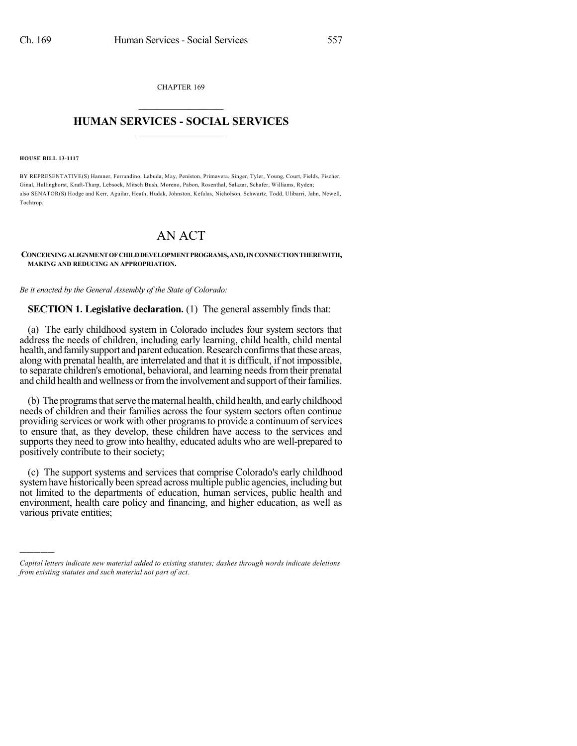CHAPTER 169  $\overline{\phantom{a}}$  . The set of the set of the set of the set of the set of the set of the set of the set of the set of the set of the set of the set of the set of the set of the set of the set of the set of the set of the set o

### **HUMAN SERVICES - SOCIAL SERVICES**  $\frac{1}{2}$  ,  $\frac{1}{2}$  ,  $\frac{1}{2}$  ,  $\frac{1}{2}$  ,  $\frac{1}{2}$  ,  $\frac{1}{2}$  ,  $\frac{1}{2}$

**HOUSE BILL 13-1117**

)))))

BY REPRESENTATIVE(S) Hamner, Ferrandino, Labuda, May, Peniston, Primavera, Singer, Tyler, Young, Court, Fields, Fischer, Ginal, Hullinghorst, Kraft-Tharp, Lebsock, Mitsch Bush, Moreno, Pabon, Rosenthal, Salazar, Schafer, Williams, Ryden; also SENATOR(S) Hodge and Kerr, Aguilar, Heath, Hudak, Johnston, Kefalas, Nicholson, Schwartz, Todd, Ulibarri, Jahn, Newell, Tochtrop.

## AN ACT

#### **CONCERNINGALIGNMENT OFCHILDDEVELOPMENTPROGRAMS,AND,INCONNECTIONTHEREWITH, MAKING AND REDUCING AN APPROPRIATION.**

*Be it enacted by the General Assembly of the State of Colorado:*

**SECTION 1. Legislative declaration.** (1) The general assembly finds that:

(a) The early childhood system in Colorado includes four system sectors that address the needs of children, including early learning, child health, child mental health, and family support and parent education. Research confirms that these areas, along with prenatal health, are interrelated and that it is difficult, if not impossible, to separate children's emotional, behavioral, and learning needs from their prenatal and child health and wellness or from the involvement and support of their families.

(b) The programs that serve the maternal health, child health, and early childhood needs of children and their families across the four system sectors often continue providing services or work with other programs to provide a continuum of services to ensure that, as they develop, these children have access to the services and supports they need to grow into healthy, educated adults who are well-prepared to positively contribute to their society;

(c) The support systems and services that comprise Colorado's early childhood systemhave historically been spread across multiple public agencies, including but not limited to the departments of education, human services, public health and environment, health care policy and financing, and higher education, as well as various private entities;

*Capital letters indicate new material added to existing statutes; dashes through words indicate deletions from existing statutes and such material not part of act.*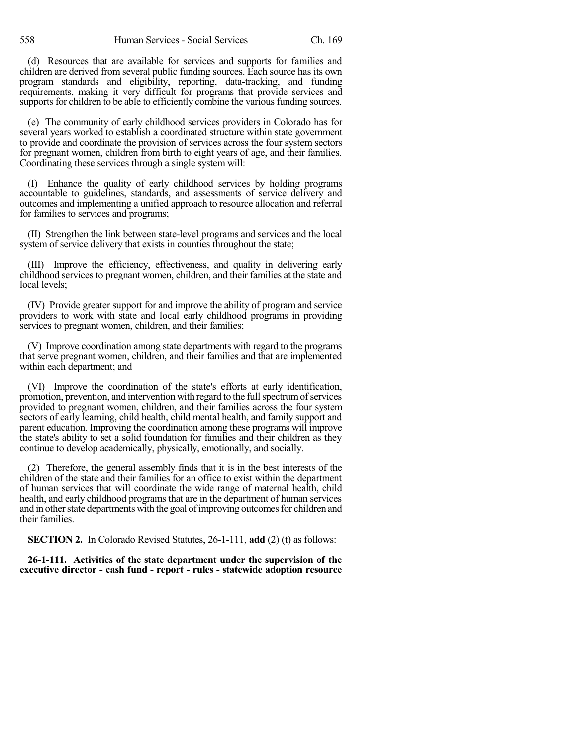(d) Resources that are available for services and supports for families and children are derived from several public funding sources. Each source has its own program standards and eligibility, reporting, data-tracking, and funding requirements, making it very difficult for programs that provide services and supports for children to be able to efficiently combine the various funding sources.

(e) The community of early childhood services providers in Colorado has for several years worked to establish a coordinated structure within state government to provide and coordinate the provision of services across the four system sectors for pregnant women, children from birth to eight years of age, and their families. Coordinating these services through a single system will:

(I) Enhance the quality of early childhood services by holding programs accountable to guidelines, standards, and assessments of service delivery and outcomes and implementing a unified approach to resource allocation and referral for families to services and programs;

(II) Strengthen the link between state-level programs and services and the local system of service delivery that exists in counties throughout the state;

(III) Improve the efficiency, effectiveness, and quality in delivering early childhood services to pregnant women, children, and their families at the state and local levels;

(IV) Provide greater support for and improve the ability of program and service providers to work with state and local early childhood programs in providing services to pregnant women, children, and their families;

(V) Improve coordination among state departments with regard to the programs that serve pregnant women, children, and their families and that are implemented within each department; and

(VI) Improve the coordination of the state's efforts at early identification, promotion, prevention, and intervention with regard to the full spectrum of services provided to pregnant women, children, and their families across the four system sectors of early learning, child health, child mental health, and family support and parent education. Improving the coordination among these programs will improve the state's ability to set a solid foundation for families and their children as they continue to develop academically, physically, emotionally, and socially.

(2) Therefore, the general assembly finds that it is in the best interests of the children of the state and their families for an office to exist within the department of human services that will coordinate the wide range of maternal health, child health, and early childhood programs that are in the department of human services and in other state departments with the goal of improving outcomes for children and their families.

**SECTION 2.** In Colorado Revised Statutes, 26-1-111, **add** (2) (t) as follows:

**26-1-111. Activities of the state department under the supervision of the executive director - cash fund - report - rules - statewide adoption resource**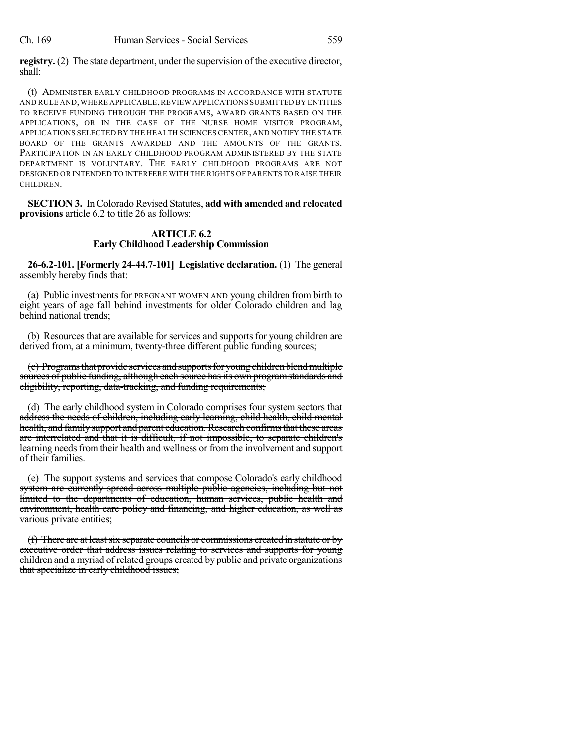**registry.** (2) The state department, under the supervision of the executive director, shall:

(t) ADMINISTER EARLY CHILDHOOD PROGRAMS IN ACCORDANCE WITH STATUTE AND RULE AND,WHERE APPLICABLE,REVIEW APPLICATIONS SUBMITTED BY ENTITIES TO RECEIVE FUNDING THROUGH THE PROGRAMS, AWARD GRANTS BASED ON THE APPLICATIONS, OR IN THE CASE OF THE NURSE HOME VISITOR PROGRAM, APPLICATIONS SELECTED BY THE HEALTH SCIENCES CENTER, AND NOTIFY THE STATE BOARD OF THE GRANTS AWARDED AND THE AMOUNTS OF THE GRANTS. PARTICIPATION IN AN EARLY CHILDHOOD PROGRAM ADMINISTERED BY THE STATE DEPARTMENT IS VOLUNTARY. THE EARLY CHILDHOOD PROGRAMS ARE NOT DESIGNED OR INTENDED TO INTERFERE WITH THE RIGHTS OF PARENTS TO RAISE THEIR CHILDREN.

**SECTION 3.** In Colorado Revised Statutes, **add with amended and relocated provisions** article 6.2 to title 26 as follows:

## **ARTICLE 6.2 Early Childhood Leadership Commission**

**26-6.2-101. [Formerly 24-44.7-101] Legislative declaration.** (1) The general assembly hereby finds that:

(a) Public investments for PREGNANT WOMEN AND young children from birth to eight years of age fall behind investments for older Colorado children and lag behind national trends;

(b) Resources that are available for services and supports for young children are derived from, at a minimum, twenty-three different public funding sources;

(c) Programs that provide services and supports for young children blend multiple sources of public funding, although each source has its own program standards and eligibility, reporting, data-tracking, and funding requirements;

(d) The early childhood system in Colorado comprises four system sectors that address the needs of children, including early learning, child health, child mental health, and family support and parent education. Research confirms that these areas are interrelated and that it is difficult, if not impossible, to separate children's learning needs from their health and wellness or from the involvement and support of their families.

(e) The support systems and services that compose Colorado's early childhood system are currently spread across multiple public agencies, including but not limited to the departments of education, human services, public health and environment, health care policy and financing, and higher education, as well as various private entities;

 $(f)$  There are at least six separate councils or commissions created in statute or by executive order that address issues relating to services and supports for young children and a myriad of related groups created by public and private organizations that specialize in early childhood issues;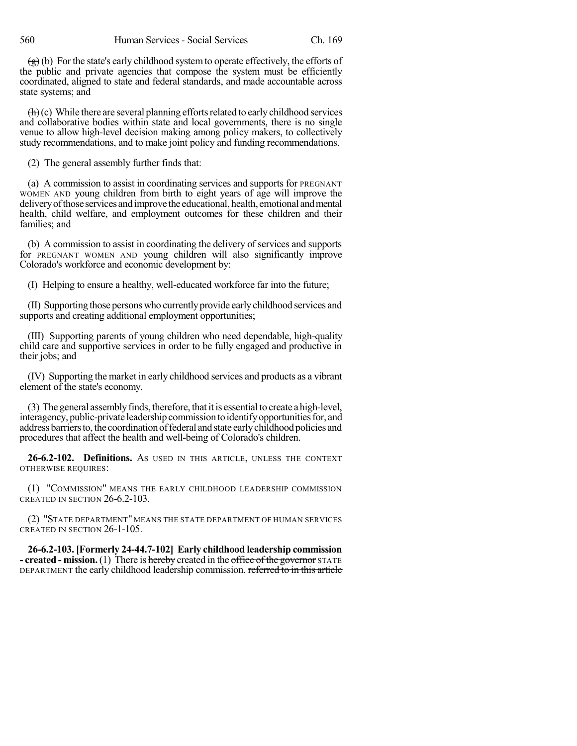$\left(\frac{g}{g}\right)$  (b) For the state's early childhood system to operate effectively, the efforts of the public and private agencies that compose the system must be efficiently coordinated, aligned to state and federal standards, and made accountable across state systems; and

 $\left(\frac{h}{h}\right)$ (c) While there are several planning efforts related to early childhood services and collaborative bodies within state and local governments, there is no single venue to allow high-level decision making among policy makers, to collectively study recommendations, and to make joint policy and funding recommendations.

(2) The general assembly further finds that:

(a) A commission to assist in coordinating services and supports for PREGNANT WOMEN AND young children from birth to eight years of age will improve the deliveryofthose services andimprove the educational, health, emotional andmental health, child welfare, and employment outcomes for these children and their families; and

(b) A commission to assist in coordinating the delivery of services and supports for PREGNANT WOMEN AND young children will also significantly improve Colorado's workforce and economic development by:

(I) Helping to ensure a healthy, well-educated workforce far into the future;

(II) Supporting those persons who currentlyprovide earlychildhood services and supports and creating additional employment opportunities;

(III) Supporting parents of young children who need dependable, high-quality child care and supportive services in order to be fully engaged and productive in their jobs; and

(IV) Supporting the market in early childhood services and products as a vibrant element of the state's economy.

(3) The general assemblyfinds, therefore, that it is essential to create a high-level, interagency, public-private leadership commission to identify opportunities for, and address barriers to, the coordination of federal and state early childhood policies and procedures that affect the health and well-being of Colorado's children.

**26-6.2-102. Definitions.** AS USED IN THIS ARTICLE, UNLESS THE CONTEXT OTHERWISE REQUIRES:

(1) "COMMISSION" MEANS THE EARLY CHILDHOOD LEADERSHIP COMMISSION CREATED IN SECTION 26-6.2-103.

(2) "STATE DEPARTMENT" MEANS THE STATE DEPARTMENT OF HUMAN SERVICES CREATED IN SECTION 26-1-105.

**26-6.2-103. [Formerly 24-44.7-102] Early childhood leadership commission - created - mission.**(1) There is hereby created in the office of the governor STATE DEPARTMENT the early childhood leadership commission. referred to in this article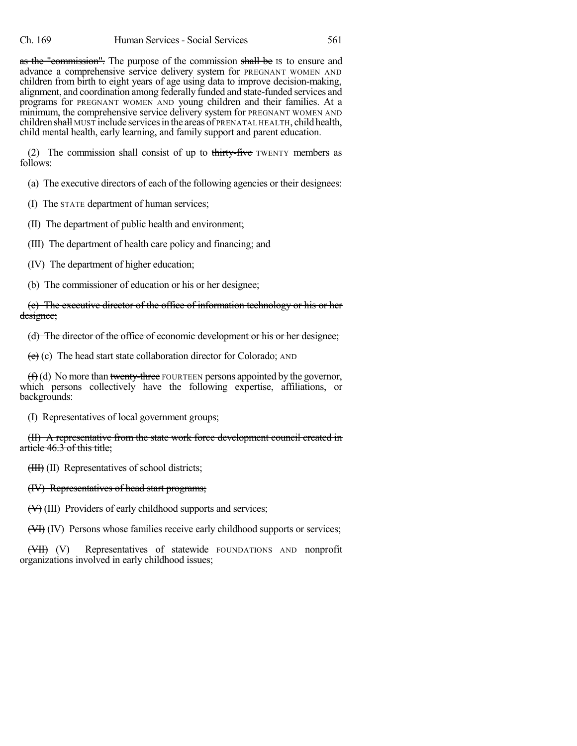as the "commission". The purpose of the commission shall be IS to ensure and advance a comprehensive service delivery system for PREGNANT WOMEN AND children from birth to eight years of age using data to improve decision-making, alignment, and coordination among federally funded and state-funded services and programs for PREGNANT WOMEN AND young children and their families. At a minimum, the comprehensive service delivery system for PREGNANT WOMEN AND children shall MUST include services in the areas of PRENATAL HEALTH, child health, child mental health, early learning, and family support and parent education.

(2) The commission shall consist of up to thirty-five TWENTY members as follows:

(a) The executive directors of each of the following agencies or their designees:

(I) The STATE department of human services;

(II) The department of public health and environment;

(III) The department of health care policy and financing; and

(IV) The department of higher education;

(b) The commissioner of education or his or her designee;

(c) The executive director of the office of information technology or his or her designee;

(d) The director of the office of economic development or his or her designee;

 $(e)$  (c) The head start state collaboration director for Colorado; AND

 $(f)(d)$  No more than twenty-three FOURTEEN persons appointed by the governor, which persons collectively have the following expertise, affiliations, or backgrounds:

(I) Representatives of local government groups;

(II) A representative from the state work force development council created in article 46.3 of this title;

(III) (II) Representatives of school districts;

### (IV) Representatives of head start programs;

(V) (III) Providers of early childhood supports and services;

(VI) (IV) Persons whose families receive early childhood supports or services;

(VII) (V) Representatives of statewide FOUNDATIONS AND nonprofit organizations involved in early childhood issues;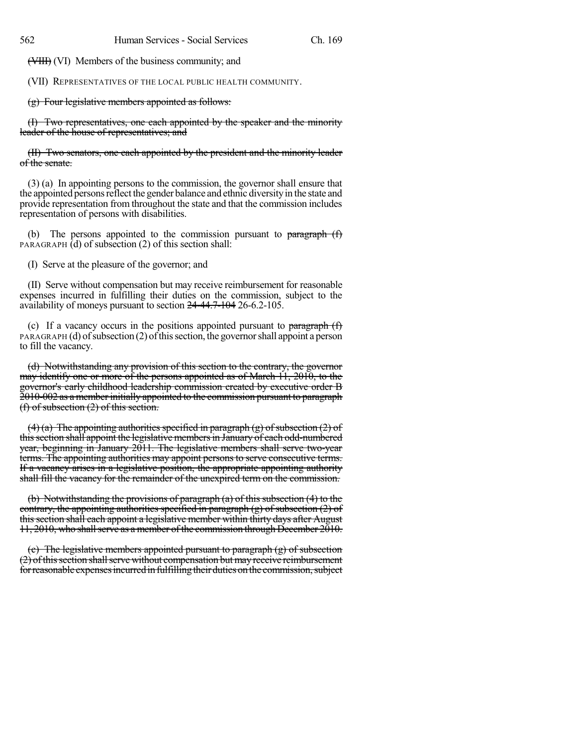(VIII) (VI) Members of the business community; and

(VII) REPRESENTATIVES OF THE LOCAL PUBLIC HEALTH COMMUNITY.

(g) Four legislative members appointed as follows:

(I) Two representatives, one each appointed by the speaker and the minority leader of the house of representatives; and

(II) Two senators, one each appointed by the president and the minority leader of the senate.

(3) (a) In appointing persons to the commission, the governor shall ensure that the appointed persons reflect the gender balance and ethnic diversity in the state and provide representation from throughout the state and that the commission includes representation of persons with disabilities.

(b) The persons appointed to the commission pursuant to  $\frac{\text{parameter of}}{\text{mean of } \text{min}}$ PARAGRAPH  $(d)$  of subsection (2) of this section shall:

(I) Serve at the pleasure of the governor; and

(II) Serve without compensation but may receive reimbursement for reasonable expenses incurred in fulfilling their duties on the commission, subject to the availability of moneys pursuant to section 24-44.7-104 26-6.2-105.

(c) If a vacancy occurs in the positions appointed pursuant to paragraph  $(f)$  $PARAGRAPH$  (d) of subsection (2) of this section, the governor shall appoint a person to fill the vacancy.

(d) Notwithstanding any provision of this section to the contrary, the governor may identify one or more of the persons appointed as of March 11, 2010, to the governor's early childhood leadership commission created by executive order B 2010-002 as a member initially appointed to the commission pursuant to paragraph (f) of subsection (2) of this section.

(4) (a) The appointing authorities specified in paragraph (g) of subsection (2) of this section shall appoint the legislative members in January of each odd-numbered year, beginning in January 2011. The legislative members shall serve two-year terms. The appointing authorities may appoint persons to serve consecutive terms. If a vacancy arises in a legislative position, the appropriate appointing authority shall fill the vacancy for the remainder of the unexpired term on the commission.

(b) Notwithstanding the provisions of paragraph (a) of this subsection (4) to the contrary, the appointing authorities specified in paragraph  $(g)$  of subsection  $(2)$  of thissection shall each appoint a legislative member within thirty days after August 11, 2010, who shallserve as a member ofthe commission through December 2010.

(c) The legislative members appointed pursuant to paragraph (g) of subsection  $(2)$  of this section shall serve without compensation but may receive reimbursement for reasonable expenses incurred in fulfilling their duties on the commission, subject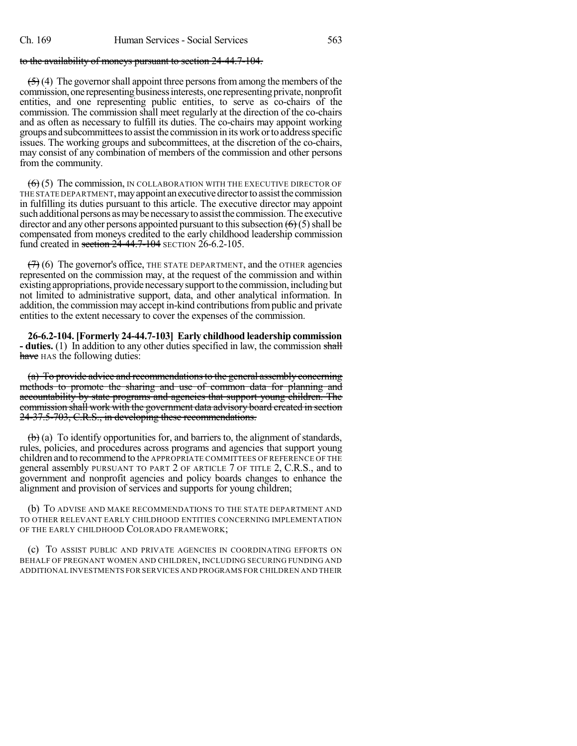## to the availability of moneys pursuant to section 24-44.7-104.

 $(5)$  (4) The governor shall appoint three persons from among the members of the commission, one representing business interests, one representing private, nonprofit entities, and one representing public entities, to serve as co-chairs of the commission. The commission shall meet regularly at the direction of the co-chairs and as often as necessary to fulfill its duties. The co-chairs may appoint working groups andsubcommitteesto assistthe commission in itswork ortoaddressspecific issues. The working groups and subcommittees, at the discretion of the co-chairs, may consist of any combination of members of the commission and other persons from the community.

 $(6)$  (5) The commission, IN COLLABORATION WITH THE EXECUTIVE DIRECTOR OF THE STATE DEPARTMENT, may appoint an executive director to assist the commission in fulfilling its duties pursuant to this article. The executive director may appoint such additional persons as may be necessary to assist the commission. The executive director and any other persons appointed pursuant to this subsection  $(\theta)$  (5) shall be compensated from moneys credited to the early childhood leadership commission fund created in section 24-44.7-104 SECTION 26-6.2-105.

 $(7)$  (6) The governor's office, THE STATE DEPARTMENT, and the OTHER agencies represented on the commission may, at the request of the commission and within existing appropriations, provide necessary support to the commission, including but not limited to administrative support, data, and other analytical information. In addition, the commission may accept in-kind contributionsfrompublic and private entities to the extent necessary to cover the expenses of the commission.

**26-6.2-104. [Formerly 24-44.7-103] Early childhood leadership commission - duties.** (1) In addition to any other duties specified in law, the commission shall have HAS the following duties:

(a) To provide advice and recommendations to the general assembly concerning methods to promote the sharing and use of common data for planning and accountability by state programs and agencies that support young children. The commission shall work with the government data advisory board created in section 24-37.5-703, C.R.S., in developing these recommendations.

 $\left(\mathbf{b}\right)$  (a) To identify opportunities for, and barriers to, the alignment of standards, rules, policies, and procedures across programs and agencies that support young children and to recommend to the APPROPRIATE COMMITTEES OF REFERENCE OF THE general assembly PURSUANT TO PART 2 OF ARTICLE 7 OF TITLE 2, C.R.S., and to government and nonprofit agencies and policy boards changes to enhance the alignment and provision of services and supports for young children;

(b) TO ADVISE AND MAKE RECOMMENDATIONS TO THE STATE DEPARTMENT AND TO OTHER RELEVANT EARLY CHILDHOOD ENTITIES CONCERNING IMPLEMENTATION OF THE EARLY CHILDHOOD COLORADO FRAMEWORK;

(c) TO ASSIST PUBLIC AND PRIVATE AGENCIES IN COORDINATING EFFORTS ON BEHALF OF PREGNANT WOMEN AND CHILDREN, INCLUDING SECURING FUNDING AND ADDITIONAL INVESTMENTS FOR SERVICES AND PROGRAMS FOR CHILDREN AND THEIR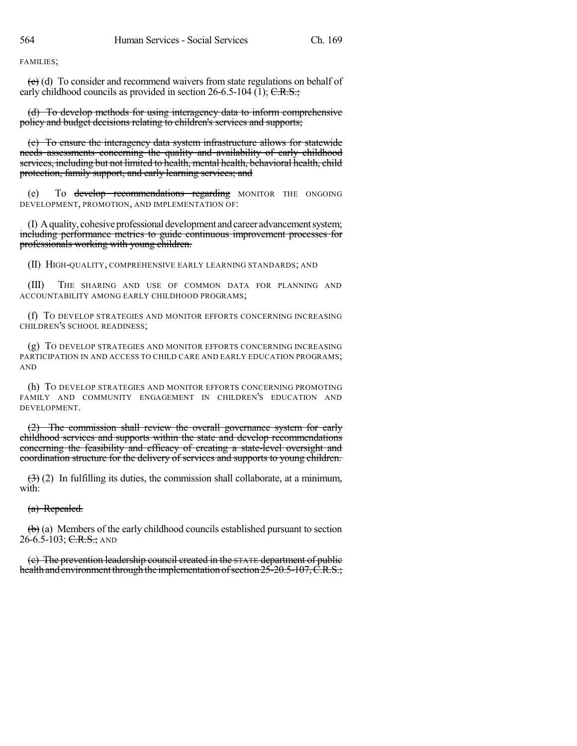FAMILIES;

 $\left(\frac{e}{c}\right)$  (d) To consider and recommend waivers from state regulations on behalf of early childhood councils as provided in section  $26-6.5-104$  (1); C.R.S.;

(d) To develop methods for using interagency data to inform comprehensive policy and budget decisions relating to children's services and supports;

(e) To ensure the interagency data system infrastructure allows for statewide needs assessments concerning the quality and availability of early childhood services, including but not limited to health, mental health, behavioral health, child protection, family support, and early learning services; and

(e) To develop recommendations regarding MONITOR THE ONGOING DEVELOPMENT, PROMOTION, AND IMPLEMENTATION OF:

(I) Aquality, cohesiveprofessional development andcareer advancementsystem; including performance metrics to guide continuous improvement processes for professionals working with young children.

(II) HIGH-QUALITY, COMPREHENSIVE EARLY LEARNING STANDARDS; AND

(III) THE SHARING AND USE OF COMMON DATA FOR PLANNING AND ACCOUNTABILITY AMONG EARLY CHILDHOOD PROGRAMS;

(f) TO DEVELOP STRATEGIES AND MONITOR EFFORTS CONCERNING INCREASING CHILDREN'S SCHOOL READINESS;

(g) TO DEVELOP STRATEGIES AND MONITOR EFFORTS CONCERNING INCREASING PARTICIPATION IN AND ACCESS TO CHILD CARE AND EARLY EDUCATION PROGRAMS; AND

(h) TO DEVELOP STRATEGIES AND MONITOR EFFORTS CONCERNING PROMOTING FAMILY AND COMMUNITY ENGAGEMENT IN CHILDREN'S EDUCATION AND DEVELOPMENT.

(2) The commission shall review the overall governance system for early childhood services and supports within the state and develop recommendations concerning the feasibility and efficacy of creating a state-level oversight and coordination structure for the delivery of services and supports to young children.

 $(3)$  (2) In fulfilling its duties, the commission shall collaborate, at a minimum, with:

(a) Repealed.

 $\left(\mathbf{b}\right)$  (a) Members of the early childhood councils established pursuant to section 26-6.5-103; C.R.S.; AND

(c) The prevention leadership council created in the STATE department of public health and environment through the implementation of section 25-20.5-107, C.R.S.;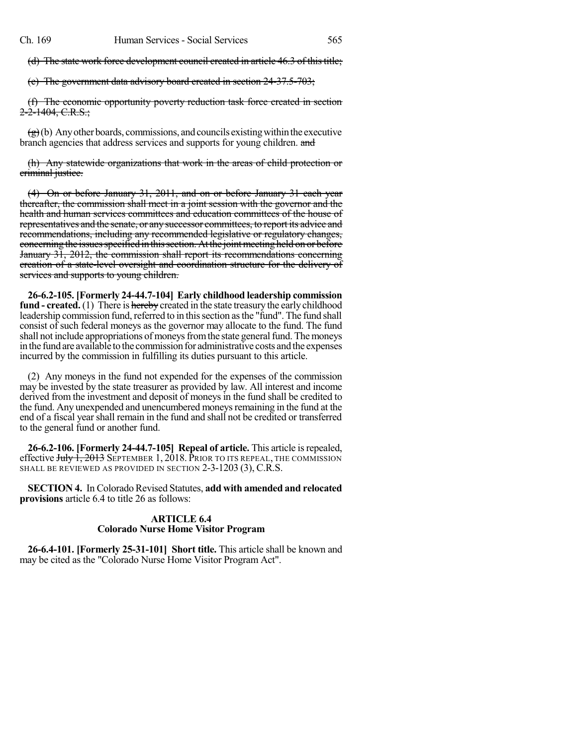(d) The state work force development council created in article 46.3 of this title;

(e) The government data advisory board created in section 24-37.5-703;

(f) The economic opportunity poverty reduction task force created in section 2-2-1404, C.R.S.;

 $\left(\frac{g}{g}\right)$ (b) Any other boards, commissions, and councils existing within the executive branch agencies that address services and supports for young children. and

(h) Any statewide organizations that work in the areas of child protection or criminal justice.

(4) On or before January 31, 2011, and on or before January 31 each year thereafter, the commission shall meet in a joint session with the governor and the health and human services committees and education committees of the house of representatives and the senate, or anysuccessor committees, to report its advice and recommendations, including any recommended legislative or regulatory changes, concerning the issues specified in this section. At the joint meeting held on or before January 31, 2012, the commission shall report its recommendations concerning creation of a state-level oversight and coordination structure for the delivery of services and supports to young children.

**26-6.2-105. [Formerly 24-44.7-104] Early childhood leadership commission fund - created.** (1) There is hereby created in the state treasury the early childhood leadership commission fund, referred to in this section as the "fund". The fund shall consist of such federal moneys as the governor may allocate to the fund. The fund shall not include appropriations of moneys from the state general fund. The moneys in the fund are available to the commission for administrative costs and the expenses incurred by the commission in fulfilling its duties pursuant to this article.

(2) Any moneys in the fund not expended for the expenses of the commission may be invested by the state treasurer as provided by law. All interest and income derived from the investment and deposit of moneys in the fund shall be credited to the fund. Any unexpended and unencumbered moneys remaining in the fund at the end of a fiscal year shall remain in the fund and shall not be credited or transferred to the general fund or another fund.

**26-6.2-106. [Formerly 24-44.7-105] Repeal of article.** This article isrepealed, effective July 1, 2013 SEPTEMBER 1, 2018. PRIOR TO ITS REPEAL, THE COMMISSION SHALL BE REVIEWED AS PROVIDED IN SECTION 2-3-1203 (3), C.R.S.

**SECTION 4.** In Colorado Revised Statutes, **add with amended and relocated provisions** article 6.4 to title 26 as follows:

## **ARTICLE 6.4 Colorado Nurse Home Visitor Program**

**26-6.4-101. [Formerly 25-31-101] Short title.** This article shall be known and may be cited as the "Colorado Nurse Home Visitor Program Act".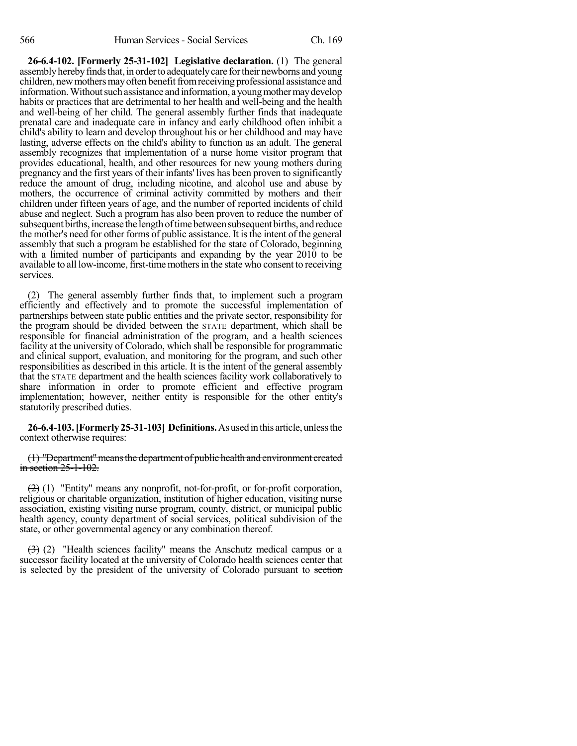**26-6.4-102. [Formerly 25-31-102] Legislative declaration.** (1) The general assembly hereby finds that, in order to adequately care for their newborns and young children, new mothers may often benefit from receiving professional assistance and information. Without such assistance and information, a young mother may develop habits or practices that are detrimental to her health and well-being and the health and well-being of her child. The general assembly further finds that inadequate prenatal care and inadequate care in infancy and early childhood often inhibit a child's ability to learn and develop throughout his or her childhood and may have lasting, adverse effects on the child's ability to function as an adult. The general assembly recognizes that implementation of a nurse home visitor program that provides educational, health, and other resources for new young mothers during pregnancy and the first years of their infants' lives has been proven to significantly reduce the amount of drug, including nicotine, and alcohol use and abuse by mothers, the occurrence of criminal activity committed by mothers and their children under fifteen years of age, and the number of reported incidents of child abuse and neglect. Such a program has also been proven to reduce the number of subsequent births, increase the length of time between subsequent births, and reduce the mother's need for other forms of public assistance. It is the intent of the general assembly that such a program be established for the state of Colorado, beginning with a limited number of participants and expanding by the year 2010 to be available to all low-income, first-time mothers in the state who consent to receiving services.

(2) The general assembly further finds that, to implement such a program efficiently and effectively and to promote the successful implementation of partnerships between state public entities and the private sector, responsibility for the program should be divided between the STATE department, which shall be responsible for financial administration of the program, and a health sciences facility at the university of Colorado, which shall be responsible for programmatic and clinical support, evaluation, and monitoring for the program, and such other responsibilities as described in this article. It is the intent of the general assembly that the STATE department and the health sciences facility work collaboratively to share information in order to promote efficient and effective program implementation; however, neither entity is responsible for the other entity's statutorily prescribed duties.

**26-6.4-103.[Formerly25-31-103] Definitions.**Asusedinthis article, unlessthe context otherwise requires:

(1) "Department" means the department of public health and environment created  $\frac{\text{in section} - 25 - 1 - 102}{\text{in section} - 25 - 1 - 102}$ .

(2) (1) "Entity" means any nonprofit, not-for-profit, or for-profit corporation, religious or charitable organization, institution of higher education, visiting nurse association, existing visiting nurse program, county, district, or municipal public health agency, county department of social services, political subdivision of the state, or other governmental agency or any combination thereof.

 $(3)$  (2) "Health sciences facility" means the Anschutz medical campus or a successor facility located at the university of Colorado health sciences center that is selected by the president of the university of Colorado pursuant to section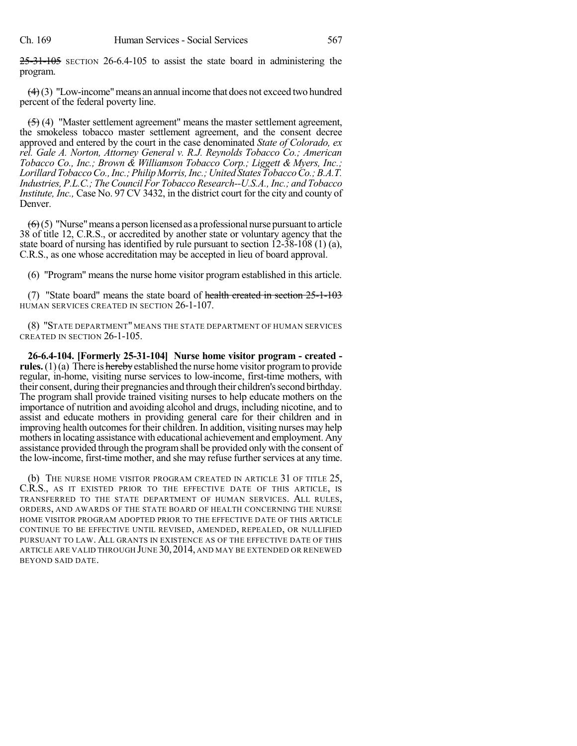25-31-105 SECTION 26-6.4-105 to assist the state board in administering the program.

 $(4)(3)$  "Low-income" means an annual income that does not exceed two hundred percent of the federal poverty line.

 $(5)$  (4) "Master settlement agreement" means the master settlement agreement, the smokeless tobacco master settlement agreement, and the consent decree approved and entered by the court in the case denominated *State of Colorado, ex rel. Gale A. Norton, Attorney General v. R.J. Reynolds Tobacco Co.; American Tobacco Co., Inc.; Brown & Williamson Tobacco Corp.; Liggett & Myers, Inc.; LorillardTobaccoCo.,Inc.;PhilipMorris,Inc.;United StatesTobaccoCo.;B.A.T. Industries, P.L.C.; TheCouncil For Tobacco Research--U.S.A., Inc.; and Tobacco Institute, Inc.,* Case No. 97 CV 3432, in the district court for the city and county of Denver.

 $(6)(5)$  "Nurse" means a person licensed as a professional nurse pursuant to article 38 of title 12, C.R.S., or accredited by another state or voluntary agency that the state board of nursing has identified by rule pursuant to section 12-38-108 (1) (a), C.R.S., as one whose accreditation may be accepted in lieu of board approval.

(6) "Program" means the nurse home visitor program established in this article.

(7) "State board" means the state board of health created in section  $25$ -1-103 HUMAN SERVICES CREATED IN SECTION 26-1-107.

(8) "STATE DEPARTMENT" MEANS THE STATE DEPARTMENT OF HUMAN SERVICES CREATED IN SECTION 26-1-105.

**26-6.4-104. [Formerly 25-31-104] Nurse home visitor program - created rules.** (1)(a) There is hereby established the nurse home visitor program to provide regular, in-home, visiting nurse services to low-income, first-time mothers, with their consent, during their pregnancies and through their children's second birthday. The program shall provide trained visiting nurses to help educate mothers on the importance of nutrition and avoiding alcohol and drugs, including nicotine, and to assist and educate mothers in providing general care for their children and in improving health outcomes for their children. In addition, visiting nurses may help mothers in locating assistance with educational achievement and employment. Any assistance provided through the programshall be provided only with the consent of the low-income, first-time mother, and she may refuse further services at any time.

(b) THE NURSE HOME VISITOR PROGRAM CREATED IN ARTICLE 31 OF TITLE 25, C.R.S., AS IT EXISTED PRIOR TO THE EFFECTIVE DATE OF THIS ARTICLE, IS TRANSFERRED TO THE STATE DEPARTMENT OF HUMAN SERVICES. ALL RULES, ORDERS, AND AWARDS OF THE STATE BOARD OF HEALTH CONCERNING THE NURSE HOME VISITOR PROGRAM ADOPTED PRIOR TO THE EFFECTIVE DATE OF THIS ARTICLE CONTINUE TO BE EFFECTIVE UNTIL REVISED, AMENDED, REPEALED, OR NULLIFIED PURSUANT TO LAW. ALL GRANTS IN EXISTENCE AS OF THE EFFECTIVE DATE OF THIS ARTICLE ARE VALID THROUGH JUNE 30, 2014, AND MAY BE EXTENDED OR RENEWED BEYOND SAID DATE.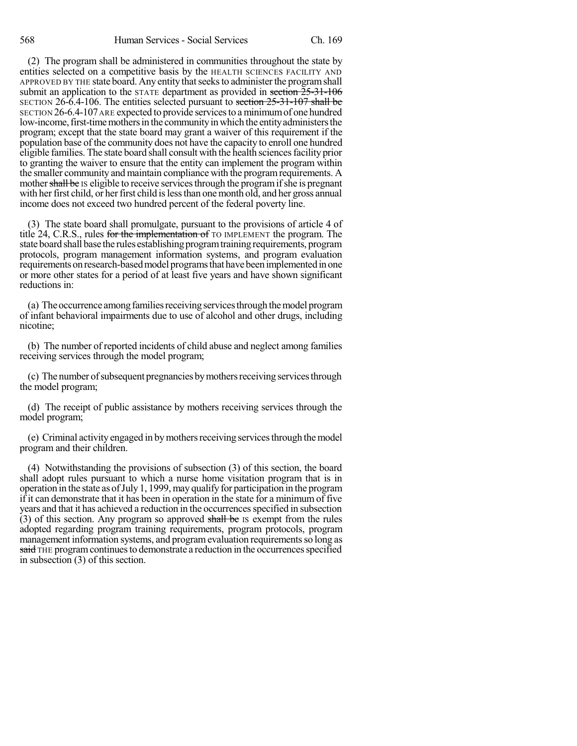(2) The program shall be administered in communities throughout the state by entities selected on a competitive basis by the HEALTH SCIENCES FACILITY AND APPROVED BY THE state board. Any entity thatseeksto administerthe programshall submit an application to the  $STATE$  department as provided in section  $25-31-106$ SECTION 26-6.4-106. The entities selected pursuant to section 25-31-107 shall be SECTION 26-6.4-107ARE expected to provide servicesto aminimumof one hundred low-income, first-time mothers in the community in which the entity administers the program; except that the state board may grant a waiver of this requirement if the population base of the community does not have the capacity to enroll one hundred eligible families. The state board shall consult with the health sciences facility prior to granting the waiver to ensure that the entity can implement the program within the smaller community and maintain compliance with the programrequirements. A mother shall be IS eligible to receive services through the program if she is pregnant with her first child, or her first child is less than one month old, and her gross annual income does not exceed two hundred percent of the federal poverty line.

(3) The state board shall promulgate, pursuant to the provisions of article 4 of title 24, C.R.S., rules for the implementation of TO IMPLEMENT the program. The state board shall base the rules establishing program training requirements, program protocols, program management information systems, and program evaluation requirements on research-based model programs that have been implemented in one or more other states for a period of at least five years and have shown significant reductions in:

(a) The occurrence among families receiving services through the model program of infant behavioral impairments due to use of alcohol and other drugs, including nicotine;

(b) The number of reported incidents of child abuse and neglect among families receiving services through the model program;

(c) The number of subsequent pregnancies by mothers receiving services through the model program;

(d) The receipt of public assistance by mothers receiving services through the model program;

(e) Criminal activity engaged in bymothersreceiving servicesthrough themodel program and their children.

(4) Notwithstanding the provisions of subsection (3) of this section, the board shall adopt rules pursuant to which a nurse home visitation program that is in operation in the state as of July 1, 1999, may qualify for participation in the program if it can demonstrate that it has been in operation in the state for a minimum of five years and that it has achieved a reduction in the occurrencesspecified in subsection (3) of this section. Any program so approved shall be IS exempt from the rules adopted regarding program training requirements, program protocols, program management information systems, and program evaluation requirements so long as said THE program continues to demonstrate a reduction in the occurrences specified in subsection (3) of this section.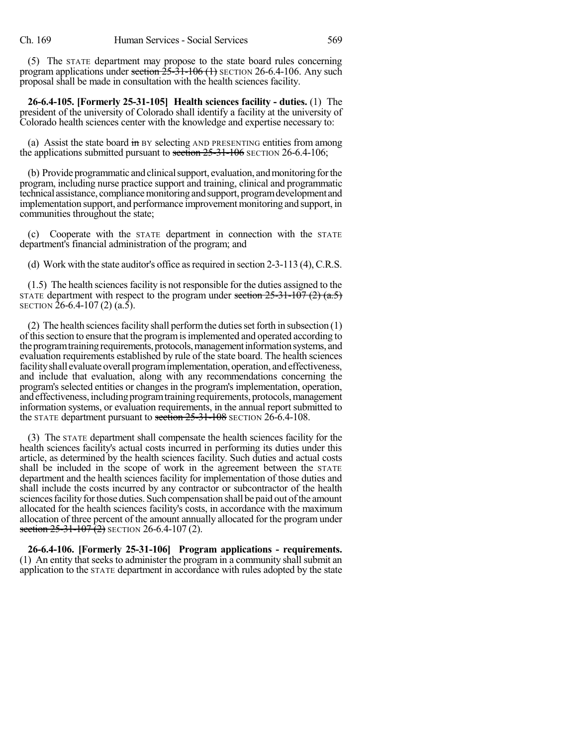(5) The STATE department may propose to the state board rules concerning program applications under section  $25-31-106$  (1) SECTION 26-6.4-106. Any such proposal shall be made in consultation with the health sciences facility.

**26-6.4-105. [Formerly 25-31-105] Health sciences facility - duties.** (1) The president of the university of Colorado shall identify a facility at the university of Colorado health sciences center with the knowledge and expertise necessary to:

(a) Assist the state board in BY selecting AND PRESENTING entities from among the applications submitted pursuant to section  $25-31-106$  SECTION 26-6.4-106;

(b) Provide programmatic and clinical support, evaluation, and monitoring for the program, including nurse practice support and training, clinical and programmatic technical assistance, compliance monitoring and support, program development and implementation support, and performance improvement monitoring and support, in communities throughout the state;

(c) Cooperate with the STATE department in connection with the STATE department's financial administration of the program; and

(d) Work with the state auditor's office as required in section  $2-3-113$  (4), C.R.S.

 $(1.5)$  The health sciences facility is not responsible for the duties assigned to the STATE department with respect to the program under section  $25-31-107$  (2) (a.5) SECTION 26-6.4-107 (2) (a.5).

(2) The health sciences facility shall perform the duties set forth in subsection  $(1)$ of thissection to ensure that the programisimplemented and operated according to the program training requirements, protocols, management information systems, and evaluation requirements established by rule of the state board. The health sciences facility shall evaluate overall program implementation, operation, and effectiveness, and include that evaluation, along with any recommendations concerning the program's selected entities or changes in the program's implementation, operation, and effectiveness, including program training requirements, protocols, management information systems, or evaluation requirements, in the annual report submitted to the STATE department pursuant to section 25-31-108 SECTION 26-6.4-108.

(3) The STATE department shall compensate the health sciences facility for the health sciences facility's actual costs incurred in performing its duties under this article, as determined by the health sciences facility. Such duties and actual costs shall be included in the scope of work in the agreement between the STATE department and the health sciences facility for implementation of those duties and shall include the costs incurred by any contractor or subcontractor of the health sciences facility for those duties. Such compensation shall be paid out of the amount allocated for the health sciences facility's costs, in accordance with the maximum allocation of three percent of the amount annually allocated for the program under section  $25-31-107(2)$  SECTION 26-6.4-107(2).

**26-6.4-106. [Formerly 25-31-106] Program applications - requirements.** (1) An entity that seeks to administer the program in a community shall submit an application to the STATE department in accordance with rules adopted by the state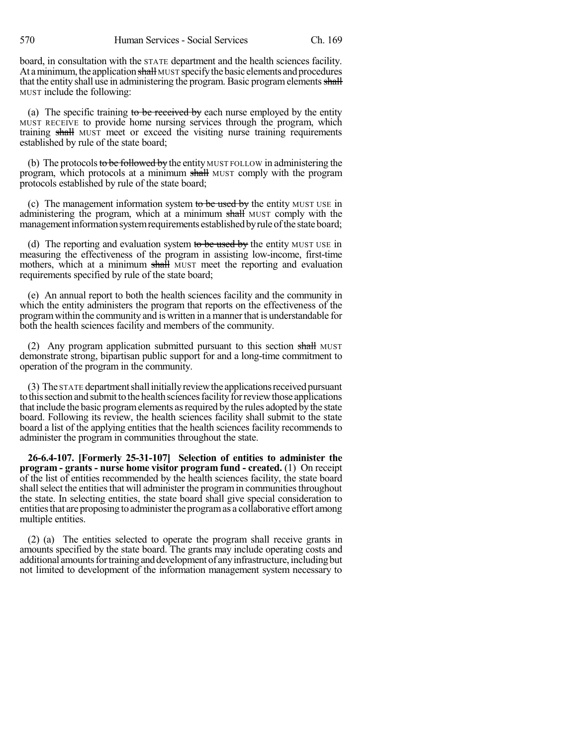board, in consultation with the STATE department and the health sciences facility. At a minimum, the application shall MUST specify the basic elements and procedures that the entity shall use in administering the program. Basic program elements shall MUST include the following:

(a) The specific training to be received by each nurse employed by the entity MUST RECEIVE to provide home nursing services through the program, which training shall MUST meet or exceed the visiting nurse training requirements established by rule of the state board;

(b) The protocols to be followed by the entity MUST FOLLOW in administering the program, which protocols at a minimum shall MUST comply with the program protocols established by rule of the state board;

(c) The management information system to be used by the entity MUST USE in administering the program, which at a minimum shall MUST comply with the management information system requirements established by rule of the state board;

(d) The reporting and evaluation system to be used by the entity MUST USE in measuring the effectiveness of the program in assisting low-income, first-time mothers, which at a minimum shall MUST meet the reporting and evaluation requirements specified by rule of the state board;

(e) An annual report to both the health sciences facility and the community in which the entity administers the program that reports on the effectiveness of the program within the community and is written in a manner that is understandable for both the health sciences facility and members of the community.

(2) Any program application submitted pursuant to this section shall MUST demonstrate strong, bipartisan public support for and a long-time commitment to operation of the program in the community.

(3) The STATE department shall initially review the applications received pursuant to this section and submit to the health sciences facility for review those applications that include the basic program elements as required by the rules adopted by the state board. Following its review, the health sciences facility shall submit to the state board a list of the applying entities that the health sciences facility recommends to administer the program in communities throughout the state.

**26-6.4-107. [Formerly 25-31-107] Selection of entities to administer the program - grants - nurse home visitor program fund - created.** (1) On receipt of the list of entities recommended by the health sciences facility, the state board shall select the entities that will administer the program in communities throughout the state. In selecting entities, the state board shall give special consideration to entitiesthat are proposing to administerthe programas a collaborative effort among multiple entities.

(2) (a) The entities selected to operate the program shall receive grants in amounts specified by the state board. The grants may include operating costs and additional amounts for training and development of any infrastructure, including but not limited to development of the information management system necessary to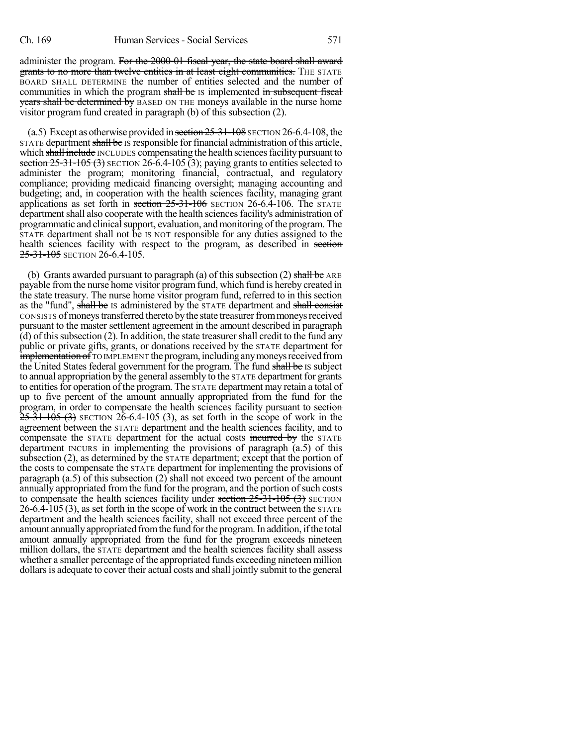administer the program. For the 2000-01 fiscal year, the state board shall award grants to no more than twelve entities in at least eight communities. THE STATE BOARD SHALL DETERMINE the number of entities selected and the number of communities in which the program shall be IS implemented in subsequent fiscal years shall be determined by BASED ON THE moneys available in the nurse home visitor program fund created in paragraph (b) of this subsection (2).

(a.5) Except as otherwise provided in section  $25-31-108$  SECTION 26-6.4-108, the STATE department shall be IS responsible for financial administration of this article, which shall include INCLUDES compensating the health sciences facility pursuant to section  $25-31-105$  (3) SECTION 26-6.4-105 (3); paying grants to entities selected to administer the program; monitoring financial, contractual, and regulatory compliance; providing medicaid financing oversight; managing accounting and budgeting; and, in cooperation with the health sciences facility, managing grant applications as set forth in section 25-31-106 SECTION 26-6.4-106. The STATE department shall also cooperate with the health sciences facility's administration of programmatic and clinical support, evaluation, and monitoring of the program. The STATE department shall not be IS NOT responsible for any duties assigned to the health sciences facility with respect to the program, as described in section 25-31-105 SECTION 26-6.4-105.

(b) Grants awarded pursuant to paragraph (a) of this subsection (2) shall be ARE payable from the nurse home visitor program fund, which fund is hereby created in the state treasury. The nurse home visitor program fund, referred to in this section as the "fund", shall be IS administered by the STATE department and shall consist CONSISTS of moneys transferred thereto by the state treasurer from moneys received pursuant to the master settlement agreement in the amount described in paragraph  $(d)$  of this subsection  $(2)$ . In addition, the state treasurer shall credit to the fund any public or private gifts, grants, or donations received by the STATE department for implementation of TO IMPLEMENT the program, including any moneys received from the United States federal government for the program. The fund shall be IS subject to annual appropriation by the general assembly to the STATE department for grants to entities for operation of the program. The STATE department may retain a total of up to five percent of the amount annually appropriated from the fund for the program, in order to compensate the health sciences facility pursuant to section  $25-31-105$  (3) SECTION 26-6.4-105 (3), as set forth in the scope of work in the agreement between the STATE department and the health sciences facility, and to compensate the STATE department for the actual costs incurred by the STATE department INCURS in implementing the provisions of paragraph (a.5) of this subsection (2), as determined by the STATE department; except that the portion of the costs to compensate the STATE department for implementing the provisions of paragraph (a.5) of this subsection (2) shall not exceed two percent of the amount annually appropriated from the fund for the program, and the portion of such costs to compensate the health sciences facility under section  $25-31-105$   $(3)$  SECTION 26-6.4-105 (3), as set forth in the scope of work in the contract between the STATE department and the health sciences facility, shall not exceed three percent of the amount annuallyappropriated fromthe fund forthe program.In addition, ifthe total amount annually appropriated from the fund for the program exceeds nineteen million dollars, the STATE department and the health sciences facility shall assess whether a smaller percentage of the appropriated funds exceeding nineteen million dollars is adequate to cover their actual costs and shall jointly submit to the general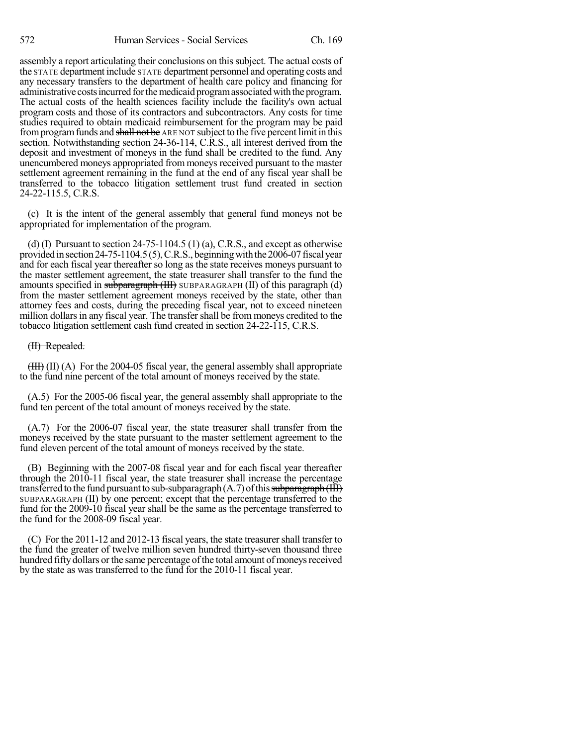assembly a report articulating their conclusions on this subject. The actual costs of the STATE department include STATE department personnel and operating costs and any necessary transfers to the department of health care policy and financing for administrative costs incurred for the medicaid program associated with the program. The actual costs of the health sciences facility include the facility's own actual program costs and those of its contractors and subcontractors. Any costs for time studies required to obtain medicaid reimbursement for the program may be paid from program funds and shall not be ARE NOT subject to the five percent limit in this section. Notwithstanding section 24-36-114, C.R.S., all interest derived from the deposit and investment of moneys in the fund shall be credited to the fund. Any unencumbered moneys appropriated from moneys received pursuant to the master settlement agreement remaining in the fund at the end of any fiscal year shall be transferred to the tobacco litigation settlement trust fund created in section 24-22-115.5, C.R.S.

(c) It is the intent of the general assembly that general fund moneys not be appropriated for implementation of the program.

(d) (I) Pursuant to section  $24-75-1104.5$  (1) (a), C.R.S., and except as otherwise provided in section 24-75-1104.5(5), C.R.S., beginning with the  $2006-07$  fiscal year and for each fiscal year thereafter so long as the state receives moneys pursuant to the master settlement agreement, the state treasurer shall transfer to the fund the amounts specified in subparagraph  $(HH)$  SUBPARAGRAPH  $(II)$  of this paragraph  $(d)$ from the master settlement agreement moneys received by the state, other than attorney fees and costs, during the preceding fiscal year, not to exceed nineteen million dollars in any fiscal year. The transfer shall be from moneys credited to the tobacco litigation settlement cash fund created in section 24-22-115, C.R.S.

### (II) Repealed.

 $(HH)$  (II) (A) For the 2004-05 fiscal year, the general assembly shall appropriate to the fund nine percent of the total amount of moneys received by the state.

(A.5) For the 2005-06 fiscal year, the general assembly shall appropriate to the fund ten percent of the total amount of moneys received by the state.

(A.7) For the 2006-07 fiscal year, the state treasurer shall transfer from the moneys received by the state pursuant to the master settlement agreement to the fund eleven percent of the total amount of moneys received by the state.

(B) Beginning with the 2007-08 fiscal year and for each fiscal year thereafter through the 2010-11 fiscal year, the state treasurer shall increase the percentage transferred to the fund pursuant to sub-subparagraph  $(A.7)$  of this subparagraph  $(HH)$ SUBPARAGRAPH (II) by one percent; except that the percentage transferred to the fund for the 2009-10 fiscal year shall be the same as the percentage transferred to the fund for the 2008-09 fiscal year.

(C) For the 2011-12 and 2012-13 fiscal years, the state treasurershall transfer to the fund the greater of twelve million seven hundred thirty-seven thousand three hundred fifty dollars or the same percentage of the total amount of moneys received by the state as was transferred to the fund for the 2010-11 fiscal year.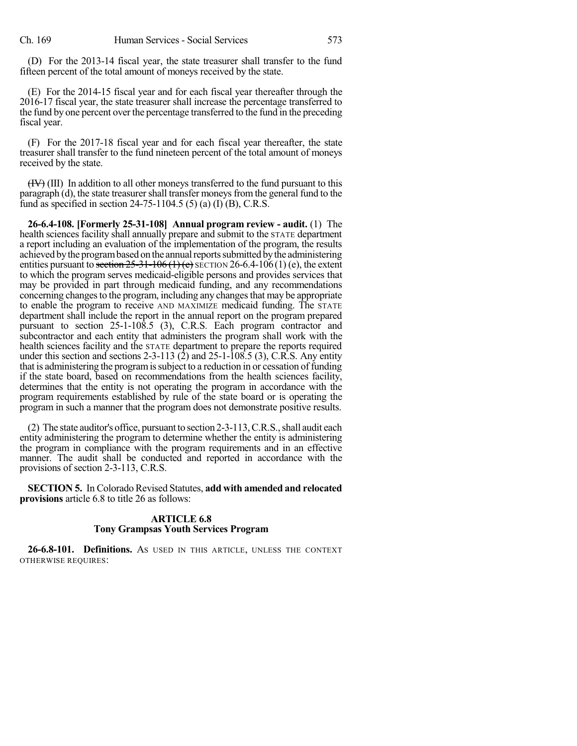(D) For the 2013-14 fiscal year, the state treasurer shall transfer to the fund fifteen percent of the total amount of moneys received by the state.

(E) For the 2014-15 fiscal year and for each fiscal year thereafter through the 2016-17 fiscal year, the state treasurer shall increase the percentage transferred to the fund by one percent over the percentage transferred to the fund in the preceding fiscal year.

(F) For the 2017-18 fiscal year and for each fiscal year thereafter, the state treasurer shall transfer to the fund nineteen percent of the total amount of moneys received by the state.

 $(HV)$  (III) In addition to all other moneys transferred to the fund pursuant to this paragraph (d), the state treasurer shall transfer moneys from the general fund to the fund as specified in section 24-75-1104.5 (5) (a) (I) (B), C.R.S.

**26-6.4-108. [Formerly 25-31-108] Annual program review - audit.** (1) The health sciences facility shall annually prepare and submit to the STATE department a report including an evaluation of the implementation of the program, the results achieved by the program based on the annual reports submitted by the administering entities pursuant to section  $25-31-106(1)$  (e) SECTION 26-6.4-106(1) (e), the extent to which the program serves medicaid-eligible persons and provides services that may be provided in part through medicaid funding, and any recommendations concerning changes to the program, including any changes that may be appropriate to enable the program to receive AND MAXIMIZE medicaid funding. The STATE department shall include the report in the annual report on the program prepared pursuant to section 25-1-108.5 (3), C.R.S. Each program contractor and subcontractor and each entity that administers the program shall work with the health sciences facility and the STATE department to prepare the reports required under this section and sections 2-3-113  $(2)$  and 25-1-108.5  $(3)$ , C.R.S. Any entity that is administering the programissubject to a reduction in or cessation of funding if the state board, based on recommendations from the health sciences facility, determines that the entity is not operating the program in accordance with the program requirements established by rule of the state board or is operating the program in such a manner that the program does not demonstrate positive results.

(2) The state auditor's office, pursuant to section 2-3-113,C.R.S.,shall audit each entity administering the program to determine whether the entity is administering the program in compliance with the program requirements and in an effective manner. The audit shall be conducted and reported in accordance with the provisions of section 2-3-113, C.R.S.

**SECTION 5.** In Colorado Revised Statutes, **add with amended and relocated provisions** article 6.8 to title 26 as follows:

## **ARTICLE 6.8 Tony Grampsas Youth Services Program**

**26-6.8-101. Definitions.** AS USED IN THIS ARTICLE, UNLESS THE CONTEXT OTHERWISE REQUIRES: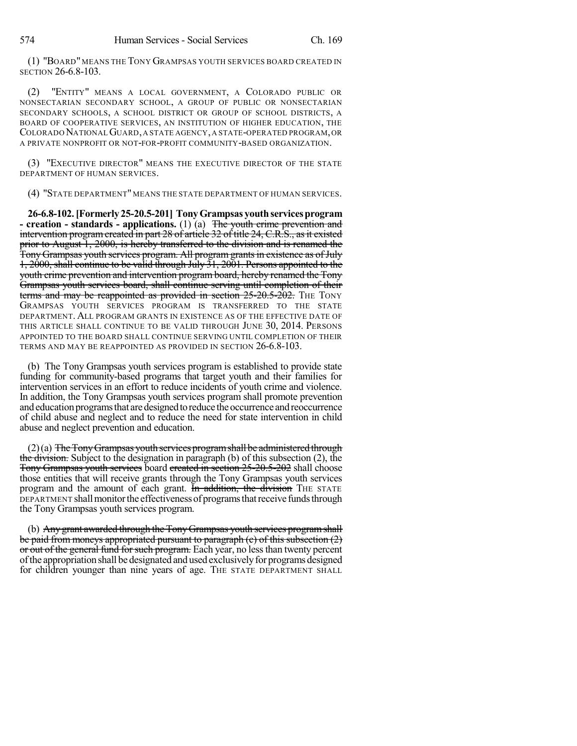(1) "BOARD" MEANS THE TONY GRAMPSAS YOUTH SERVICES BOARD CREATED IN SECTION 26-6.8-103.

(2) "ENTITY" MEANS A LOCAL GOVERNMENT, A COLORADO PUBLIC OR NONSECTARIAN SECONDARY SCHOOL, A GROUP OF PUBLIC OR NONSECTARIAN SECONDARY SCHOOLS, A SCHOOL DISTRICT OR GROUP OF SCHOOL DISTRICTS, A BOARD OF COOPERATIVE SERVICES, AN INSTITUTION OF HIGHER EDUCATION, THE COLORADO NATIONALGUARD,A STATE AGENCY,A STATE-OPERATED PROGRAM,OR A PRIVATE NONPROFIT OR NOT-FOR-PROFIT COMMUNITY-BASED ORGANIZATION.

(3) "EXECUTIVE DIRECTOR" MEANS THE EXECUTIVE DIRECTOR OF THE STATE DEPARTMENT OF HUMAN SERVICES.

(4) "STATE DEPARTMENT" MEANS THE STATE DEPARTMENT OF HUMAN SERVICES.

**26-6.8-102.[Formerly 25-20.5-201] TonyGrampsas youthservicesprogram - creation - standards - applications.** (1) (a) The youth crime prevention and intervention program created in part 28 of article 32 of title 24, C.R.S., as it existed prior to August 1, 2000, is hereby transferred to the division and is renamed the Tony Grampsas youth services program. All program grants in existence as of July 1, 2000, shall continue to be valid through July 31, 2001. Persons appointed to the youth crime prevention and intervention program board, hereby renamed the Tony Grampsas youth services board, shall continue serving until completion of their terms and may be reappointed as provided in section 25-20.5-202. THE TONY GRAMPSAS YOUTH SERVICES PROGRAM IS TRANSFERRED TO THE STATE DEPARTMENT. ALL PROGRAM GRANTS IN EXISTENCE AS OF THE EFFECTIVE DATE OF THIS ARTICLE SHALL CONTINUE TO BE VALID THROUGH JUNE 30, 2014. PERSONS APPOINTED TO THE BOARD SHALL CONTINUE SERVING UNTIL COMPLETION OF THEIR TERMS AND MAY BE REAPPOINTED AS PROVIDED IN SECTION 26-6.8-103.

(b) The Tony Grampsas youth services program is established to provide state funding for community-based programs that target youth and their families for intervention services in an effort to reduce incidents of youth crime and violence. In addition, the Tony Grampsas youth services program shall promote prevention and education programs that are designed to reduce the occurrence and reoccurrence of child abuse and neglect and to reduce the need for state intervention in child abuse and neglect prevention and education.

 $(2)(a)$  The Tony Grampsas youth services program shall be administered through the division. Subject to the designation in paragraph (b) of this subsection (2), the Tony Grampsas youth services board created in section 25-20.5-202 shall choose those entities that will receive grants through the Tony Grampsas youth services program and the amount of each grant. In addition, the division THE STATE DEPARTMENT shall monitor the effectiveness of programs that receive funds through the Tony Grampsas youth services program.

(b) Any grant awarded through the Tony Grampsas youth services programshall be paid from moneys appropriated pursuant to paragraph (e) of this subsection (2) or out of the general fund for such program. Each year, no less than twenty percent ofthe appropriation shall be designated and usedexclusivelyfor programs designed for children younger than nine years of age. THE STATE DEPARTMENT SHALL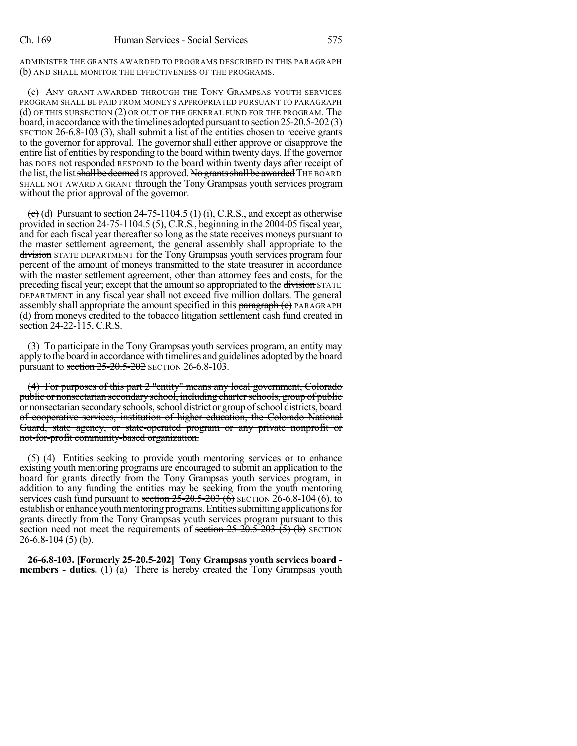ADMINISTER THE GRANTS AWARDED TO PROGRAMS DESCRIBED IN THIS PARAGRAPH (b) AND SHALL MONITOR THE EFFECTIVENESS OF THE PROGRAMS.

(c) ANY GRANT AWARDED THROUGH THE TONY GRAMPSAS YOUTH SERVICES PROGRAM SHALL BE PAID FROM MONEYS APPROPRIATED PURSUANT TO PARAGRAPH (d) OF THIS SUBSECTION (2) OR OUT OF THE GENERAL FUND FOR THE PROGRAM. The board, in accordance with the timelines adopted pursuant to section  $25-20.5-202(3)$ SECTION 26-6.8-103 (3), shall submit a list of the entities chosen to receive grants to the governor for approval. The governor shall either approve or disapprove the entire list of entities by responding to the board within twenty days. If the governor has DOES not responded RESPOND to the board within twenty days after receipt of the list, the list shall be deemed IS approved. No grants shall be awarded THE BOARD SHALL NOT AWARD A GRANT through the Tony Grampsas youth services program without the prior approval of the governor.

 $\left(\frac{1}{2}\right)$  (d) Pursuant to section 24-75-1104.5 (1) (i), C.R.S., and except as otherwise provided in section 24-75-1104.5 (5), C.R.S., beginning in the 2004-05 fiscal year, and for each fiscal year thereafter so long as the state receives moneys pursuant to the master settlement agreement, the general assembly shall appropriate to the division STATE DEPARTMENT for the Tony Grampsas youth services program four percent of the amount of moneys transmitted to the state treasurer in accordance with the master settlement agreement, other than attorney fees and costs, for the preceding fiscal year; except that the amount so appropriated to the division STATE DEPARTMENT in any fiscal year shall not exceed five million dollars. The general assembly shall appropriate the amount specified in this paragraph (c) PARAGRAPH (d) from moneys credited to the tobacco litigation settlement cash fund created in section 24-22-115, C.R.S.

(3) To participate in the Tony Grampsas youth services program, an entity may applyto the board in accordancewith timelines and guidelines adopted bythe board pursuant to section 25-20.5-202 SECTION 26-6.8-103.

(4) For purposes of this part 2 "entity" means any local government, Colorado public or nonsectarian secondary school, including charter schools, group of public or nonsectarian secondary schools, school district or group of school districts, board of cooperative services, institution of higher education, the Colorado National Guard, state agency, or state-operated program or any private nonprofit or not-for-profit community-based organization.

 $(5)$  (4) Entities seeking to provide youth mentoring services or to enhance existing youth mentoring programs are encouraged to submit an application to the board for grants directly from the Tony Grampsas youth services program, in addition to any funding the entities may be seeking from the youth mentoring services cash fund pursuant to section  $25-20.5-20.3$  (6) SECTION 26-6.8-104 (6), to establish or enhance youth mentoring programs. Entities submitting applications for grants directly from the Tony Grampsas youth services program pursuant to this section need not meet the requirements of section  $25{\text -}20{\text -}5{\text -}203$  (5) (b) SECTION 26-6.8-104 (5) (b).

**26-6.8-103. [Formerly 25-20.5-202] Tony Grampsas youth services board members - duties.** (1) (a) There is hereby created the Tony Grampsas youth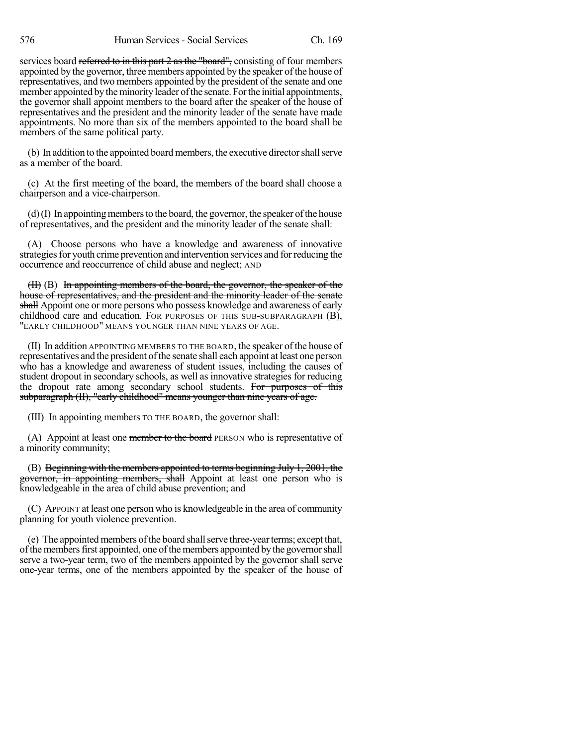services board referred to in this part 2 as the "board", consisting of four members appointed by the governor, three members appointed by the speaker of the house of representatives, and two members appointed by the president of the senate and one member appointed by the minority leader of the senate. For the initial appointments, the governor shall appoint members to the board after the speaker of the house of representatives and the president and the minority leader of the senate have made appointments. No more than six of the members appointed to the board shall be members of the same political party.

(b) In addition to the appointed board members, the executive directorshallserve as a member of the board.

(c) At the first meeting of the board, the members of the board shall choose a chairperson and a vice-chairperson.

 $(d)$  (I) In appointing members to the board, the governor, the speaker of the house of representatives, and the president and the minority leader of the senate shall:

(A) Choose persons who have a knowledge and awareness of innovative strategies for youth crime prevention and intervention services and for reducing the occurrence and reoccurrence of child abuse and neglect; AND

(II) (B) In appointing members of the board, the governor, the speaker of the house of representatives, and the president and the minority leader of the senate shall Appoint one or more persons who possess knowledge and awareness of early childhood care and education. FOR PURPOSES OF THIS SUB-SUBPARAGRAPH (B), "EARLY CHILDHOOD" MEANS YOUNGER THAN NINE YEARS OF AGE.

(II) In addition APPOINTING MEMBERS TO THE BOARD, the speaker of the house of representatives and the president of the senate shall each appoint at least one person who has a knowledge and awareness of student issues, including the causes of student dropout in secondary schools, as well as innovative strategies for reducing the dropout rate among secondary school students. For purposes of this subparagraph (II), "early childhood" means younger than nine years of age.

(III) In appointing members TO THE BOARD, the governor shall:

(A) Appoint at least one member to the board PERSON who is representative of a minority community;

(B) Beginning with the members appointed to terms beginning July 1, 2001, the governor, in appointing members, shall Appoint at least one person who is knowledgeable in the area of child abuse prevention; and

(C) APPOINT at least one person who is knowledgeable in the area of community planning for youth violence prevention.

(e) The appointed members of the board shall serve three-year terms; except that, of the members first appointed, one of the members appointed by the governor shall serve a two-year term, two of the members appointed by the governor shall serve one-year terms, one of the members appointed by the speaker of the house of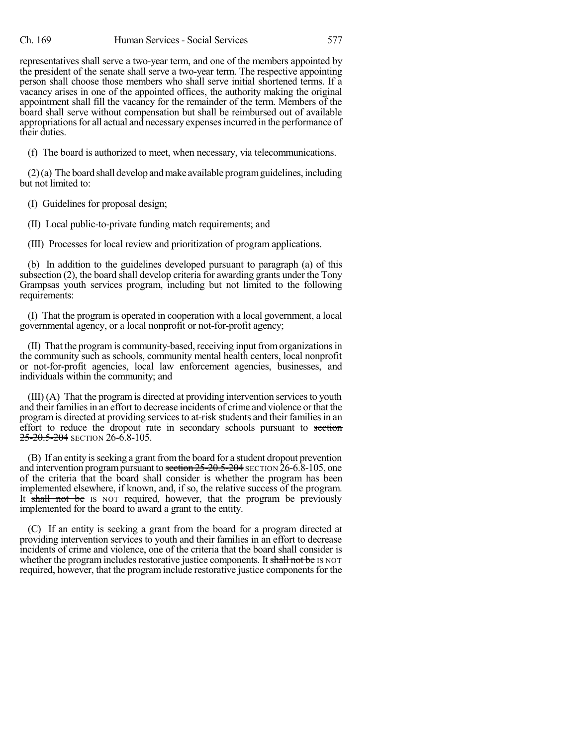representatives shall serve a two-year term, and one of the members appointed by the president of the senate shall serve a two-year term. The respective appointing person shall choose those members who shall serve initial shortened terms. If a vacancy arises in one of the appointed offices, the authority making the original appointment shall fill the vacancy for the remainder of the term. Members of the board shall serve without compensation but shall be reimbursed out of available appropriations for all actual and necessary expenses incurred in the performance of their duties.

(f) The board is authorized to meet, when necessary, via telecommunications.

 $(2)$ (a) The board shall develop and make available program guidelines, including but not limited to:

(I) Guidelines for proposal design;

(II) Local public-to-private funding match requirements; and

(III) Processes for local review and prioritization of program applications.

(b) In addition to the guidelines developed pursuant to paragraph (a) of this subsection (2), the board shall develop criteria for awarding grants under the Tony Grampsas youth services program, including but not limited to the following requirements:

(I) That the program is operated in cooperation with a local government, a local governmental agency, or a local nonprofit or not-for-profit agency;

(II) That the programis community-based, receiving input fromorganizationsin the community such as schools, community mental health centers, local nonprofit or not-for-profit agencies, local law enforcement agencies, businesses, and individuals within the community; and

(III) (A) That the program is directed at providing intervention servicesto youth and their families in an effort to decrease incidents of crime and violence or that the programis directed at providing servicesto at-risk students and their familiesin an effort to reduce the dropout rate in secondary schools pursuant to section 25-20.5-204 SECTION 26-6.8-105.

(B) If an entity isseeking a grant fromthe board for a student dropout prevention and intervention program pursuant to section 25-20.5-204 SECTION 26-6.8-105, one of the criteria that the board shall consider is whether the program has been implemented elsewhere, if known, and, if so, the relative success of the program. It shall not be IS NOT required, however, that the program be previously implemented for the board to award a grant to the entity.

(C) If an entity is seeking a grant from the board for a program directed at providing intervention services to youth and their families in an effort to decrease incidents of crime and violence, one of the criteria that the board shall consider is whether the program includes restorative justice components. It shall not be IS NOT required, however, that the program include restorative justice components for the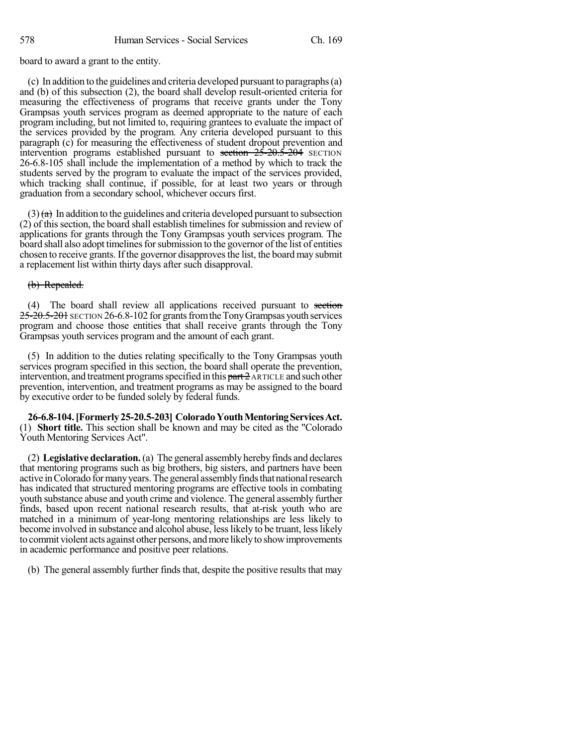board to award a grant to the entity.

(c) In addition to the guidelines and criteria developed pursuant to paragraphs(a) and (b) of this subsection (2), the board shall develop result-oriented criteria for measuring the effectiveness of programs that receive grants under the Tony Grampsas youth services program as deemed appropriate to the nature of each program including, but not limited to, requiring grantees to evaluate the impact of the services provided by the program. Any criteria developed pursuant to this paragraph (c) for measuring the effectiveness of student dropout prevention and intervention programs established pursuant to section  $25-20.5-204$  SECTION 26-6.8-105 shall include the implementation of a method by which to track the students served by the program to evaluate the impact of the services provided, which tracking shall continue, if possible, for at least two years or through graduation from a secondary school, whichever occurs first.

 $(3)$   $\left(\frac{\partial}{\partial t}\right)$  In addition to the guidelines and criteria developed pursuant to subsection (2) of thissection, the board shall establish timelines for submission and review of applications for grants through the Tony Grampsas youth services program. The board shall also adopt timelines for submission to the governor of the list of entities chosen to receive grants. If the governor disapproves the list, the board may submit a replacement list within thirty days after such disapproval.

### (b) Repealed.

(4) The board shall review all applications received pursuant to section 25-20.5-201 SECTION 26-6.8-102 for grants from the Tony Grampsas youth services program and choose those entities that shall receive grants through the Tony Grampsas youth services program and the amount of each grant.

(5) In addition to the duties relating specifically to the Tony Grampsas youth services program specified in this section, the board shall operate the prevention, intervention, and treatment programs specified in this  $part 2$  ARTICLE and such other prevention, intervention, and treatment programs as may be assigned to the board by executive order to be funded solely by federal funds.

**26-6.8-104.[Formerly25-20.5-203] ColoradoYouthMentoringServicesAct.** (1) **Short title.** This section shall be known and may be cited as the "Colorado Youth Mentoring Services Act".

(2) **Legislative declaration.**(a) The general assembly hereby finds and declares that mentoring programs such as big brothers, big sisters, and partners have been active in Colorado for many years. The general assembly finds that national research has indicated that structured mentoring programs are effective tools in combating youth substance abuse and youth crime and violence. The general assembly further finds, based upon recent national research results, that at-risk youth who are matched in a minimum of year-long mentoring relationships are less likely to become involved in substance and alcohol abuse, lesslikely to be truant, lesslikely to commit violent acts against other persons, andmore likelyto showimprovements in academic performance and positive peer relations.

(b) The general assembly further finds that, despite the positive results that may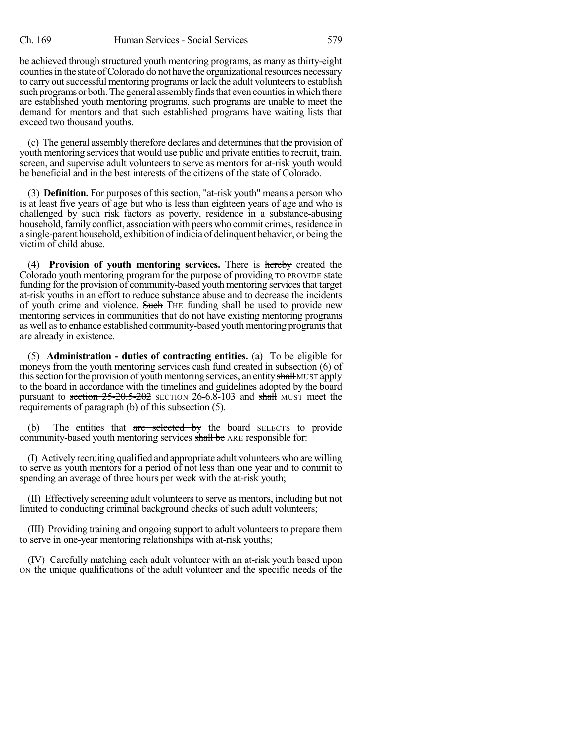be achieved through structured youth mentoring programs, as many as thirty-eight counties in the state of Colorado do not have the organizational resources necessary to carry out successful mentoring programs or lack the adult volunteers to establish such programs or both. The general assembly finds that even counties in which there are established youth mentoring programs, such programs are unable to meet the demand for mentors and that such established programs have waiting lists that exceed two thousand youths.

(c) The general assembly therefore declares and determinesthat the provision of youth mentoring services that would use public and private entities to recruit, train, screen, and supervise adult volunteers to serve as mentors for at-risk youth would be beneficial and in the best interests of the citizens of the state of Colorado.

(3) **Definition.** For purposes of this section, "at-risk youth" means a person who is at least five years of age but who is less than eighteen years of age and who is challenged by such risk factors as poverty, residence in a substance-abusing household, family conflict, association with peers who commit crimes, residence in a single-parent household, exhibition ofindicia of delinquent behavior, or being the victim of child abuse.

(4) **Provision of youth mentoring services.** There is hereby created the Colorado youth mentoring program for the purpose of providing TO PROVIDE state funding for the provision of community-based youth mentoring services that target at-risk youths in an effort to reduce substance abuse and to decrease the incidents of youth crime and violence. Such THE funding shall be used to provide new mentoring services in communities that do not have existing mentoring programs as well asto enhance established community-based youth mentoring programsthat are already in existence.

(5) **Administration - duties of contracting entities.** (a) To be eligible for moneys from the youth mentoring services cash fund created in subsection (6) of this section for the provision of youth mentoring services, an entity shall MUST apply to the board in accordance with the timelines and guidelines adopted by the board pursuant to section  $25{\text -}20{\text -}5{\text -}202$  SECTION 26-6.8-103 and shall MUST meet the requirements of paragraph (b) of this subsection (5).

(b) The entities that  $\alpha$ re selected by the board SELECTS to provide community-based youth mentoring services shall be ARE responsible for:

(I) Actively recruiting qualified and appropriate adult volunteers who are willing to serve as youth mentors for a period of not less than one year and to commit to spending an average of three hours per week with the at-risk youth;

(II) Effectively screening adult volunteersto serve as mentors, including but not limited to conducting criminal background checks of such adult volunteers;

(III) Providing training and ongoing support to adult volunteers to prepare them to serve in one-year mentoring relationships with at-risk youths;

(IV) Carefully matching each adult volunteer with an at-risk youth based upon ON the unique qualifications of the adult volunteer and the specific needs of the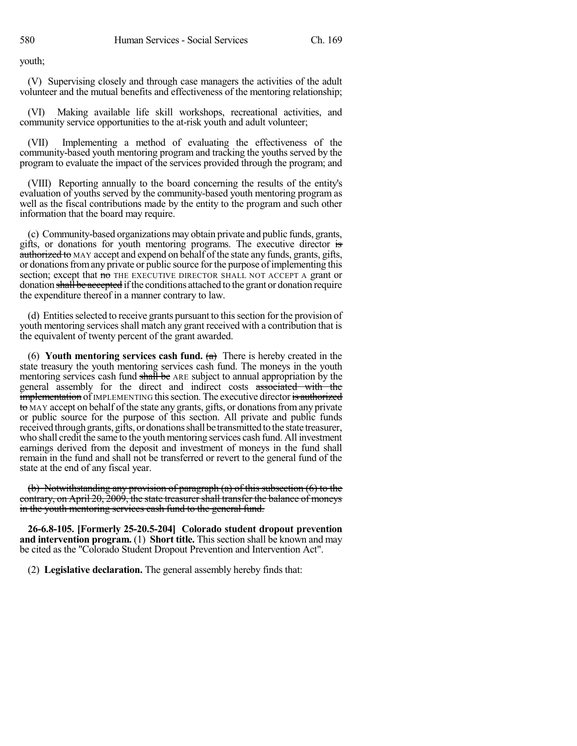youth;

(V) Supervising closely and through case managers the activities of the adult volunteer and the mutual benefits and effectiveness of the mentoring relationship;

(VI) Making available life skill workshops, recreational activities, and community service opportunities to the at-risk youth and adult volunteer;

(VII) Implementing a method of evaluating the effectiveness of the community-based youth mentoring program and tracking the youths served by the program to evaluate the impact of the services provided through the program; and

(VIII) Reporting annually to the board concerning the results of the entity's evaluation of youths served by the community-based youth mentoring program as well as the fiscal contributions made by the entity to the program and such other information that the board may require.

(c) Community-based organizations may obtain private and public funds, grants, gifts, or donations for youth mentoring programs. The executive director is authorized to MAY accept and expend on behalf of the state any funds, grants, gifts, or donations from any private or public source for the purpose of implementing this section; except that no THE EXECUTIVE DIRECTOR SHALL NOT ACCEPT A grant or donation shall be accepted if the conditions attached to the grant or donation require the expenditure thereof in a manner contrary to law.

(d) Entitiesselected to receive grants pursuant to thissection for the provision of youth mentoring services shall match any grant received with a contribution that is the equivalent of twenty percent of the grant awarded.

(6) **Youth mentoring services cash fund.** (a) There is hereby created in the state treasury the youth mentoring services cash fund. The moneys in the youth mentoring services cash fund shall be ARE subject to annual appropriation by the general assembly for the direct and indirect costs associated with the **implementation** of IMPLEMENTING this section. The executive director is authorized to MAY accept on behalf of the state any grants, gifts, or donationsfromany private or public source for the purpose of this section. All private and public funds received through grants, gifts, or donations shall be transmitted to the state treasurer, who shall credit the same to the youth mentoring services cash fund. All investment earnings derived from the deposit and investment of moneys in the fund shall remain in the fund and shall not be transferred or revert to the general fund of the state at the end of any fiscal year.

(b) Notwithstanding any provision of paragraph (a) of this subsection (6) to the contrary, on April 20, 2009, the state treasurershall transfer the balance of moneys in the youth mentoring services cash fund to the general fund.

**26-6.8-105. [Formerly 25-20.5-204] Colorado student dropout prevention and intervention program.** (1) **Short title.** This section shall be known and may be cited as the "Colorado Student Dropout Prevention and Intervention Act".

(2) **Legislative declaration.** The general assembly hereby finds that: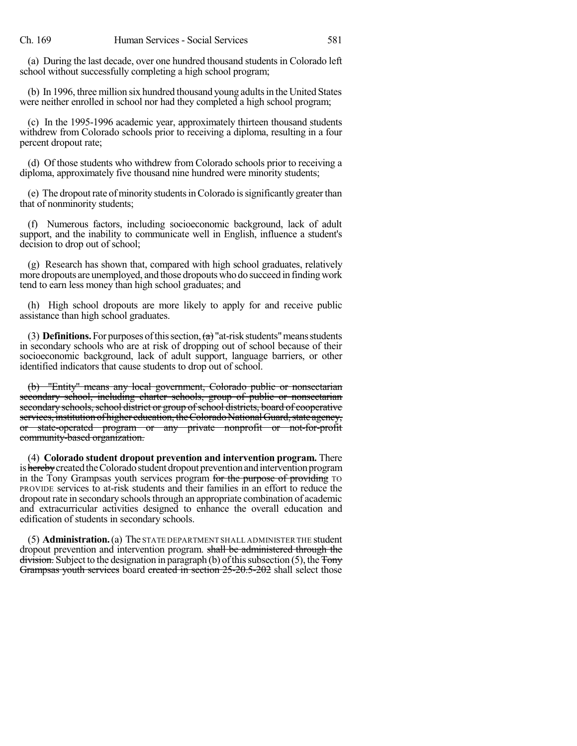(a) During the last decade, over one hundred thousand students in Colorado left school without successfully completing a high school program;

(b) In 1996, three million six hundred thousand young adultsin the United States were neither enrolled in school nor had they completed a high school program;

(c) In the 1995-1996 academic year, approximately thirteen thousand students withdrew from Colorado schools prior to receiving a diploma, resulting in a four percent dropout rate;

(d) Of those students who withdrew from Colorado schools prior to receiving a diploma, approximately five thousand nine hundred were minority students;

(e) The dropout rate of minority students in Colorado is significantly greater than that of nonminority students;

(f) Numerous factors, including socioeconomic background, lack of adult support, and the inability to communicate well in English, influence a student's decision to drop out of school;

(g) Research has shown that, compared with high school graduates, relatively more dropouts are unemployed, and those dropouts who do succeed in finding work tend to earn less money than high school graduates; and

(h) High school dropouts are more likely to apply for and receive public assistance than high school graduates.

(3) **Definitions.** For purposes of this section,  $(a)$  "at-risk students" means students in secondary schools who are at risk of dropping out of school because of their socioeconomic background, lack of adult support, language barriers, or other identified indicators that cause students to drop out of school.

(b) "Entity" means any local government, Colorado public or nonsectarian secondary school, including charter schools, group of public or nonsectarian secondary schools, school district or group of school districts, board of cooperative services, institution of higher education, the Colorado National Guard, state agency, or state-operated program or any private nonprofit or not-for-profit community-based organization.

(4) **Colorado student dropout prevention and intervention program.** There is hereby created the Colorado student dropout prevention and intervention program in the Tony Grampsas youth services program for the purpose of providing TO PROVIDE services to at-risk students and their families in an effort to reduce the dropout rate in secondary schoolsthrough an appropriate combination of academic and extracurricular activities designed to enhance the overall education and edification of students in secondary schools.

(5) **Administration.**(a) The STATE DEPARTMENT SHALL ADMINISTER THE student dropout prevention and intervention program. shall be administered through the  $div\ddot{\mathbf{s}}$  Subject to the designation in paragraph (b) of this subsection (5), the  $\ddot{\mathbf{T}}$ ony Grampsas youth services board created in section 25-20.5-202 shall select those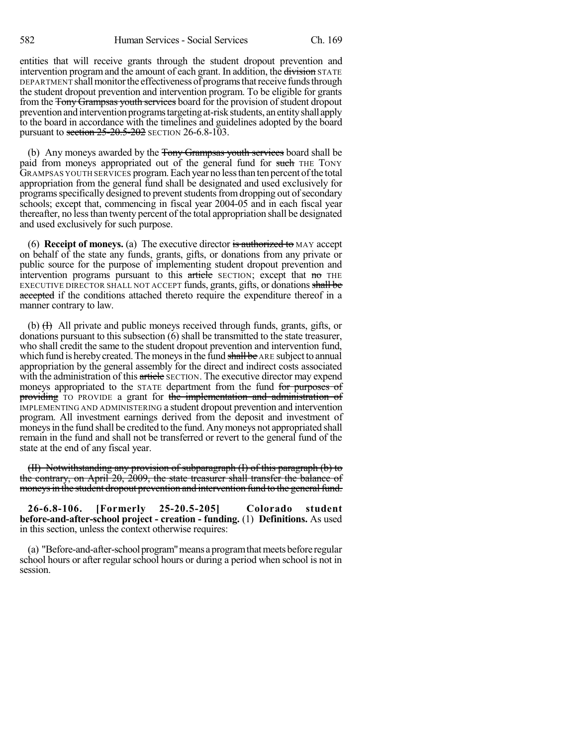entities that will receive grants through the student dropout prevention and intervention program and the amount of each grant. In addition, the division STATE DEPARTMENT shall monitor the effectiveness of programs that receive funds through the student dropout prevention and intervention program. To be eligible for grants from the Tony Grampsas youth services board for the provision of student dropout prevention and intervention programs targeting at-risk students, an entity shall apply to the board in accordance with the timelines and guidelines adopted by the board pursuant to section  $25-20.5-202$  SECTION 26-6.8-103.

(b) Any moneys awarded by the Tony Grampsas youth services board shall be paid from moneys appropriated out of the general fund for such THE TONY GRAMPSAS YOUTH SERVICES program.Each year no lessthan ten percent ofthe total appropriation from the general fund shall be designated and used exclusively for programs specifically designed to prevent students from dropping out of secondary schools; except that, commencing in fiscal year 2004-05 and in each fiscal year thereafter, no lessthan twenty percent of the total appropriation shall be designated and used exclusively for such purpose.

(6) **Receipt of moneys.** (a) The executive director is authorized to MAY accept on behalf of the state any funds, grants, gifts, or donations from any private or public source for the purpose of implementing student dropout prevention and intervention programs pursuant to this article SECTION; except that no THE EXECUTIVE DIRECTOR SHALL NOT ACCEPT funds, grants, gifts, or donations shall be accepted if the conditions attached thereto require the expenditure thereof in a manner contrary to law.

(b) (I) All private and public moneys received through funds, grants, gifts, or donations pursuant to this subsection (6) shall be transmitted to the state treasurer, who shall credit the same to the student dropout prevention and intervention fund, which fund is hereby created. The moneys in the fund shall be ARE subject to annual appropriation by the general assembly for the direct and indirect costs associated with the administration of this article SECTION. The executive director may expend moneys appropriated to the STATE department from the fund for purposes of providing TO PROVIDE a grant for the implementation and administration of IMPLEMENTING AND ADMINISTERING a student dropout prevention and intervention program. All investment earnings derived from the deposit and investment of moneys in the fund shall be credited to the fund. Any moneys not appropriated shall remain in the fund and shall not be transferred or revert to the general fund of the state at the end of any fiscal year.

(II) Notwithstanding any provision of subparagraph (I) of this paragraph (b) to the contrary, on April 20, 2009, the state treasurer shall transfer the balance of moneys in the student dropout prevention and intervention fund to the general fund.

**26-6.8-106. [Formerly 25-20.5-205] Colorado student before-and-after-school project - creation - funding.** (1) **Definitions.** As used in this section, unless the context otherwise requires:

(a) "Before-and-after-schoolprogram"means aprogramthatmeetsbefore regular school hours or after regular school hours or during a period when school is not in session.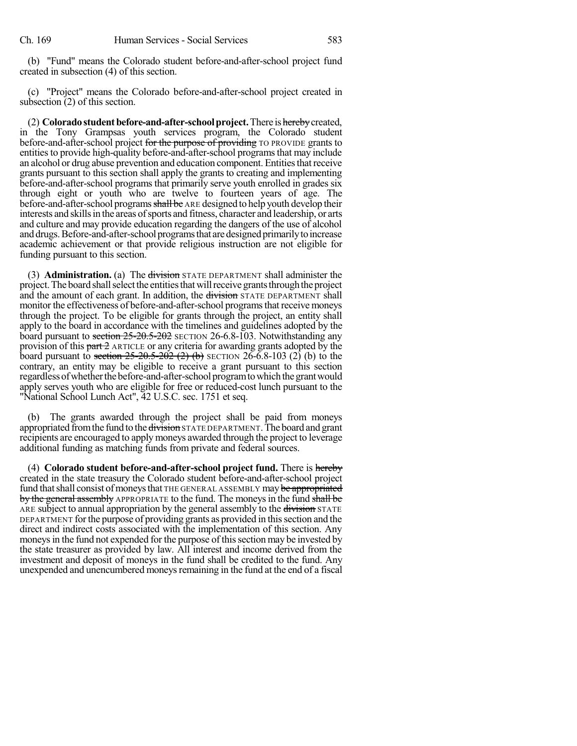(b) "Fund" means the Colorado student before-and-after-school project fund created in subsection (4) of this section.

(c) "Project" means the Colorado before-and-after-school project created in subsection (2) of this section.

(2) **Colorado student before-and-after-school project.** There is hereby created, in the Tony Grampsas youth services program, the Colorado student before-and-after-school project for the purpose of providing TO PROVIDE grants to entities to provide high-quality before-and-after-school programs that may include an alcohol or drug abuse prevention and education component. Entitiesthatreceive grants pursuant to this section shall apply the grants to creating and implementing before-and-after-school programs that primarily serve youth enrolled in grades six through eight or youth who are twelve to fourteen years of age. The before-and-after-school programs shall be ARE designed to help youth develop their interests and skills in the areas of sports and fitness, character and leadership, or arts and culture and may provide education regarding the dangers of the use of alcohol and drugs. Before-and-after-school programs that are designed primarily to increase academic achievement or that provide religious instruction are not eligible for funding pursuant to this section.

(3) **Administration.** (a) The division STATE DEPARTMENT shall administer the project. The board shall select the entities that will receive grants through the project and the amount of each grant. In addition, the division STATE DEPARTMENT shall monitor the effectiveness of before-and-after-school programsthat receive moneys through the project. To be eligible for grants through the project, an entity shall apply to the board in accordance with the timelines and guidelines adopted by the board pursuant to section 25-20.5-202 SECTION 26-6.8-103. Notwithstanding any provision of this  $part 2$  ARTICLE or any criteria for awarding grants adopted by the board pursuant to section  $25-20.5-202$  (2) (b) SECTION 26-6.8-103 (2) (b) to the contrary, an entity may be eligible to receive a grant pursuant to this section regardless of whether the before-and-after-school program to which the grant would apply serves youth who are eligible for free or reduced-cost lunch pursuant to the "National School Lunch Act", 42 U.S.C. sec. 1751 et seq.

(b) The grants awarded through the project shall be paid from moneys appropriated from the fund to the division STATE DEPARTMENT. The board and grant recipients are encouraged to apply moneys awarded through the project to leverage additional funding as matching funds from private and federal sources.

(4) **Colorado student before-and-after-school project fund.** There is hereby created in the state treasury the Colorado student before-and-after-school project fund that shall consist of moneys that THE GENERAL ASSEMBLY may be appropriated by the general assembly APPROPRIATE to the fund. The moneys in the fund shall be ARE subject to annual appropriation by the general assembly to the division STATE DEPARTMENT for the purpose of providing grants as provided in this section and the direct and indirect costs associated with the implementation of this section. Any moneys in the fund not expended for the purpose of this section may be invested by the state treasurer as provided by law. All interest and income derived from the investment and deposit of moneys in the fund shall be credited to the fund. Any unexpended and unencumbered moneys remaining in the fund at the end of a fiscal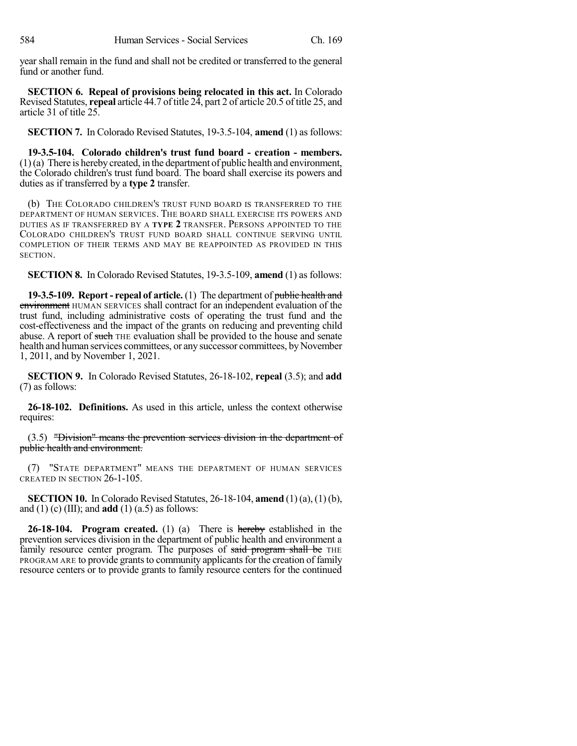year shall remain in the fund and shall not be credited or transferred to the general fund or another fund.

**SECTION 6. Repeal of provisions being relocated in this act.** In Colorado Revised Statutes, **repeal** article 44.7 of title 24, part 2 of article 20.5 of title 25, and article 31 of title 25.

**SECTION 7.** In Colorado Revised Statutes, 19-3.5-104, **amend** (1) as follows:

**19-3.5-104. Colorado children's trust fund board - creation - members.**  $(1)(a)$  There is hereby created, in the department of public health and environment, the Colorado children's trust fund board. The board shall exercise its powers and duties as if transferred by a **type 2** transfer.

(b) THE COLORADO CHILDREN'S TRUST FUND BOARD IS TRANSFERRED TO THE DEPARTMENT OF HUMAN SERVICES. THE BOARD SHALL EXERCISE ITS POWERS AND DUTIES AS IF TRANSFERRED BY A **TYPE 2** TRANSFER. PERSONS APPOINTED TO THE COLORADO CHILDREN'S TRUST FUND BOARD SHALL CONTINUE SERVING UNTIL COMPLETION OF THEIR TERMS AND MAY BE REAPPOINTED AS PROVIDED IN THIS SECTION.

**SECTION 8.** In Colorado Revised Statutes, 19-3.5-109, **amend** (1) as follows:

**19-3.5-109. Report- repeal of article.** (1) The department of public health and environment HUMAN SERVICES shall contract for an independent evaluation of the trust fund, including administrative costs of operating the trust fund and the cost-effectiveness and the impact of the grants on reducing and preventing child abuse. A report of such THE evaluation shall be provided to the house and senate health and human services committees, or any successor committees, by November 1, 2011, and by November 1, 2021.

**SECTION 9.** In Colorado Revised Statutes, 26-18-102, **repeal** (3.5); and **add** (7) as follows:

**26-18-102. Definitions.** As used in this article, unless the context otherwise requires:

(3.5) "Division" means the prevention services division in the department of public health and environment.

(7) "STATE DEPARTMENT" MEANS THE DEPARTMENT OF HUMAN SERVICES CREATED IN SECTION 26-1-105.

**SECTION 10.** In Colorado Revised Statutes, 26-18-104, **amend** (1) (a), (1)(b), and (1) (c) (III); and **add** (1) (a.5) as follows:

**26-18-104. Program created.** (1) (a) There is hereby established in the prevention services division in the department of public health and environment a family resource center program. The purposes of said program shall be THE PROGRAM ARE to provide grants to community applicants for the creation of family resource centers or to provide grants to family resource centers for the continued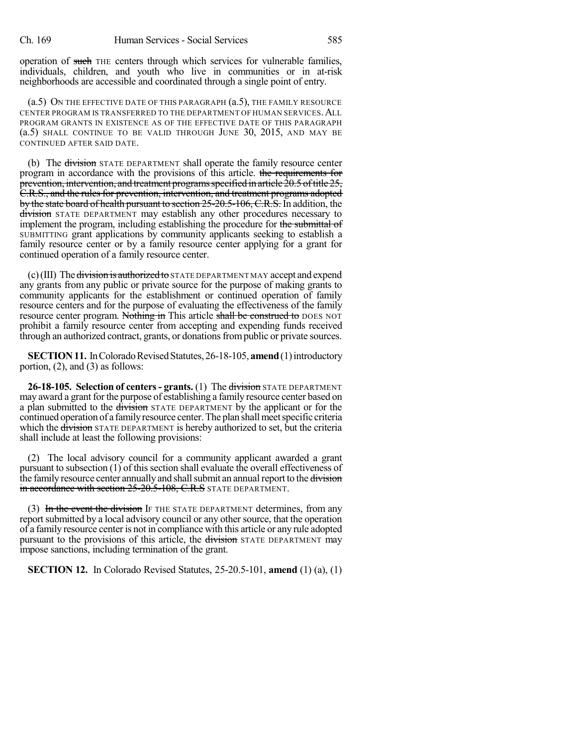operation of such THE centers through which services for vulnerable families, individuals, children, and youth who live in communities or in at-risk neighborhoods are accessible and coordinated through a single point of entry.

(a.5) ON THE EFFECTIVE DATE OF THIS PARAGRAPH (a.5), THE FAMILY RESOURCE CENTER PROGRAM IS TRANSFERRED TO THE DEPARTMENT OF HUMAN SERVICES. ALL PROGRAM GRANTS IN EXISTENCE AS OF THE EFFECTIVE DATE OF THIS PARAGRAPH (a.5) SHALL CONTINUE TO BE VALID THROUGH JUNE 30, 2015, AND MAY BE CONTINUED AFTER SAID DATE.

(b) The division STATE DEPARTMENT shall operate the family resource center program in accordance with the provisions of this article. the requirements for prevention, intervention, and treatment programs specified in article  $20.5$  of title  $25$ , C.R.S., and the rulesfor prevention, intervention, and treatment programs adopted by the state board of health pursuant to section 25-20.5-106, C.R.S. In addition, the division STATE DEPARTMENT may establish any other procedures necessary to implement the program, including establishing the procedure for the submittal of SUBMITTING grant applications by community applicants seeking to establish a family resource center or by a family resource center applying for a grant for continued operation of a family resource center.

 $(c)$ (III) The division is authorized to STATE DEPARTMENT MAY accept and expend any grants from any public or private source for the purpose of making grants to community applicants for the establishment or continued operation of family resource centers and for the purpose of evaluating the effectiveness of the family resource center program. Nothing in This article shall be construed to DOES NOT prohibit a family resource center from accepting and expending funds received through an authorized contract, grants, or donations from public or private sources.

**SECTION 11.** In Colorado Revised Statutes, 26-18-105, **amend** (1) introductory portion, (2), and (3) as follows:

**26-18-105. Selection of centers- grants.** (1) The division STATE DEPARTMENT may award a grant for the purpose of establishing a family resource center based on a plan submitted to the division STATE DEPARTMENT by the applicant or for the continued operation of a family resource center. The plan shall meet specific criteria which the <del>division</del> STATE DEPARTMENT is hereby authorized to set, but the criteria shall include at least the following provisions:

(2) The local advisory council for a community applicant awarded a grant pursuant to subsection  $(1)$  of this section shall evaluate the overall effectiveness of the family resource center annually and shall submit an annual report to the division in accordance with section 25-20.5-108, C.R.S STATE DEPARTMENT.

(3) In the event the division If THE STATE DEPARTMENT determines, from any report submitted by a local advisory council or any other source, that the operation of a family resource centeris not in compliance with this article or any rule adopted pursuant to the provisions of this article, the division STATE DEPARTMENT may impose sanctions, including termination of the grant.

**SECTION 12.** In Colorado Revised Statutes, 25-20.5-101, **amend** (1) (a), (1)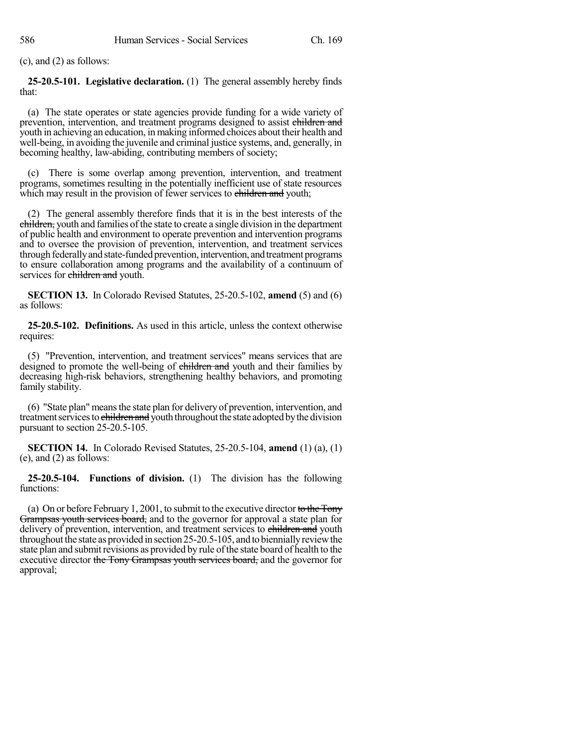(c), and (2) as follows:

**25-20.5-101. Legislative declaration.** (1) The general assembly hereby finds that:

(a) The state operates or state agencies provide funding for a wide variety of prevention, intervention, and treatment programs designed to assist children and youth in achieving an education, in making informed choices about their health and well-being, in avoiding the juvenile and criminal justice systems, and, generally, in becoming healthy, law-abiding, contributing members of society;

(c) There is some overlap among prevention, intervention, and treatment programs, sometimes resulting in the potentially inefficient use of state resources which may result in the provision of fewer services to children and youth;

(2) The general assembly therefore finds that it is in the best interests of the children, youth and families of the state to create a single division in the department of public health and environment to operate prevention and intervention programs and to oversee the provision of prevention, intervention, and treatment services through federally and state-funded prevention, intervention, and treatment programs to ensure collaboration among programs and the availability of a continuum of services for children and youth.

**SECTION 13.** In Colorado Revised Statutes, 25-20.5-102, **amend** (5) and (6) as follows:

**25-20.5-102. Definitions.** As used in this article, unless the context otherwise requires:

(5) "Prevention, intervention, and treatment services" means services that are designed to promote the well-being of children and youth and their families by decreasing high-risk behaviors, strengthening healthy behaviors, and promoting family stability.

(6) "State plan"meansthe state plan for delivery of prevention, intervention, and treatment services to children and youth throughout the state adopted by the division pursuant to section 25-20.5-105.

**SECTION 14.** In Colorado Revised Statutes, 25-20.5-104, **amend** (1) (a), (1) (e), and (2) as follows:

**25-20.5-104. Functions of division.** (1) The division has the following functions:

(a) On or before February 1, 2001, to submit to the executive director to the Tony Grampsas youth services board, and to the governor for approval a state plan for delivery of prevention, intervention, and treatment services to children and youth throughout the state as provided in section  $25$ -20.5-105, and to biennially review the state plan and submit revisions as provided by rule of the state board of health to the executive director the Tony Grampsas youth services board, and the governor for approval;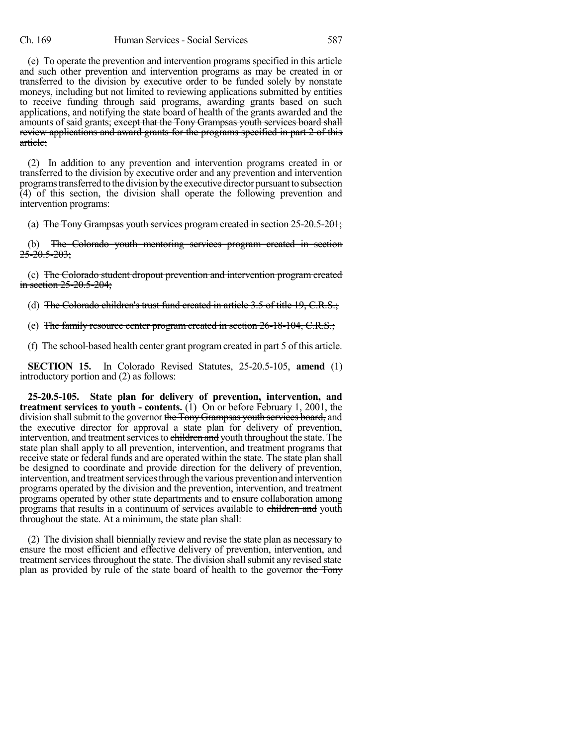(e) To operate the prevention and intervention programs specified in this article and such other prevention and intervention programs as may be created in or transferred to the division by executive order to be funded solely by nonstate moneys, including but not limited to reviewing applications submitted by entities to receive funding through said programs, awarding grants based on such applications, and notifying the state board of health of the grants awarded and the amounts of said grants; except that the Tony Grampsas youth services board shall review applications and award grants for the programs specified in part 2 of this article;

(2) In addition to any prevention and intervention programs created in or transferred to the division by executive order and any prevention and intervention programstransferredto the division bythe executive director pursuanttosubsection (4) of this section, the division shall operate the following prevention and intervention programs:

(a) The Tony Grampsas youth services program created in section 25-20.5-201;

(b) The Colorado youth mentoring services program created in section  $25 - 20.5 - 203$ ;

(c) The Colorado student dropout prevention and intervention program created in section 25-20.5-204;

(d) The Colorado children's trust fund created in article 3.5 of title 19, C.R.S.;

(e) The family resource center program created in section 26-18-104, C.R.S.;

(f) The school-based health center grant programcreated in part 5 of this article.

**SECTION 15.** In Colorado Revised Statutes, 25-20.5-105, **amend** (1) introductory portion and (2) as follows:

**25-20.5-105. State plan for delivery of prevention, intervention, and treatment services to youth - contents.** (1) On or before February 1, 2001, the division shall submit to the governor the Tony Grampsas youth services board, and the executive director for approval a state plan for delivery of prevention, intervention, and treatment services to children and youth throughout the state. The state plan shall apply to all prevention, intervention, and treatment programs that receive state or federal funds and are operated within the state. The state plan shall be designed to coordinate and provide direction for the delivery of prevention, intervention, and treatment services through the various prevention and intervention programs operated by the division and the prevention, intervention, and treatment programs operated by other state departments and to ensure collaboration among programs that results in a continuum of services available to children and youth throughout the state. At a minimum, the state plan shall:

(2) The division shall biennially review and revise the state plan as necessary to ensure the most efficient and effective delivery of prevention, intervention, and treatment services throughout the state. The division shall submit any revised state plan as provided by rule of the state board of health to the governor the Tony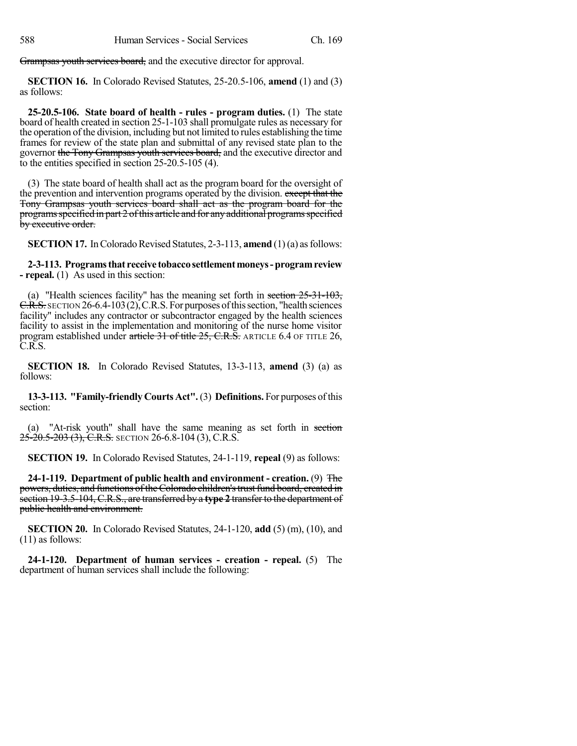Grampsas youth services board, and the executive director for approval.

**SECTION 16.** In Colorado Revised Statutes, 25-20.5-106, **amend** (1) and (3) as follows:

**25-20.5-106. State board of health - rules - program duties.** (1) The state board of health created in section 25-1-103 shall promulgate rules as necessary for the operation of the division, including but not limited to rules establishing the time frames for review of the state plan and submittal of any revised state plan to the governor the Tony Grampsas youth services board, and the executive director and to the entities specified in section 25-20.5-105 (4).

(3) The state board of health shall act as the program board for the oversight of the prevention and intervention programs operated by the division. except that the Tony Grampsas youth services board shall act as the program board for the programs specified in part 2 of this article and for any additional programs specified by executive order.

**SECTION 17.** In Colorado Revised Statutes, 2-3-113, **amend** (1)(a) as follows:

**2-3-113. Programsthat receive tobaccosettlementmoneys-programreview - repeal.** (1) As used in this section:

(a) "Health sciences facility" has the meaning set forth in section  $25-31-103$ ,  $C.R.S.$  SECTION 26-6.4-103(2), C.R.S. For purposes of this section, "health sciences" facility" includes any contractor or subcontractor engaged by the health sciences facility to assist in the implementation and monitoring of the nurse home visitor program established under article 31 of title  $25$ , C.R.S. ARTICLE 6.4 OF TITLE 26, C.R.S.

**SECTION 18.** In Colorado Revised Statutes, 13-3-113, **amend** (3) (a) as follows:

**13-3-113. "Family-friendly Courts Act".**(3) **Definitions.** For purposes ofthis section:

(a) "At-risk youth" shall have the same meaning as set forth in section  $25-20.5-203$  (3), C.R.S. SECTION 26-6.8-104 (3), C.R.S.

**SECTION 19.** In Colorado Revised Statutes, 24-1-119, **repeal** (9) as follows:

**24-1-119. Department of public health and environment - creation.** (9) The powers, duties, and functions of the Colorado children's trust fund board, created in section 19-3.5-104, C.R.S., are transferred by a **type 2** transfer to the department of public health and environment.

**SECTION 20.** In Colorado Revised Statutes, 24-1-120, **add** (5) (m), (10), and (11) as follows:

**24-1-120. Department of human services - creation - repeal.** (5) The department of human services shall include the following: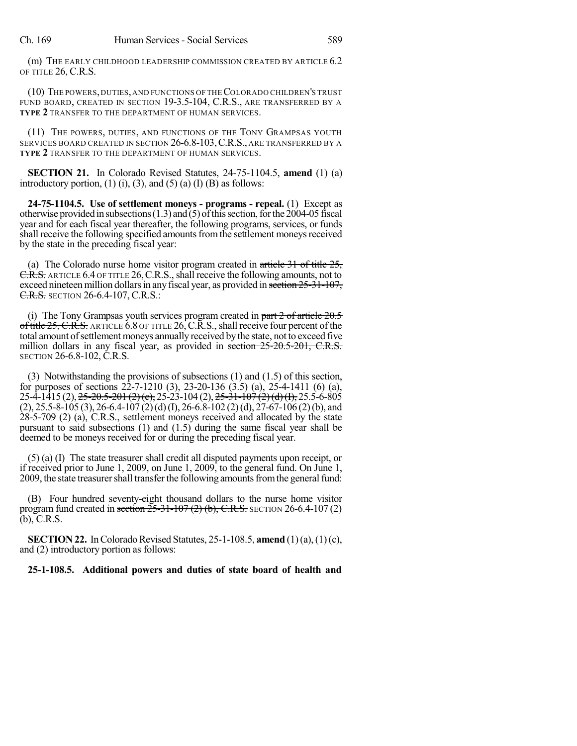(m) THE EARLY CHILDHOOD LEADERSHIP COMMISSION CREATED BY ARTICLE 6.2 OF TITLE 26, C.R.S.

(10) THE POWERS,DUTIES,AND FUNCTIONS OF THECOLORADO CHILDREN'S TRUST FUND BOARD, CREATED IN SECTION 19-3.5-104, C.R.S., ARE TRANSFERRED BY A **TYPE 2** TRANSFER TO THE DEPARTMENT OF HUMAN SERVICES.

(11) THE POWERS, DUTIES, AND FUNCTIONS OF THE TONY GRAMPSAS YOUTH SERVICES BOARD CREATED IN SECTION 26-6.8-103, C.R.S., ARE TRANSFERRED BY A **TYPE 2** TRANSFER TO THE DEPARTMENT OF HUMAN SERVICES.

**SECTION 21.** In Colorado Revised Statutes, 24-75-1104.5, **amend** (1) (a) introductory portion,  $(1)$   $(i)$ ,  $(3)$ , and  $(5)$   $(a)$   $(I)$   $(B)$  as follows:

**24-75-1104.5. Use of settlement moneys - programs - repeal.** (1) Except as otherwise provided in subsections  $(1.3)$  and  $(5)$  of this section, for the 2004-05 fiscal year and for each fiscal year thereafter, the following programs, services, or funds shall receive the following specified amounts from the settlement moneys received by the state in the preceding fiscal year:

(a) The Colorado nurse home visitor program created in article 31 of title 25, C.R.S. ARTICLE 6.4 OF TITLE 26, C.R.S., shall receive the following amounts, not to exceed nineteen million dollars in any fiscal year, as provided in section  $25-31-107$ , **C.R.S.** SECTION 26-6.4-107, C.R.S.:

(i) The Tony Grampsas youth services program created in part  $2 \text{ of article } 20.5$ of title  $25$ , C.R.S. ARTICLE 6.8 OF TITLE  $26$ , C.R.S., shall receive four percent of the total amount of settlement moneys annually received by the state, not to exceed five million dollars in any fiscal year, as provided in section 25-20.5-201, C.R.S. SECTION 26-6.8-102, C.R.S.

(3) Notwithstanding the provisions of subsections (1) and (1.5) of this section, for purposes of sections 22-7-1210 (3), 23-20-136 (3.5) (a), 25-4-1411 (6) (a), 25-4-1415 (2), <del>25-20.5-201 (2) (e),</del> 25-23-104 (2), <del>25-31-107 (2) (d) (I),</del> 25.5-6-805  $(2), 25.5-8-105 (3), 26-6.4-107 (2) (d) (I), 26-6.8-102 (2) (d), 27-67-106 (2) (b), and$ 28-5-709 (2) (a), C.R.S., settlement moneys received and allocated by the state pursuant to said subsections (1) and (1.5) during the same fiscal year shall be deemed to be moneys received for or during the preceding fiscal year.

(5) (a) (I) The state treasurer shall credit all disputed payments upon receipt, or if received prior to June 1, 2009, on June 1, 2009, to the general fund. On June 1, 2009, the state treasurer shall transfer the following amounts from the general fund:

(B) Four hundred seventy-eight thousand dollars to the nurse home visitor program fund created in section  $25-31-107(2)$  (b), C.R.S. SECTION 26-6.4-107(2) (b), C.R.S.

**SECTION 22.** In Colorado Revised Statutes, 25-1-108.5, **amend** (1)(a), (1)(c), and (2) introductory portion as follows:

### **25-1-108.5. Additional powers and duties of state board of health and**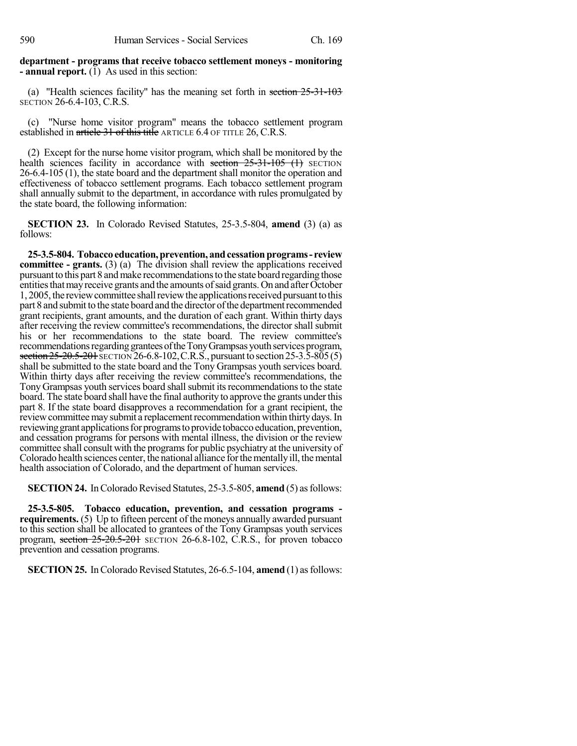**department - programs that receive tobacco settlement moneys - monitoring - annual report.**  $(\overline{1})$  As used in this section:

(a) "Health sciences facility" has the meaning set forth in section 25-31-103 SECTION 26-6.4-103, C.R.S.

(c) "Nurse home visitor program" means the tobacco settlement program established in article 31 of this title ARTICLE 6.4 OF TITLE 26, C.R.S.

(2) Except for the nurse home visitor program, which shall be monitored by the health sciences facility in accordance with section  $25-31-105$  (1) SECTION 26-6.4-105 (1), the state board and the department shall monitor the operation and effectiveness of tobacco settlement programs. Each tobacco settlement program shall annually submit to the department, in accordance with rules promulgated by the state board, the following information:

**SECTION 23.** In Colorado Revised Statutes, 25-3.5-804, **amend** (3) (a) as follows:

**25-3.5-804. Tobaccoeducation,prevention, andcessationprograms- review committee - grants.** (3) (a) The division shall review the applications received pursuant to this part 8 and make recommendations to the state board regarding those entities that may receive grants and the amounts of said grants. On and after October 1, 2005,the reviewcommittee shallreviewthe applicationsreceivedpursuanttothis part 8 and submit to the state board and the director of the department recommended grant recipients, grant amounts, and the duration of each grant. Within thirty days after receiving the review committee's recommendations, the director shall submit his or her recommendations to the state board. The review committee's recommendations regarding grantees of the Tony Grampsas youth services program, section 25-20.5-201 SECTION 26-6.8-102, C.R.S., pursuant to section 25-3.5-805(5) shall be submitted to the state board and the Tony Grampsas youth services board. Within thirty days after receiving the review committee's recommendations, the Tony Grampsas youth services board shall submit its recommendations to the state board. The state board shall have the final authority to approve the grants under this part 8. If the state board disapproves a recommendation for a grant recipient, the review committee may submit a replacement recommendation within thirty days. In reviewing grant applications for programs to provide tobacco education, prevention, and cessation programs for persons with mental illness, the division or the review committee shall consult with the programs for public psychiatry at the university of Colorado health sciences center, the national alliance forthementallyill, themental health association of Colorado, and the department of human services.

**SECTION 24.** In Colorado Revised Statutes, 25-3.5-805, **amend** (5) as follows:

**25-3.5-805. Tobacco education, prevention, and cessation programs requirements.** (5) Up to fifteen percent of the moneys annually awarded pursuant to this section shall be allocated to grantees of the Tony Grampsas youth services program, section  $25-20.5-201$  SECTION 26-6.8-102, C.R.S., for proven tobacco prevention and cessation programs.

**SECTION 25.** In Colorado Revised Statutes, 26-6.5-104, **amend** (1) as follows: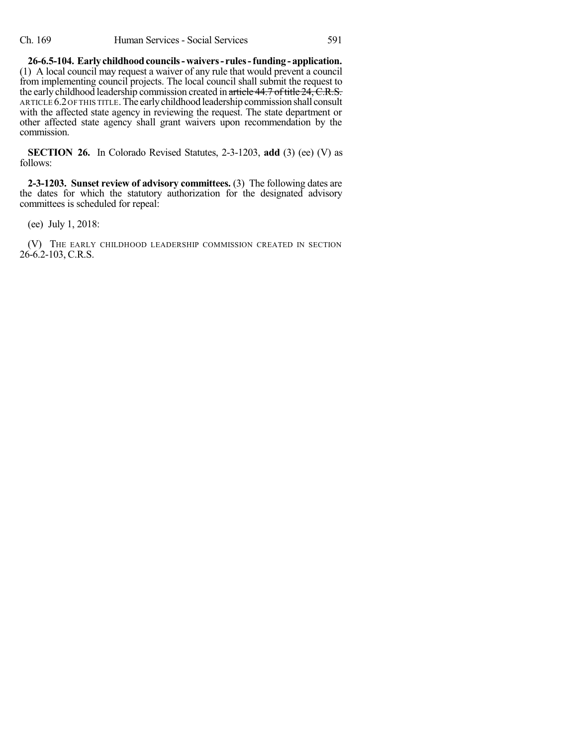**26-6.5-104. Earlychildhoodcouncils-waivers- rules-funding - application.** (1) A local council may request a waiver of any rule that would prevent a council from implementing council projects. The local council shall submit the request to the early childhood leadership commission created in article 44.7 of title 24, C.R.S. ARTICLE 6.2 OF THIS TITLE. The early childhood leadership commission shall consult with the affected state agency in reviewing the request. The state department or other affected state agency shall grant waivers upon recommendation by the commission.

**SECTION 26.** In Colorado Revised Statutes, 2-3-1203, **add** (3) (ee) (V) as follows:

**2-3-1203. Sunset review of advisory committees.** (3) The following dates are the dates for which the statutory authorization for the designated advisory committees is scheduled for repeal:

(ee) July 1, 2018:

(V) THE EARLY CHILDHOOD LEADERSHIP COMMISSION CREATED IN SECTION  $26-6.2-103$ , C.R.S.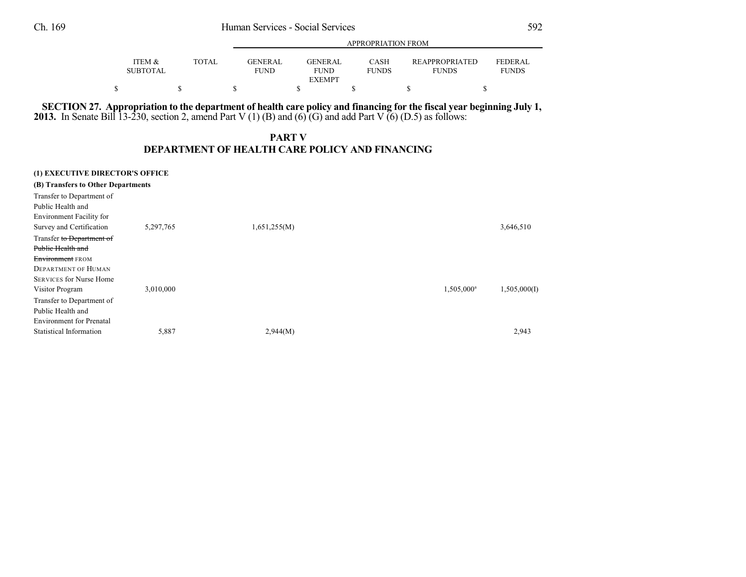|                                      |       |                        | APPROPRIATION FROM |                      |                                       |                                |  |
|--------------------------------------|-------|------------------------|--------------------|----------------------|---------------------------------------|--------------------------------|--|
| <b>ITEM &amp;</b><br><b>SUBTOTAL</b> | TOTAL | <b>GENERAL</b><br>FUND | GENERAL<br>FUND    | CASH<br><b>FUNDS</b> | <b>REAPPROPRIATED</b><br><b>FUNDS</b> | <b>FEDERAL</b><br><b>FUNDS</b> |  |
|                                      |       |                        | <b>EXEMPT</b>      |                      |                                       |                                |  |
|                                      |       |                        |                    |                      |                                       |                                |  |

APPROPRIATION FROM

# SECTION 27. Appropriation to the department of health care policy and financing for the fiscal year beginning July 1,

**2013.** In Senate Bill 13-230, section 2, amend Part V (1) (B) and (6) (G) and add Part V (6) (D.5) as follows:

## **PART V DEPARTMENT OF HEALTH CARE POLICY AND FINANCING**

| (1) EXECUTIVE DIRECTOR'S OFFICE<br>(B) Transfers to Other Departments |           |              |                        |              |
|-----------------------------------------------------------------------|-----------|--------------|------------------------|--------------|
| Transfer to Department of<br>Public Health and                        |           |              |                        |              |
| Environment Facility for                                              |           |              |                        |              |
| Survey and Certification                                              | 5,297,765 | 1,651,255(M) |                        | 3,646,510    |
| Transfer to Department of                                             |           |              |                        |              |
| Public Health and                                                     |           |              |                        |              |
| Environment FROM                                                      |           |              |                        |              |
| <b>DEPARTMENT OF HUMAN</b>                                            |           |              |                        |              |
| <b>SERVICES for Nurse Home</b>                                        |           |              |                        |              |
| Visitor Program                                                       | 3,010,000 |              | 1,505,000 <sup>a</sup> | 1,505,000(I) |
| Transfer to Department of                                             |           |              |                        |              |
| Public Health and                                                     |           |              |                        |              |
| <b>Environment</b> for Prenatal                                       |           |              |                        |              |
| <b>Statistical Information</b>                                        | 5,887     | 2,944(M)     |                        | 2,943        |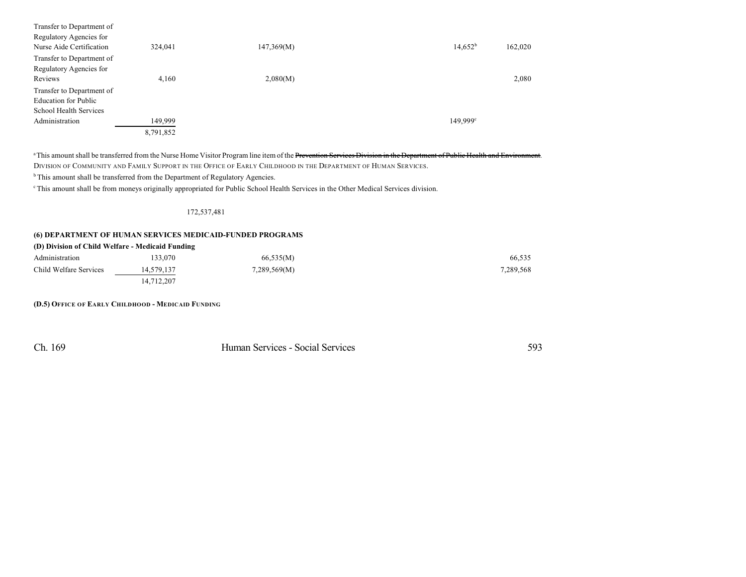| Transfer to Department of<br>Regulatory Agencies for<br>Nurse Aide Certification | 324,041   | 147,369(M) | $14,652^b$        | 162,020 |
|----------------------------------------------------------------------------------|-----------|------------|-------------------|---------|
| Transfer to Department of                                                        |           |            |                   |         |
| Regulatory Agencies for                                                          |           |            |                   |         |
| Reviews                                                                          | 4,160     | 2,080(M)   |                   | 2,080   |
| Transfer to Department of                                                        |           |            |                   |         |
| <b>Education for Public</b>                                                      |           |            |                   |         |
| School Health Services                                                           |           |            |                   |         |
| Administration                                                                   | 149,999   |            | $149,999^{\circ}$ |         |
|                                                                                  | 8,791,852 |            |                   |         |

<sup>a</sup> This amount shall be transferred from the Nurse Home Visitor Program line item of the Prevention Services Division in the Department of Public Health and Environment. DIVISION OF COMMUNITY AND FAMILY SUPPORT IN THE OFFICE OF EARLY CHILDHOOD IN THE DEPARTMENT OF HUMAN SERVICES.

 $b$ This amount shall be transferred from the Department of Regulatory Agencies.

<sup>c</sup> This amount shall be from moneys originally appropriated for Public School Health Services in the Other Medical Services division.

#### 172,537,481

#### **(6) DEPARTMENT OF HUMAN SERVICES MEDICAID-FUNDED PROGRAMS**

14,712,207

| (D) Division of Child Welfare - Medicaid Funding |            |              |           |  |  |  |  |
|--------------------------------------------------|------------|--------------|-----------|--|--|--|--|
| Administration                                   | 133.070    | 66,535(M)    | 66.535    |  |  |  |  |
| Child Welfare Services                           | 14,579,137 | 7,289,569(M) | 7,289,568 |  |  |  |  |

**(D.5) OFFICE OF EARLY CHILDHOOD - MEDICAID FUNDING**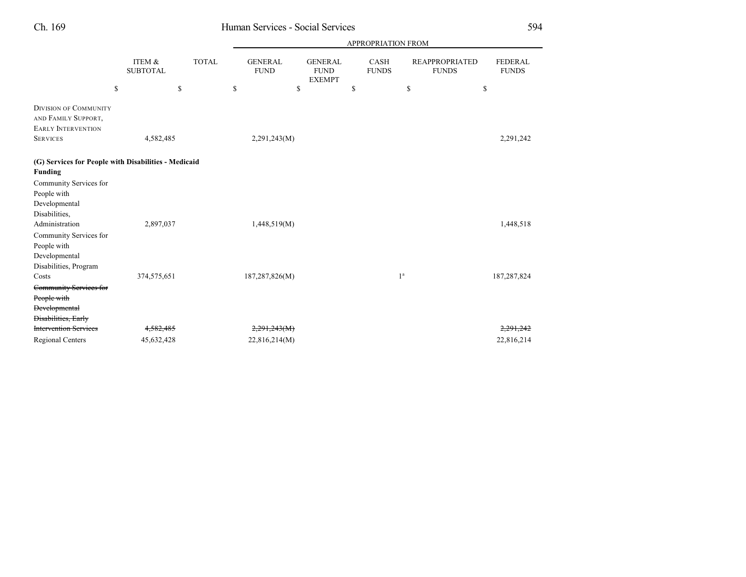|                                                                                                                                  |                           |              |                               |                                                | <b>APPROPRIATION FROM</b> |                                       |                                |
|----------------------------------------------------------------------------------------------------------------------------------|---------------------------|--------------|-------------------------------|------------------------------------------------|---------------------------|---------------------------------------|--------------------------------|
|                                                                                                                                  | ITEM &<br><b>SUBTOTAL</b> | <b>TOTAL</b> | <b>GENERAL</b><br><b>FUND</b> | <b>GENERAL</b><br><b>FUND</b><br><b>EXEMPT</b> | CASH<br><b>FUNDS</b>      | <b>REAPPROPRIATED</b><br><b>FUNDS</b> | <b>FEDERAL</b><br><b>FUNDS</b> |
|                                                                                                                                  | \$                        | \$           | \$<br>\$                      |                                                | \$                        | \$                                    | \$                             |
| <b>DIVISION OF COMMUNITY</b><br>AND FAMILY SUPPORT,<br><b>EARLY INTERVENTION</b>                                                 |                           |              |                               |                                                |                           |                                       |                                |
| <b>SERVICES</b>                                                                                                                  | 4,582,485                 |              | 2,291,243(M)                  |                                                |                           |                                       | 2,291,242                      |
| (G) Services for People with Disabilities - Medicaid<br><b>Funding</b><br>Community Services for<br>People with<br>Developmental |                           |              |                               |                                                |                           |                                       |                                |
| Disabilities,<br>Administration<br>Community Services for<br>People with<br>Developmental<br>Disabilities, Program               | 2,897,037                 |              | 1,448,519(M)                  |                                                |                           |                                       | 1,448,518                      |
| Costs<br>Community Services for<br>People with<br><b>Developmental</b><br><b>Disabilities</b> , Early                            | 374,575,651               |              | 187,287,826(M)                |                                                | 1 <sup>a</sup>            |                                       | 187,287,824                    |
| <b>Intervention Services</b>                                                                                                     | 4,582,485                 |              | 2,291,243(M)                  |                                                |                           |                                       | 2,291,242                      |
| <b>Regional Centers</b>                                                                                                          | 45,632,428                |              | 22,816,214(M)                 |                                                |                           |                                       | 22,816,214                     |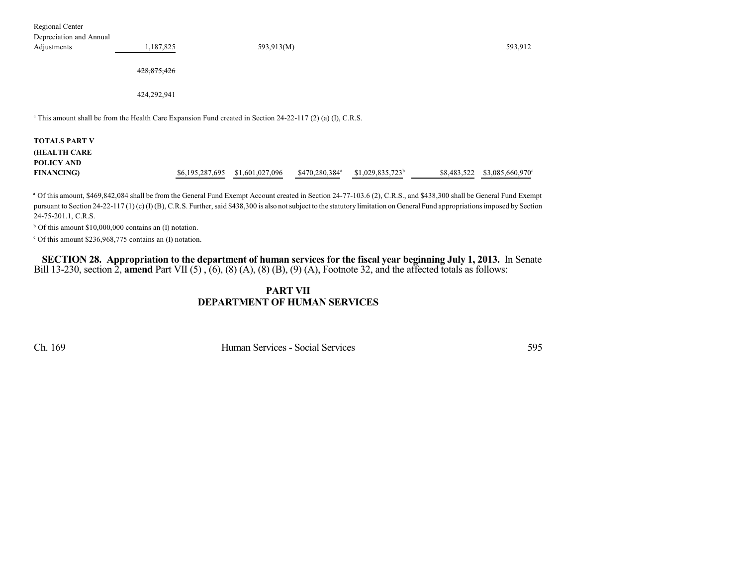Regional Center

| Depreciation and Annual                                                                                                |             |                 |                 |                            |                    |             |                  |
|------------------------------------------------------------------------------------------------------------------------|-------------|-----------------|-----------------|----------------------------|--------------------|-------------|------------------|
| Adjustments                                                                                                            | 1,187,825   |                 | 593,913(M)      |                            |                    |             | 593,912          |
|                                                                                                                        |             |                 |                 |                            |                    |             |                  |
|                                                                                                                        | 428,875,426 |                 |                 |                            |                    |             |                  |
|                                                                                                                        |             |                 |                 |                            |                    |             |                  |
|                                                                                                                        | 424,292,941 |                 |                 |                            |                    |             |                  |
|                                                                                                                        |             |                 |                 |                            |                    |             |                  |
| <sup>a</sup> This amount shall be from the Health Care Expansion Fund created in Section 24-22-117 (2) (a) (I), C.R.S. |             |                 |                 |                            |                    |             |                  |
|                                                                                                                        |             |                 |                 |                            |                    |             |                  |
| <b>TOTALS PART V</b>                                                                                                   |             |                 |                 |                            |                    |             |                  |
| <b>(HEALTH CARE</b>                                                                                                    |             |                 |                 |                            |                    |             |                  |
| POLICY AND                                                                                                             |             |                 |                 |                            |                    |             |                  |
| <b>FINANCING</b> )                                                                                                     |             | \$6,195,287,695 | \$1,601,027,096 | \$470,280,384 <sup>a</sup> | $$1,029,835,723^b$ | \$8,483,522 | \$3,085,660,970° |
|                                                                                                                        |             |                 |                 |                            |                    |             |                  |

<sup>a</sup> Of this amount, \$469,842,084 shall be from the General Fund Exempt Account created in Section 24-77-103.6 (2), C.R.S., and \$438,300 shall be General Fund Exempt pursuant to Section 24-22-117 (1) (c) (I) (B), C.R.S. Further, said \$438,300 is also not subject to the statutory limitation on General Fund appropriations imposed by Section 24-75-201.1, C.R.S.

 $b$  Of this amount \$10,000,000 contains an (I) notation.

 $c$  Of this amount \$236,968,775 contains an (I) notation.

SECTION 28. Appropriation to the department of human services for the fiscal year beginning July 1, 2013. In Senate Bill 13-230, section 2, **amend** Part VII (5) , (6), (8) (A), (8) (B), (9) (A), Footnote 32, and the affected totals as follows:

## **PART VII DEPARTMENT OF HUMAN SERVICES**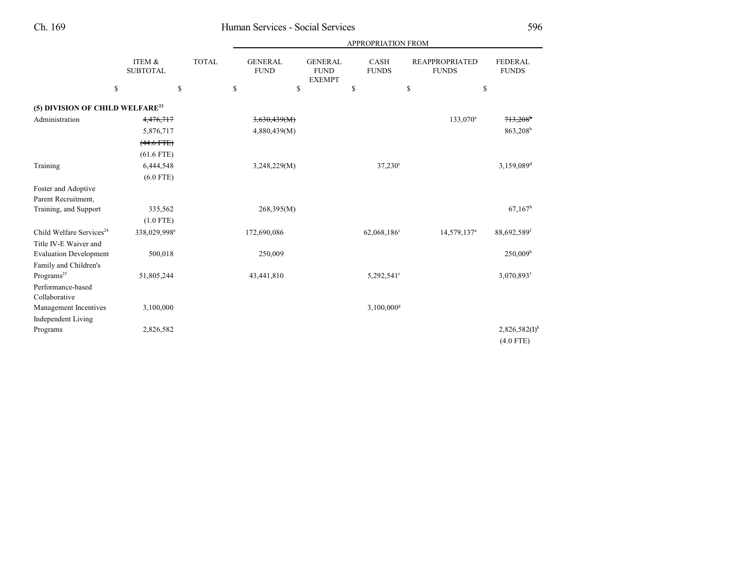|                                             |                           |              |                               |                                                | <b>APPROPRIATION FROM</b> |                                       |                                |
|---------------------------------------------|---------------------------|--------------|-------------------------------|------------------------------------------------|---------------------------|---------------------------------------|--------------------------------|
|                                             | ITEM &<br><b>SUBTOTAL</b> | <b>TOTAL</b> | <b>GENERAL</b><br><b>FUND</b> | <b>GENERAL</b><br><b>FUND</b><br><b>EXEMPT</b> | CASH<br><b>FUNDS</b>      | <b>REAPPROPRIATED</b><br><b>FUNDS</b> | <b>FEDERAL</b><br><b>FUNDS</b> |
| \$                                          | \$                        |              | \$<br>\$                      |                                                | \$                        | \$                                    | \$                             |
| (5) DIVISION OF CHILD WELFARE <sup>23</sup> |                           |              |                               |                                                |                           |                                       |                                |
| Administration                              | 4,476,717                 |              | 3,630,439(M)                  |                                                |                           | 133,070 <sup>a</sup>                  | 713,208                        |
|                                             | 5,876,717                 |              | 4,880,439(M)                  |                                                |                           |                                       | 863,208 <sup>b</sup>           |
|                                             | $(44.6$ FTE)              |              |                               |                                                |                           |                                       |                                |
|                                             | $(61.6$ FTE)              |              |                               |                                                |                           |                                       |                                |
| Training                                    | 6,444,548                 |              | 3,248,229(M)                  |                                                | $37,230^{\circ}$          |                                       | 3,159,089 <sup>d</sup>         |
|                                             | $(6.0$ FTE)               |              |                               |                                                |                           |                                       |                                |
| Foster and Adoptive                         |                           |              |                               |                                                |                           |                                       |                                |
| Parent Recruitment,                         |                           |              |                               |                                                |                           |                                       |                                |
| Training, and Support                       | 335,562                   |              | 268,395(M)                    |                                                |                           |                                       | 67.167 <sup>b</sup>            |
|                                             | $(1.0$ FTE)               |              |                               |                                                |                           |                                       |                                |
| Child Welfare Services <sup>24</sup>        | 338,029,998 <sup>e</sup>  |              | 172,690,086                   |                                                | 62,068,186 <sup>c</sup>   | 14,579,137 <sup>a</sup>               | 88,692,589 <sup>f</sup>        |
| Title IV-E Waiver and                       |                           |              |                               |                                                |                           |                                       |                                |
| <b>Evaluation Development</b>               | 500,018                   |              | 250,009                       |                                                |                           |                                       | 250,009 <sup>b</sup>           |
| Family and Children's                       |                           |              |                               |                                                |                           |                                       |                                |
| Programs <sup>25</sup>                      | 51,805,244                |              | 43,441,810                    |                                                | 5,292,541°                |                                       | $3,070,893$ <sup>f</sup>       |
| Performance-based                           |                           |              |                               |                                                |                           |                                       |                                |
| Collaborative                               |                           |              |                               |                                                |                           |                                       |                                |
| Management Incentives                       | 3,100,000                 |              |                               |                                                | $3,100,000$ <sup>g</sup>  |                                       |                                |
| <b>Independent Living</b>                   |                           |              |                               |                                                |                           |                                       |                                |
| Programs                                    | 2,826,582                 |              |                               |                                                |                           |                                       | $2,826,582(I)$ <sup>h</sup>    |

(4.0 FTE)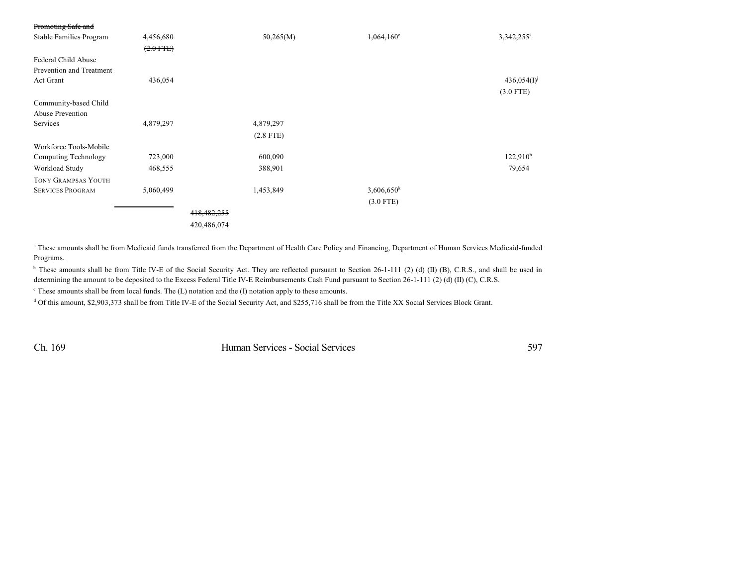| Promoting Safe and             |                |               |             |                   |                     |
|--------------------------------|----------------|---------------|-------------|-------------------|---------------------|
| <b>Stable Families Program</b> | 4,456,680      |               | 50,265(M)   | $1,064,160^\circ$ | <del>3.342.25</del> |
|                                | $(2.0$ FTE $)$ |               |             |                   |                     |
| Federal Child Abuse            |                |               |             |                   |                     |
| Prevention and Treatment       |                |               |             |                   |                     |
| Act Grant                      | 436,054        |               |             |                   | $436,054(I)^{j}$    |
|                                |                |               |             |                   | $(3.0$ FTE)         |
| Community-based Child          |                |               |             |                   |                     |
| Abuse Prevention               |                |               |             |                   |                     |
| Services                       | 4,879,297      |               | 4,879,297   |                   |                     |
|                                |                |               | $(2.8$ FTE) |                   |                     |
| Workforce Tools-Mobile         |                |               |             |                   |                     |
| Computing Technology           | 723,000        |               | 600,090     |                   | $122,910^b$         |
| Workload Study                 | 468,555        |               | 388,901     |                   | 79,654              |
| <b>TONY GRAMPSAS YOUTH</b>     |                |               |             |                   |                     |
| <b>SERVICES PROGRAM</b>        | 5,060,499      |               | 1,453,849   | $3,606,650^k$     |                     |
|                                |                |               |             | $(3.0$ FTE)       |                     |
|                                |                | 418, 482, 255 |             |                   |                     |
|                                |                | 420,486,074   |             |                   |                     |
|                                |                |               |             |                   |                     |

<sup>a</sup> These amounts shall be from Medicaid funds transferred from the Department of Health Care Policy and Financing, Department of Human Services Medicaid-funded Programs.

<sup>b</sup> These amounts shall be from Title IV-E of the Social Security Act. They are reflected pursuant to Section 26-1-111 (2) (d) (II) (B), C.R.S., and shall be used in determining the amount to be deposited to the Excess Federal Title IV-E Reimbursements Cash Fund pursuant to Section 26-1-111 (2) (d) (II) (C), C.R.S.

 $\degree$  These amounts shall be from local funds. The (L) notation and the (I) notation apply to these amounts.

<sup>d</sup> Of this amount, \$2,903,373 shall be from Title IV-E of the Social Security Act, and \$255,716 shall be from the Title XX Social Services Block Grant.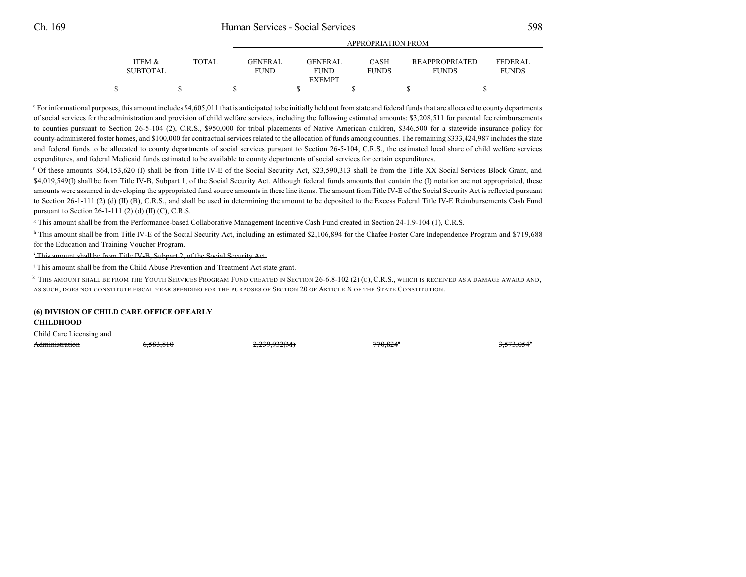|                                           | APPROPRIATION FROM             |                                |                      |                                       |                                |
|-------------------------------------------|--------------------------------|--------------------------------|----------------------|---------------------------------------|--------------------------------|
| ITEM &<br><b>TOTAL</b><br><b>SUBTOTAL</b> | <b>GENER AL</b><br><b>FUND</b> | <b>GENER AL</b><br><b>FUND</b> | CASH<br><b>FUNDS</b> | <b>REAPPROPRIATED</b><br><b>FUNDS</b> | <b>FEDERAL</b><br><b>FUNDS</b> |
|                                           |                                | <b>EXEMPT</b>                  |                      |                                       |                                |
|                                           |                                |                                |                      |                                       |                                |

<sup>e</sup> For informational purposes, this amount includes \$4,605,011 that is anticipated to be initially held out from state and federal funds that are allocated to county departments of social services for the administration and provision of child welfare services, including the following estimated amounts: \$3,208,511 for parental fee reimbursements to counties pursuant to Section 26-5-104 (2), C.R.S., \$950,000 for tribal placements of Native American children, \$346,500 for a statewide insurance policy for county-administered foster homes, and \$100,000 for contractual services related to the allocation of funds among counties. The remaining \$333,424,987 includes the state and federal funds to be allocated to county departments of social services pursuant to Section 26-5-104, C.R.S., the estimated local share of child welfare services expenditures, and federal Medicaid funds estimated to be available to county departments of social services for certain expenditures.

 $f$  Of these amounts, \$64,153,620 (I) shall be from Title IV-E of the Social Security Act, \$23,590,313 shall be from the Title XX Social Services Block Grant, and \$4,019,549(I) shall be from Title IV-B, Subpart 1, of the Social Security Act. Although federal funds amounts that contain the (I) notation are not appropriated, these amounts were assumed in developing the appropriated fund source amounts in these line items. The amount from Title IV-E of the Social Security Act is reflected pursuant to Section 26-1-111 (2) (d) (II) (B), C.R.S., and shall be used in determining the amount to be deposited to the Excess Federal Title IV-E Reimbursements Cash Fund pursuant to Section 26-1-111 (2) (d) (II) (C), C.R.S.

<sup>g</sup> This amount shall be from the Performance-based Collaborative Management Incentive Cash Fund created in Section 24-1.9-104 (1), C.R.S.

<sup>h</sup> This amount shall be from Title IV-E of the Social Security Act, including an estimated \$2,106,894 for the Chafee Foster Care Independence Program and \$719,688 for the Education and Training Voucher Program.

This amount shall be from Title IV-B, Subpart 2, of the Social Security Act. i

<sup>j</sup> This amount shall be from the Child Abuse Prevention and Treatment Act state grant.

 $^\mathrm{k}$  This amount shall be from the Youth Services Program Fund created in Section 26-6.8-102 (2) (c), C.R.S., which is received as a damage award and, AS SUCH, DOES NOT CONSTITUTE FISCAL YEAR SPENDING FOR THE PURPOSES OF SECTION 20 OF ARTICLE X OF THE STATE CONSTITUTION.

**CHILDHOOD**

Child Care Licensing and

| Administration | 6.583.810 | 2.220.022010<br>2.437.7321111 | 7700048<br>70.027 | 5720646<br>3. <i>313</i> .03* |
|----------------|-----------|-------------------------------|-------------------|-------------------------------|
|----------------|-----------|-------------------------------|-------------------|-------------------------------|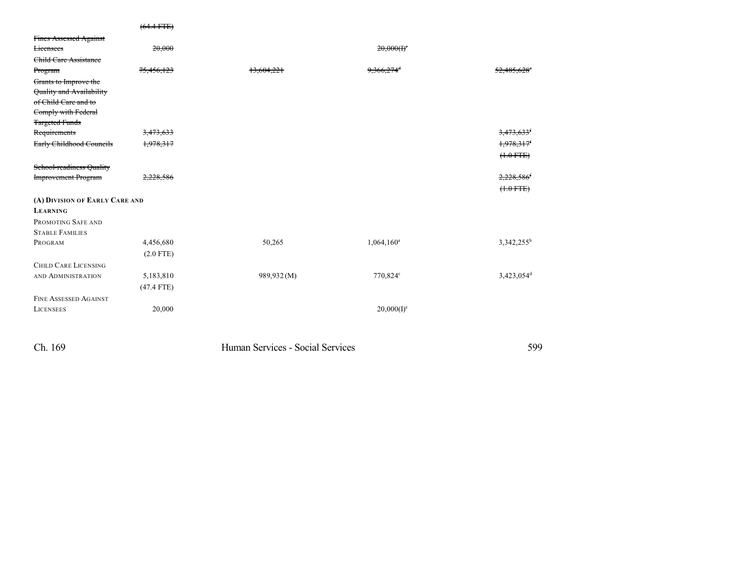|                                | $(64.4$ FTE)         |            |                          |                        |
|--------------------------------|----------------------|------------|--------------------------|------------------------|
| Fines Assessed Against         |                      |            |                          |                        |
| <b>Licensees</b>               | 20,000               |            | $20,000(f)^c$            |                        |
| Child Care Assistance          |                      |            |                          |                        |
| Program                        | 75,456,123           | 13.604.221 | $9,366,274$ <sup>d</sup> | 52,485.62              |
| Grants to Improve the          |                      |            |                          |                        |
| Quality and Availability       |                      |            |                          |                        |
| of Child Care and to           |                      |            |                          |                        |
| Comply with Federal            |                      |            |                          |                        |
| <b>Targeted Funds</b>          |                      |            |                          |                        |
| Requirements                   | <del>3,473,633</del> |            |                          | <del>3,473,63.</del>   |
| Early Childhood Councils       | <del>1,978,317</del> |            |                          | 1,978,317              |
|                                |                      |            |                          | $(+.0$ FTE)            |
| School-readiness Quality       |                      |            |                          |                        |
| <b>Improvement Program</b>     | 2,228,586            |            |                          | 2,228,586              |
|                                |                      |            |                          | $(+.0$ FTE)            |
| (A) DIVISION OF EARLY CARE AND |                      |            |                          |                        |
| <b>LEARNING</b>                |                      |            |                          |                        |
| PROMOTING SAFE AND             |                      |            |                          |                        |
| <b>STABLE FAMILIES</b>         |                      |            |                          |                        |
| PROGRAM                        | 4,456,680            | 50,265     | $1,064,160^a$            | 3,342,255 <sup>b</sup> |
|                                | $(2.0$ FTE)          |            |                          |                        |
| <b>CHILD CARE LICENSING</b>    |                      |            |                          |                        |
| AND ADMINISTRATION             | 5,183,810            | 989,932(M) | 770,824°                 | $3,423,054^d$          |
|                                | $(47.4$ FTE)         |            |                          |                        |
| <b>FINE ASSESSED AGAINST</b>   |                      |            |                          |                        |
| <b>LICENSEES</b>               | 20,000               |            | $20,000(I)^e$            |                        |
|                                |                      |            |                          |                        |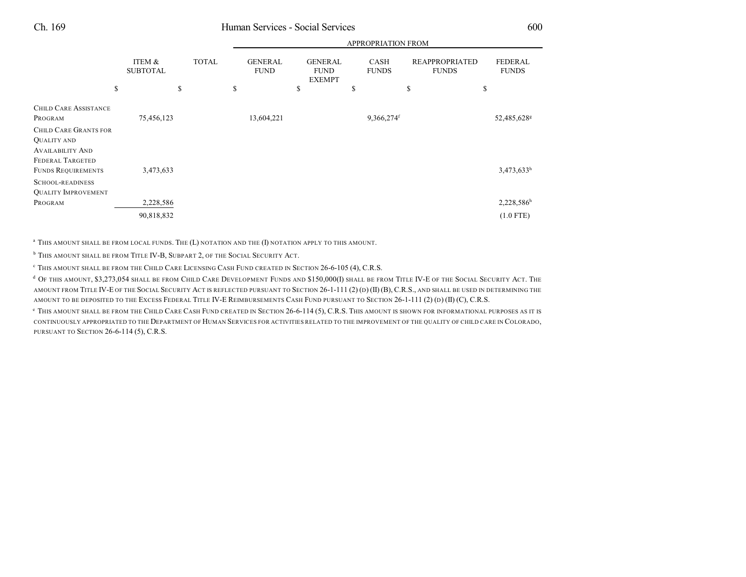|                                                    |                                       |              |                                     | APPROPRIATION FROM                                   |                            |                                             |                                      |  |
|----------------------------------------------------|---------------------------------------|--------------|-------------------------------------|------------------------------------------------------|----------------------------|---------------------------------------------|--------------------------------------|--|
|                                                    | ITEM &<br><b>SUBTOTAL</b><br>\$<br>\$ | <b>TOTAL</b> | <b>GENERAL</b><br><b>FUND</b><br>\$ | <b>GENERAL</b><br><b>FUND</b><br><b>EXEMPT</b><br>\$ | CASH<br><b>FUNDS</b><br>\$ | <b>REAPPROPRIATED</b><br><b>FUNDS</b><br>\$ | <b>FEDERAL</b><br><b>FUNDS</b><br>\$ |  |
| <b>CHILD CARE ASSISTANCE</b>                       |                                       |              |                                     |                                                      |                            |                                             |                                      |  |
| PROGRAM                                            | 75,456,123                            |              | 13,604,221                          |                                                      | 9,366,274 <sup>f</sup>     |                                             | 52,485,628 <sup>g</sup>              |  |
| <b>CHILD CARE GRANTS FOR</b>                       |                                       |              |                                     |                                                      |                            |                                             |                                      |  |
| <b>QUALITY AND</b>                                 |                                       |              |                                     |                                                      |                            |                                             |                                      |  |
| <b>AVAILABILITY AND</b><br><b>FEDERAL TARGETED</b> |                                       |              |                                     |                                                      |                            |                                             |                                      |  |
| <b>FUNDS REQUIREMENTS</b>                          | 3,473,633                             |              |                                     |                                                      |                            |                                             | 3,473,633h                           |  |
| <b>SCHOOL-READINESS</b>                            |                                       |              |                                     |                                                      |                            |                                             |                                      |  |
| <b>QUALITY IMPROVEMENT</b>                         |                                       |              |                                     |                                                      |                            |                                             |                                      |  |
| PROGRAM                                            | 2,228,586                             |              |                                     |                                                      |                            |                                             | $2,228,586$ <sup>h</sup>             |  |
|                                                    | 90,818,832                            |              |                                     |                                                      |                            |                                             | $(1.0$ FTE)                          |  |

 $^\mathrm{a}$  This amount shall be from local funds. The (L) notation and the (I) notation apply to this amount.

 $^{\rm b}$  This amount shall be from Title IV-B, Subpart 2, of the Social Security Act.

THIS AMOUNT SHALL BE FROM THE CHILD CARE LICENSING CASH FUND CREATED IN SECTION 26-6-105 (4), C.R.S. <sup>c</sup>

 $^{\rm d}$  Of this amount, \$3,273,054 shall be from Child Care Development Funds and \$150,000(I) shall be from Title IV-E of the Social Security Act. The AMOUNT FROM TITLE IV-E OF THE SOCIAL SECURITY ACT IS REFLECTED PURSUANT TO SECTION 26-1-111 (2) (D) (II) (B), C.R.S., AND SHALL BE USED IN DETERMINING THE AMOUNT TO BE DEPOSITED TO THE EXCESS FEDERAL TITLE IV-E REIMBURSEMENTS CASH FUND PURSUANT TO SECTION 26-1-111 (2) (D) (II) (C), C.R.S.

 $\textdegree$  This amount shall be from the Child Care Cash Fund created in Section 26-6-114 (5), C.R.S. This amount is shown for informational purposes as it is CONTINUOUSLY APPROPRIATED TO THE DEPARTMENT OF HUMAN SERVICES FOR ACTIVITIES RELATED TO THE IMPROVEMENT OF THE QUALITY OF CHILD CARE IN COLORADO, PURSUANT TO SECTION 26-6-114 (5), C.R.S.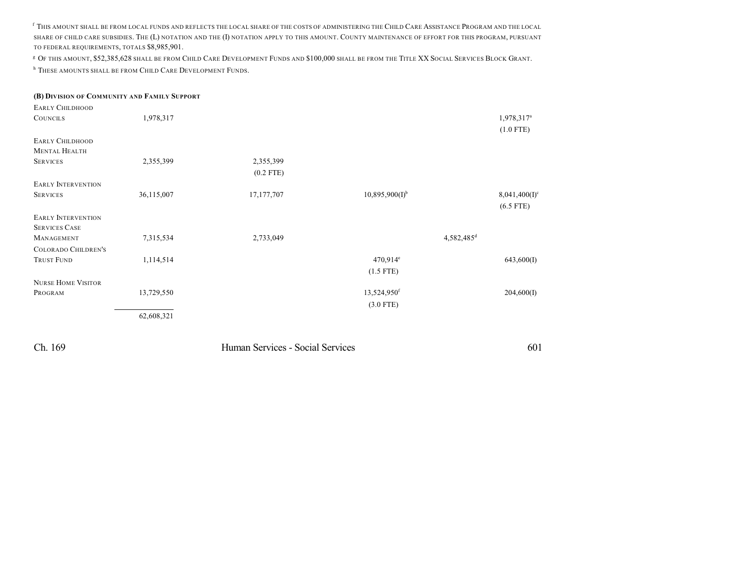f This amount shall be from local funds and reflects the local share of the costs of administering the Child Care Assistance Program and the local SHARE OF CHILD CARE SUBSIDIES. THE (L) NOTATION AND THE (I) NOTATION APPLY TO THIS AMOUNT. COUNTY MAINTENANCE OF EFFORT FOR THIS PROGRAM, PURSUANT TO FEDERAL REQUIREMENTS, TOTALS \$8,985,901.

 $\texttt{^g}$  Of this amount, \$52,385,628 shall be from Child Care Development Funds and \$100,000 shall be from the Title XX Social Services Block Grant.

<sup>h</sup> These amounts shall be from Child Care Development Funds.

| (B) DIVISION OF COMMUNITY AND FAMILY SUPPORT |            |                                  |                         |                        |
|----------------------------------------------|------------|----------------------------------|-------------------------|------------------------|
| <b>EARLY CHILDHOOD</b>                       |            |                                  |                         |                        |
| <b>COUNCILS</b>                              | 1,978,317  |                                  |                         | 1,978,317 <sup>a</sup> |
|                                              |            |                                  |                         | $(1.0$ FTE)            |
| <b>EARLY CHILDHOOD</b>                       |            |                                  |                         |                        |
| <b>MENTAL HEALTH</b>                         |            |                                  |                         |                        |
| <b>SERVICES</b>                              | 2,355,399  | 2,355,399                        |                         |                        |
|                                              |            | $(0.2$ FTE)                      |                         |                        |
| <b>EARLY INTERVENTION</b>                    |            |                                  |                         |                        |
| <b>SERVICES</b>                              | 36,115,007 | 17, 177, 707                     | $10,895,900(I)^{b}$     | $8,041,400(I)^c$       |
|                                              |            |                                  |                         | $(6.5$ FTE)            |
| <b>EARLY INTERVENTION</b>                    |            |                                  |                         |                        |
| <b>SERVICES CASE</b>                         |            |                                  |                         |                        |
| MANAGEMENT                                   | 7,315,534  | 2,733,049                        |                         | 4,582,485 <sup>d</sup> |
| <b>COLORADO CHILDREN'S</b>                   |            |                                  |                         |                        |
| <b>TRUST FUND</b>                            | 1,114,514  |                                  | $470,914^e$             | 643,600(I)             |
|                                              |            |                                  | $(1.5$ FTE)             |                        |
| <b>NURSE HOME VISITOR</b>                    |            |                                  |                         |                        |
| PROGRAM                                      | 13,729,550 |                                  | 13,524,950 <sup>f</sup> | 204,600(I)             |
|                                              |            |                                  | $(3.0$ FTE)             |                        |
|                                              | 62,608,321 |                                  |                         |                        |
|                                              |            |                                  |                         |                        |
|                                              |            |                                  |                         |                        |
| Ch. 169                                      |            | Human Services - Social Services |                         | 601                    |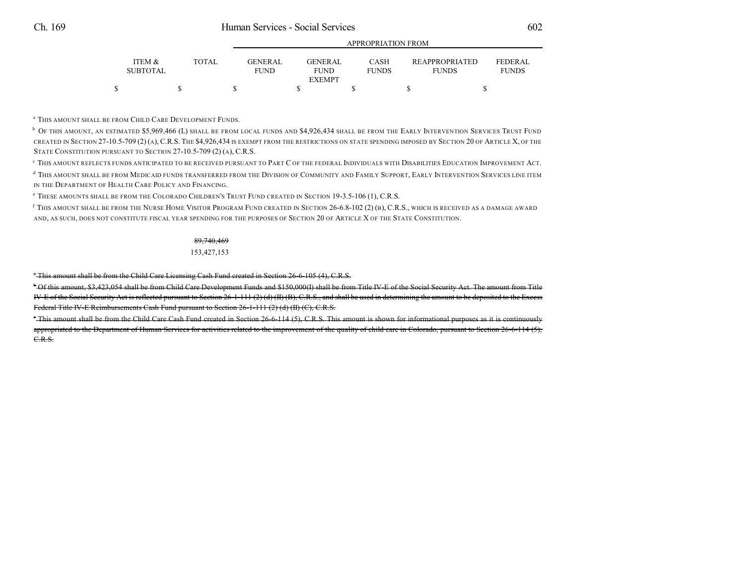|                           |       | <b>APPROPRIATION FROM</b>     |  |                               |  |                             |  |                                       |                                |
|---------------------------|-------|-------------------------------|--|-------------------------------|--|-----------------------------|--|---------------------------------------|--------------------------------|
| ITEM &<br><b>SUBTOTAL</b> | TOTAL | <b>GENERAL</b><br><b>FUND</b> |  | <b>GENERAL</b><br><b>FUND</b> |  | <b>CASH</b><br><b>FUNDS</b> |  | <b>REAPPROPRIATED</b><br><b>FUNDS</b> | <b>FEDERAL</b><br><b>FUNDS</b> |
|                           |       |                               |  | <b>EXEMPT</b>                 |  |                             |  |                                       |                                |
|                           |       |                               |  |                               |  |                             |  |                                       |                                |

<sup>a</sup> This amount shall be from Child Care Development Funds.

 $^{\rm b}$  Of this amount, an estimated \$5,969,466 (L) shall be from local funds and \$4,926,434 shall be from the Early Intervention Services Trust Fund CREATED IN SECTION 27-10.5-709 (2) (A), C.R.S. THE \$4,926,434 IS EXEMPT FROM THE RESTRICTIONS ON STATE SPENDING IMPOSED BY SECTION 20 OF ARTICLE X, OF THE STATE CONSTITUTION PURSUANT TO SECTION 27-10.5-709 (2) (A), C.R.S.

 $^\circ$  This amount reflects funds anticipated to be received pursuant to Part C of the federal Individuals with Disabilities Education Improvement Act.

<sup>d</sup> This amount shall be from Medicaid funds transferred from the Division of Community and Family Support, Early Intervention Services line item IN THE DEPARTMENT OF HEALTH CARE POLICY AND FINANCING.

THESE AMOUNTS SHALL BE FROM THE COLORADO CHILDREN'<sup>S</sup> TRUST FUND CREATED IN SECTION 19-3.5-106 (1), C.R.S. <sup>e</sup>

 $^{\rm f}$  This amount shall be from the Nurse Home Visitor Program Fund created in Section 26-6.8-102 (2) (b), C.R.S., which is received as a damage award AND, AS SUCH, DOES NOT CONSTITUTE FISCAL YEAR SPENDING FOR THE PURPOSES OF SECTION 20 OF ARTICLE X OF THE STATE CONSTITUTION.

### 89,740,469

#### 153,427,153

<sup>\*</sup>This amount shall be from the Child Care Licensing Cash Fund created in Section 26-6-105 (4), C.R.S.

<sup>b</sup> Of this amount, \$3,423,054 shall be from Child Care Development Funds and \$150,000(I) shall be from Title IV-E of the Social Security Act. The amount from Title IV-E of the Social Security Act is reflected pursuant to Section 26-1-111 (2) (d) (II) (B), C.R.S., and shall be used in determining the amount to be deposited to the Excess Federal Title IV-E Reimbursements Cash Fund pursuant to Section 26-1-111 (2) (d) (II) (C), C.R.S.

This amount shall be from the Child Care Cash Fund created in Section 26-6-114 (5), C.R.S. This amount is shown for informational purposes as it is continuously <sup>c</sup> appropriated to the Department of Human Services for activities related to the improvement of the quality of child care in Colorado, pursuant to Section 26-6-114 (5), C.R.S.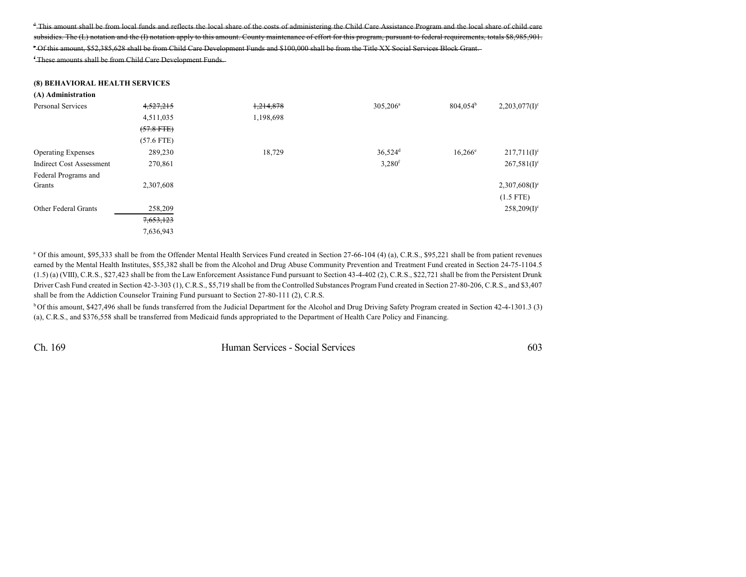<sup>†</sup>This amount shall be from local funds and reflects the local share of the costs of administering the Child Care Assistance Program and the local share of child care subsidies. The (L) notation and the (I) notation apply to this amount. County maintenance of effort for this program, pursuant to federal requirements, totals \$8,985,901. <sup>e</sup> Of this amount, \$52,385,628 shall be from Child Care Development Funds and \$100,000 shall be from the Title XX Social Services Block Grant.

<sup>f</sup> These amounts shall be from Child Care Development Funds.

#### **(8) BEHAVIORAL HEALTH SERVICES**

| (A) Administration              |              |           |                       |                   |                             |
|---------------------------------|--------------|-----------|-----------------------|-------------------|-----------------------------|
| Personal Services               | 4,527,215    | 1,214,878 | $305,206^{\circ}$     | $804,054^{\rm b}$ | $2,203,077(I)^c$            |
|                                 | 4,511,035    | 1,198,698 |                       |                   |                             |
|                                 | $(57.8$ FTE) |           |                       |                   |                             |
|                                 | $(57.6$ FTE) |           |                       |                   |                             |
| <b>Operating Expenses</b>       | 289,230      | 18,729    | $36,524$ <sup>d</sup> | $16,266^e$        | $217,711(I)^c$              |
| <b>Indirect Cost Assessment</b> | 270,861      |           | 3,280 <sup>f</sup>    |                   | $267,581(I)^c$              |
| Federal Programs and            |              |           |                       |                   |                             |
| Grants                          | 2,307,608    |           |                       |                   | $2,307,608(1)$ <sup>c</sup> |
|                                 |              |           |                       |                   | $(1.5$ FTE)                 |
| <b>Other Federal Grants</b>     | 258,209      |           |                       |                   | $258,209(1)$ <sup>c</sup>   |
|                                 | 7,653,123    |           |                       |                   |                             |
|                                 | 7,636,943    |           |                       |                   |                             |

<sup>a</sup> Of this amount, \$95,333 shall be from the Offender Mental Health Services Fund created in Section 27-66-104 (4) (a), C.R.S., \$95,221 shall be from patient revenues earned by the Mental Health Institutes, \$55,382 shall be from the Alcohol and Drug Abuse Community Prevention and Treatment Fund created in Section 24-75-1104.5  $(1.5)$  (a) (VIII), C.R.S., \$27,423 shall be from the Law Enforcement Assistance Fund pursuant to Section 43-4-402 (2), C.R.S., \$22,721 shall be from the Persistent Drunk Driver Cash Fund created in Section 42-3-303 (1), C.R.S., \$5,719 shall be from the Controlled Substances Program Fund created in Section 27-80-206, C.R.S., and \$3,407 shall be from the Addiction Counselor Training Fund pursuant to Section 27-80-111 (2), C.R.S.

<sup>b</sup>Of this amount, \$427,496 shall be funds transferred from the Judicial Department for the Alcohol and Drug Driving Safety Program created in Section 42-4-1301.3 (3) (a), C.R.S., and \$376,558 shall be transferred from Medicaid funds appropriated to the Department of Health Care Policy and Financing.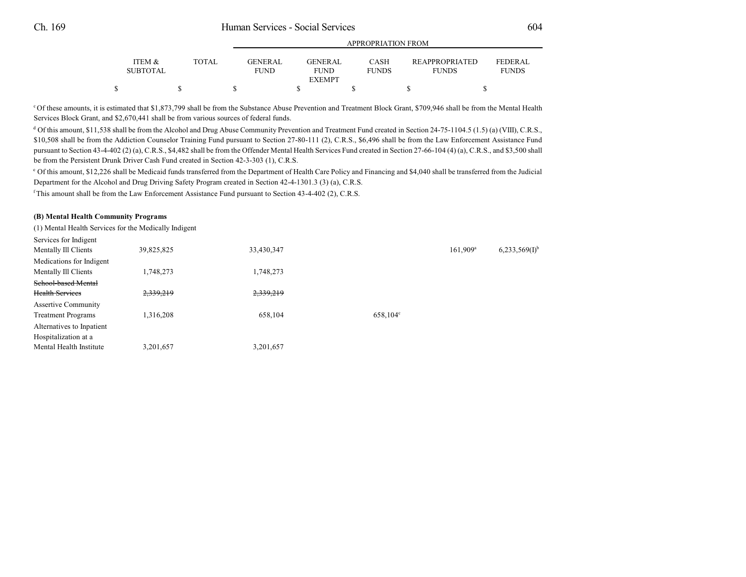|                 |        |                 | APPROPRIATION FROM           |              |                       |                |  |  |
|-----------------|--------|-----------------|------------------------------|--------------|-----------------------|----------------|--|--|
| ITEM &          | TOTAL. | <b>GENER AL</b> | <b>GENERAL</b>               | CASH         | <b>REAPPROPRIATED</b> | <b>FEDERAL</b> |  |  |
| <b>SUBTOTAL</b> |        | <b>FUND</b>     | <b>FUND</b><br><b>EXEMPT</b> | <b>FUNDS</b> | <b>FUNDS</b>          | <b>FUNDS</b>   |  |  |
| \$              |        |                 |                              |              |                       |                |  |  |

<sup>c</sup> Of these amounts, it is estimated that \$1,873,799 shall be from the Substance Abuse Prevention and Treatment Block Grant, \$709,946 shall be from the Mental Health Services Block Grant, and \$2,670,441 shall be from various sources of federal funds.

<sup>d</sup> Of this amount, \$11,538 shall be from the Alcohol and Drug Abuse Community Prevention and Treatment Fund created in Section 24-75-1104.5 (1.5) (a) (VIII), C.R.S., \$10,508 shall be from the Addiction Counselor Training Fund pursuant to Section 27-80-111 (2), C.R.S., \$6,496 shall be from the Law Enforcement Assistance Fund pursuant to Section 43-4-402 (2) (a), C.R.S., \$4,482 shall be from the Offender Mental Health Services Fund created in Section 27-66-104 (4) (a), C.R.S., and \$3,500 shall be from the Persistent Drunk Driver Cash Fund created in Section 42-3-303 (1), C.R.S.

Of this amount, \$12,226 shall be Medicaid funds transferred from the Department of Health Care Policy and Financing and \$4,040 shall be transferred from the Judicial <sup>e</sup> Department for the Alcohol and Drug Driving Safety Program created in Section 42-4-1301.3 (3) (a), C.R.S.

 $f$ This amount shall be from the Law Enforcement Assistance Fund pursuant to Section 43-4-402 (2), C.R.S.

#### **(B) Mental Health Community Programs**

(1) Mental Health Services for the Medically Indigent

| Services for Indigent<br>Mentally Ill Clients           | 39,825,825 | 33,430,347 |                   | $161,909^a$ | $6,233,569(1)^{b}$ |
|---------------------------------------------------------|------------|------------|-------------------|-------------|--------------------|
| Medications for Indigent                                |            |            |                   |             |                    |
| Mentally Ill Clients                                    | 1,748,273  | 1,748,273  |                   |             |                    |
| School-based Mental                                     |            |            |                   |             |                    |
| <b>Health Services</b>                                  | 2,339,219  | 2,339,219  |                   |             |                    |
| <b>Assertive Community</b><br><b>Treatment Programs</b> | 1,316,208  | 658,104    | $658.104^{\circ}$ |             |                    |
| Alternatives to Inpatient                               |            |            |                   |             |                    |
| Hospitalization at a                                    |            |            |                   |             |                    |
| Mental Health Institute                                 | 3,201,657  | 3,201,657  |                   |             |                    |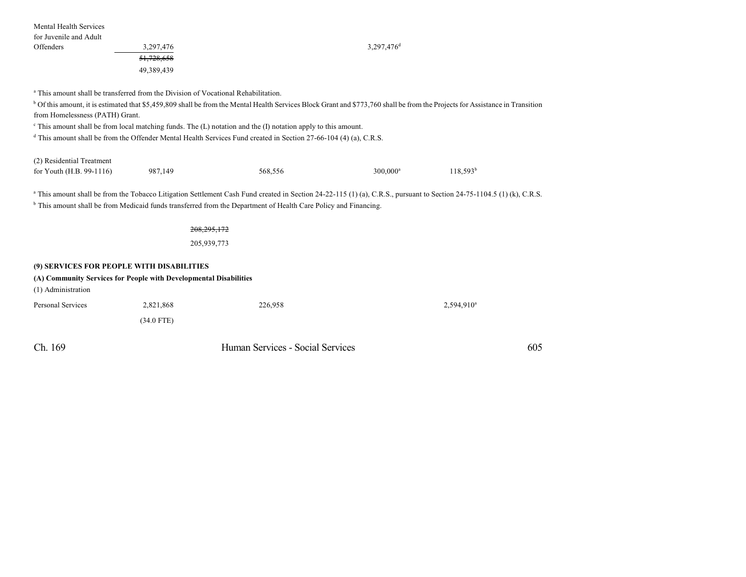| Mental Health Services<br>for Juvenile and Adult                                                                                     |                              |                                                                                                                                                                                                                                                                                                                       |                        |               |     |
|--------------------------------------------------------------------------------------------------------------------------------------|------------------------------|-----------------------------------------------------------------------------------------------------------------------------------------------------------------------------------------------------------------------------------------------------------------------------------------------------------------------|------------------------|---------------|-----|
| Offenders                                                                                                                            | 3,297,476                    |                                                                                                                                                                                                                                                                                                                       | 3,297,476 <sup>d</sup> |               |     |
|                                                                                                                                      | 51,728,658                   |                                                                                                                                                                                                                                                                                                                       |                        |               |     |
|                                                                                                                                      | 49,389,439                   |                                                                                                                                                                                                                                                                                                                       |                        |               |     |
| <sup>a</sup> This amount shall be transferred from the Division of Vocational Rehabilitation.<br>from Homelessness (PATH) Grant.     |                              | <sup>b</sup> Of this amount, it is estimated that \$5,459,809 shall be from the Mental Health Services Block Grant and \$773,760 shall be from the Projects for Assistance in Transition<br>$\textdegree$ This amount shall be from local matching funds. The (L) notation and the (I) notation apply to this amount. |                        |               |     |
|                                                                                                                                      |                              | $\textsuperscript{d}$ This amount shall be from the Offender Mental Health Services Fund created in Section 27-66-104 (4) (a), C.R.S.                                                                                                                                                                                 |                        |               |     |
| (2) Residential Treatment                                                                                                            |                              |                                                                                                                                                                                                                                                                                                                       |                        |               |     |
| for Youth (H.B. 99-1116)                                                                                                             | 987,149                      | 568,556                                                                                                                                                                                                                                                                                                               | 300,000 <sup>a</sup>   | $118,593^b$   |     |
|                                                                                                                                      | 208, 295, 172<br>205,939,773 | <sup>a</sup> This amount shall be from the Tobacco Litigation Settlement Cash Fund created in Section 24-22-115 (1) (a), C.R.S., pursuant to Section 24-75-1104.5 (1) (k), C.R.S.<br><sup>b</sup> This amount shall be from Medicaid funds transferred from the Department of Health Care Policy and Financing.       |                        |               |     |
|                                                                                                                                      |                              |                                                                                                                                                                                                                                                                                                                       |                        |               |     |
| (9) SERVICES FOR PEOPLE WITH DISABILITIES<br>(A) Community Services for People with Developmental Disabilities<br>(1) Administration |                              |                                                                                                                                                                                                                                                                                                                       |                        |               |     |
| <b>Personal Services</b>                                                                                                             | 2,821,868                    | 226,958                                                                                                                                                                                                                                                                                                               |                        | $2,594,910^a$ |     |
|                                                                                                                                      | $(34.0$ FTE)                 |                                                                                                                                                                                                                                                                                                                       |                        |               |     |
| Ch. 169                                                                                                                              |                              | Human Services - Social Services                                                                                                                                                                                                                                                                                      |                        |               | 605 |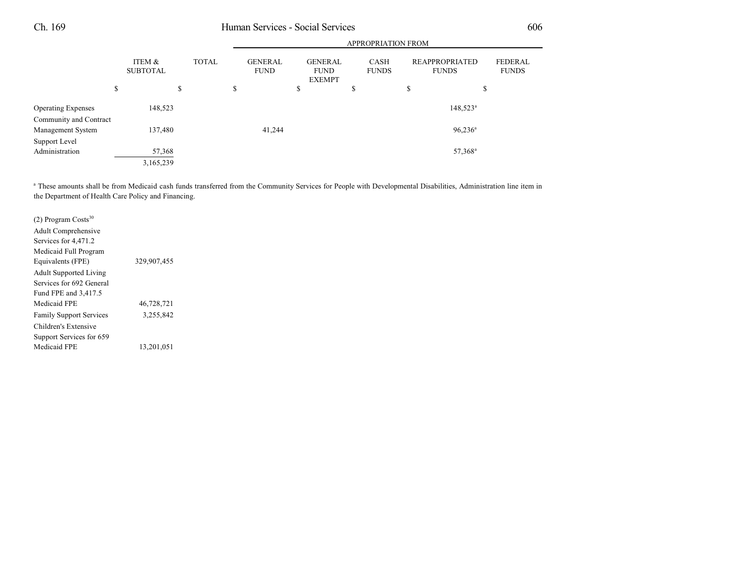|                           |                           |    |              |                               | <b>APPROPRIATION FROM</b> |                                                |  |                             |  |                                       |                     |                                |
|---------------------------|---------------------------|----|--------------|-------------------------------|---------------------------|------------------------------------------------|--|-----------------------------|--|---------------------------------------|---------------------|--------------------------------|
|                           | ITEM &<br><b>SUBTOTAL</b> |    | <b>TOTAL</b> | <b>GENERAL</b><br><b>FUND</b> |                           | <b>GENERAL</b><br><b>FUND</b><br><b>EXEMPT</b> |  | <b>CASH</b><br><b>FUNDS</b> |  | <b>REAPPROPRIATED</b><br><b>FUNDS</b> |                     | <b>FEDERAL</b><br><b>FUNDS</b> |
|                           | \$                        | \$ |              | \$                            |                           | \$                                             |  | \$                          |  | \$                                    | \$                  |                                |
| <b>Operating Expenses</b> | 148,523                   |    |              |                               |                           |                                                |  |                             |  |                                       | $148,523^{\circ}$   |                                |
| Community and Contract    |                           |    |              |                               |                           |                                                |  |                             |  |                                       |                     |                                |
| Management System         | 137,480                   |    |              |                               | 41,244                    |                                                |  |                             |  |                                       | $96,236^a$          |                                |
| Support Level             |                           |    |              |                               |                           |                                                |  |                             |  |                                       |                     |                                |
| Administration            | 57,368                    |    |              |                               |                           |                                                |  |                             |  |                                       | 57,368 <sup>a</sup> |                                |
|                           | 3,165,239                 |    |              |                               |                           |                                                |  |                             |  |                                       |                     |                                |

<sup>a</sup> These amounts shall be from Medicaid cash funds transferred from the Community Services for People with Developmental Disabilities, Administration line item in the Department of Health Care Policy and Financing.

| $(2)$ Program Costs <sup>30</sup> |             |  |
|-----------------------------------|-------------|--|
| Adult Comprehensive               |             |  |
| Services for 4,471.2              |             |  |
| Medicaid Full Program             |             |  |
| Equivalents (FPE)                 | 329,907,455 |  |
| <b>Adult Supported Living</b>     |             |  |
| Services for 692 General          |             |  |
| Fund FPE and 3,417.5              |             |  |
| Medicaid FPE                      | 46,728,721  |  |
| <b>Family Support Services</b>    | 3,255,842   |  |
| Children's Extensive              |             |  |
| Support Services for 659          |             |  |
| Medicaid FPE                      | 13,201,051  |  |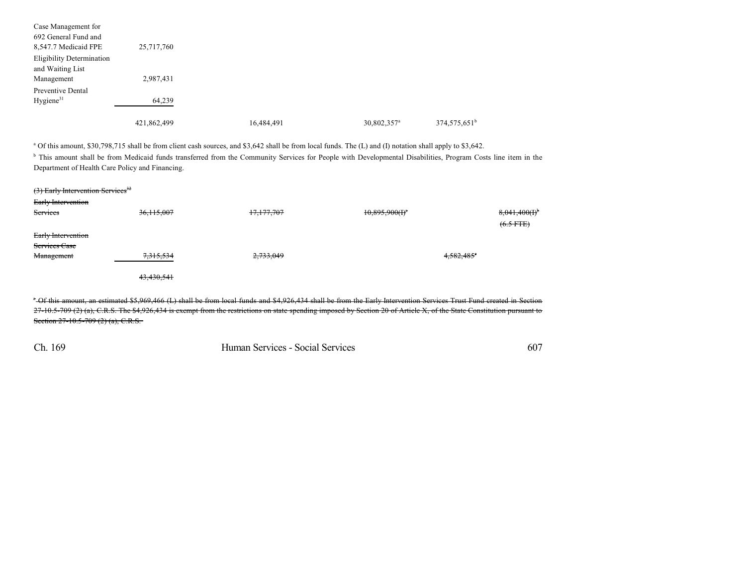| Case Management for              |             |            |                         |                          |
|----------------------------------|-------------|------------|-------------------------|--------------------------|
| 692 General Fund and             |             |            |                         |                          |
| 8,547.7 Medicaid FPE             | 25,717,760  |            |                         |                          |
| <b>Eligibility Determination</b> |             |            |                         |                          |
| and Waiting List                 |             |            |                         |                          |
| Management                       | 2,987,431   |            |                         |                          |
| Preventive Dental                |             |            |                         |                          |
| Hygiene <sup>31</sup>            | 64,239      |            |                         |                          |
|                                  | 421,862,499 | 16,484,491 | 30,802,357 <sup>a</sup> | 374,575,651 <sup>b</sup> |

<sup>a</sup> Of this amount, \$30,798,715 shall be from client cash sources, and \$3,642 shall be from local funds. The (L) and (I) notation shall apply to \$3,642.

<sup>b</sup> This amount shall be from Medicaid funds transferred from the Community Services for People with Developmental Disabilities, Program Costs line item in the Department of Health Care Policy and Financing.

| (3) Early Intervention Services <sup>32</sup><br>Early Intervention |              |            |                   |                             |
|---------------------------------------------------------------------|--------------|------------|-------------------|-----------------------------|
| Services                                                            | 36, 115, 007 | 17,177,707 | $10,895,900(f)^4$ | 8,041,400(f)<br>$(6.5$ FTE) |
| Early Intervention<br>Services Case                                 |              |            |                   |                             |
| Management                                                          | 7,315,534    | 2,733,049  |                   | $4,582,485$ °               |
|                                                                     | 43,430,541   |            |                   |                             |

Of this amount, an estimated \$5,969,466 (L) shall be from local funds and \$4,926,434 shall be from the Early Intervention Services Trust Fund created in Section <sup>a</sup> 27-10.5-709 (2) (a), C.R.S. The \$4,926,434 is exempt from the restrictions on state spending imposed by Section 20 of Article X, of the State Constitution pursuant to Section 27-10.5-709 (2) (a), C.R.S.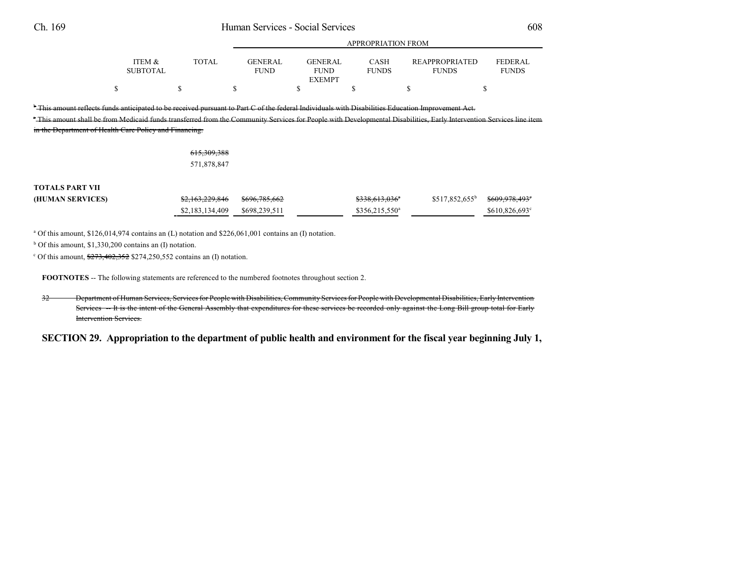|                                                                                                                                                                                                                                                                                                                                   |                           |       |                               | APPROPRIATION FROM                             |                             |                                |                                |  |  |
|-----------------------------------------------------------------------------------------------------------------------------------------------------------------------------------------------------------------------------------------------------------------------------------------------------------------------------------|---------------------------|-------|-------------------------------|------------------------------------------------|-----------------------------|--------------------------------|--------------------------------|--|--|
|                                                                                                                                                                                                                                                                                                                                   | ITEM &<br><b>SUBTOTAL</b> | TOTAL | <b>GENERAL</b><br><b>FUND</b> | <b>GENERAL</b><br><b>FUND</b><br><b>EXEMPT</b> | <b>CASH</b><br><b>FUNDS</b> | REAPPROPRIATED<br><b>FUNDS</b> | <b>FEDERAL</b><br><b>FUNDS</b> |  |  |
|                                                                                                                                                                                                                                                                                                                                   |                           |       |                               |                                                |                             |                                |                                |  |  |
| $^{\circ}$ This amount reflects funds anticipated to be received pursuant to Part C of the federal Individuals with Disabilities Education Improvement Act<br>FThis amount shall be from Medicaid funds transferred from the Community Services for People with Developmental Disabilities. Early Intervention Services line item |                           |       |                               |                                                |                             |                                |                                |  |  |

APPROPRIATION FROM

in the Department of Health Care Policy and Financing.

### 615,309,388 571,878,847

## **TOTALS PART VII**

| (HUMAN SERVICES) | \$2,163,229,846 \$696,785,662 | <del>\$338,613,036</del> <sup>*</sup> | $$517,852,655^b$ $$609,978,493^c$ |               |
|------------------|-------------------------------|---------------------------------------|-----------------------------------|---------------|
|                  |                               | $$356,215,550^a$                      |                                   | \$610,826,693 |

 $^{\circ}$  Of this amount, \$126,014,974 contains an (L) notation and \$226,061,001 contains an (I) notation.

 $b$  Of this amount, \$1,330,200 contains an (I) notation.

<sup>c</sup> Of this amount,  $\frac{$273,402,352}{$274,250,552}$  contains an (I) notation.

**FOOTNOTES** -- The following statements are referenced to the numbered footnotes throughout section 2.

32 Department of Human Services, Services for People with Disabilities, Community Services for People with Developmental Disabilities, Early Intervention Services -- It is the intent of the General Assembly that expenditures for these services be recorded only against the Long Bill group total for Early Intervention Services.

SECTION 29. Appropriation to the department of public health and environment for the fiscal year beginning July 1,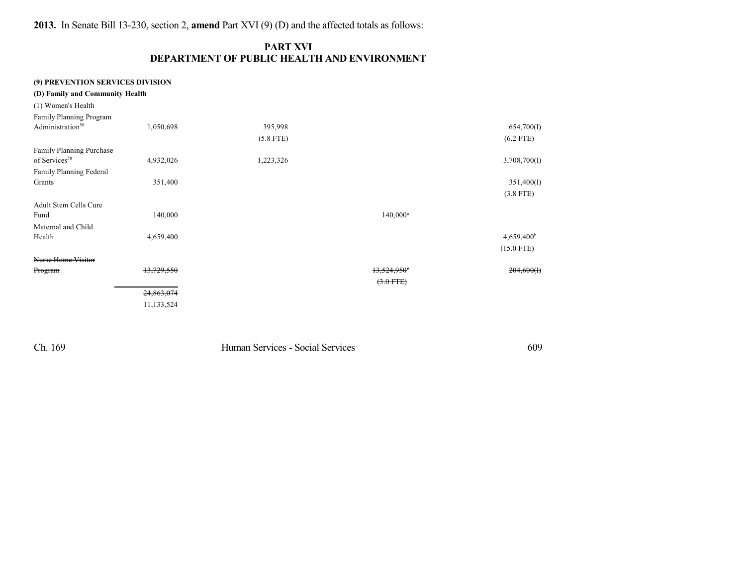**2013.** In Senate Bill 13-230, section 2, **amend** Part XVI (9) (D) and the affected totals as follows:

## **PART XVI DEPARTMENT OF PUBLIC HEALTH AND ENVIRONMENT**

## **(9) PREVENTION SERVICES DIVISION**

| (D) Family and Community Health |            |             |                           |                        |
|---------------------------------|------------|-------------|---------------------------|------------------------|
| (1) Women's Health              |            |             |                           |                        |
| Family Planning Program         |            |             |                           |                        |
| Administration <sup>58</sup>    | 1,050,698  | 395,998     |                           | 654,700(I)             |
|                                 |            | $(5.8$ FTE) |                           | $(6.2$ FTE)            |
| <b>Family Planning Purchase</b> |            |             |                           |                        |
| of Services <sup>58</sup>       | 4,932,026  | 1,223,326   |                           | 3,708,700(I)           |
| Family Planning Federal         |            |             |                           |                        |
| Grants                          | 351,400    |             |                           | 351,400(I)             |
|                                 |            |             |                           | $(3.8$ FTE)            |
| <b>Adult Stem Cells Cure</b>    |            |             |                           |                        |
| Fund                            | 140,000    |             | $140,000^a$               |                        |
| Maternal and Child              |            |             |                           |                        |
| Health                          | 4,659,400  |             |                           | 4,659,400 <sup>b</sup> |
|                                 |            |             |                           | $(15.0$ FTE)           |
| <b>Nurse Home Visitor</b>       |            |             |                           |                        |
| Program                         | 13,729,550 |             | $13,524,950$ <sup>e</sup> | 204,600(f)             |
|                                 |            |             | $(3.0$ FTE)               |                        |
|                                 | 24,863,074 |             |                           |                        |
|                                 | 11,133,524 |             |                           |                        |
|                                 |            |             |                           |                        |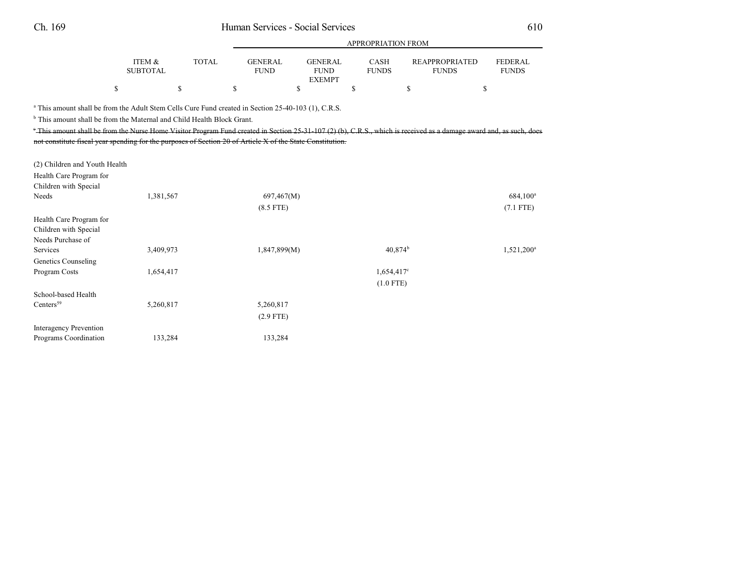|                                                                       |                                                                                                                                                                                                                                                                                                                                                                                                                                                                                       | APPROPRIATION FROM |                               |                                                |    |                             |                                       |                                |
|-----------------------------------------------------------------------|---------------------------------------------------------------------------------------------------------------------------------------------------------------------------------------------------------------------------------------------------------------------------------------------------------------------------------------------------------------------------------------------------------------------------------------------------------------------------------------|--------------------|-------------------------------|------------------------------------------------|----|-----------------------------|---------------------------------------|--------------------------------|
|                                                                       | ITEM &<br><b>SUBTOTAL</b>                                                                                                                                                                                                                                                                                                                                                                                                                                                             | <b>TOTAL</b>       | <b>GENERAL</b><br><b>FUND</b> | <b>GENERAL</b><br><b>FUND</b><br><b>EXEMPT</b> |    | <b>CASH</b><br><b>FUNDS</b> | <b>REAPPROPRIATED</b><br><b>FUNDS</b> | <b>FEDERAL</b><br><b>FUNDS</b> |
|                                                                       | \$                                                                                                                                                                                                                                                                                                                                                                                                                                                                                    | \$                 | \$<br>\$                      |                                                | \$ |                             | \$                                    | \$                             |
|                                                                       | <sup>a</sup> This amount shall be from the Adult Stem Cells Cure Fund created in Section 25-40-103 (1), C.R.S.<br><sup>b</sup> This amount shall be from the Maternal and Child Health Block Grant.<br>This amount shall be from the Nurse Home Visitor Program Fund created in Section 25-31-107(2)(b), C.R.S., which is received as a damage award and, as such, does<br>not constitute fiscal year spending for the purposes of Section 20 of Article X of the State Constitution. |                    |                               |                                                |    |                             |                                       |                                |
| (2) Children and Youth Health                                         |                                                                                                                                                                                                                                                                                                                                                                                                                                                                                       |                    |                               |                                                |    |                             |                                       |                                |
| Health Care Program for<br>Children with Special                      |                                                                                                                                                                                                                                                                                                                                                                                                                                                                                       |                    |                               |                                                |    |                             |                                       |                                |
| Needs                                                                 | 1,381,567                                                                                                                                                                                                                                                                                                                                                                                                                                                                             |                    | 697,467(M)                    |                                                |    |                             |                                       | 684,100 <sup>a</sup>           |
|                                                                       |                                                                                                                                                                                                                                                                                                                                                                                                                                                                                       |                    | $(8.5$ FTE)                   |                                                |    |                             |                                       | $(7.1$ FTE)                    |
| Health Care Program for<br>Children with Special<br>Needs Purchase of |                                                                                                                                                                                                                                                                                                                                                                                                                                                                                       |                    |                               |                                                |    |                             |                                       |                                |
| Services                                                              | 3,409,973                                                                                                                                                                                                                                                                                                                                                                                                                                                                             |                    | 1,847,899(M)                  |                                                |    | 40.874 <sup>b</sup>         |                                       | $1,521,200^a$                  |
| Genetics Counseling                                                   |                                                                                                                                                                                                                                                                                                                                                                                                                                                                                       |                    |                               |                                                |    |                             |                                       |                                |
| Program Costs                                                         | 1,654,417                                                                                                                                                                                                                                                                                                                                                                                                                                                                             |                    |                               |                                                |    | 1,654,417 <sup>c</sup>      |                                       |                                |
|                                                                       |                                                                                                                                                                                                                                                                                                                                                                                                                                                                                       |                    |                               |                                                |    | $(1.0$ FTE)                 |                                       |                                |
| School-based Health                                                   |                                                                                                                                                                                                                                                                                                                                                                                                                                                                                       |                    |                               |                                                |    |                             |                                       |                                |
| Centers <sup>59</sup>                                                 | 5,260,817                                                                                                                                                                                                                                                                                                                                                                                                                                                                             |                    | 5,260,817                     |                                                |    |                             |                                       |                                |
|                                                                       |                                                                                                                                                                                                                                                                                                                                                                                                                                                                                       |                    | $(2.9$ FTE)                   |                                                |    |                             |                                       |                                |
| <b>Interagency Prevention</b><br>Programs Coordination                | 133,284                                                                                                                                                                                                                                                                                                                                                                                                                                                                               |                    | 133,284                       |                                                |    |                             |                                       |                                |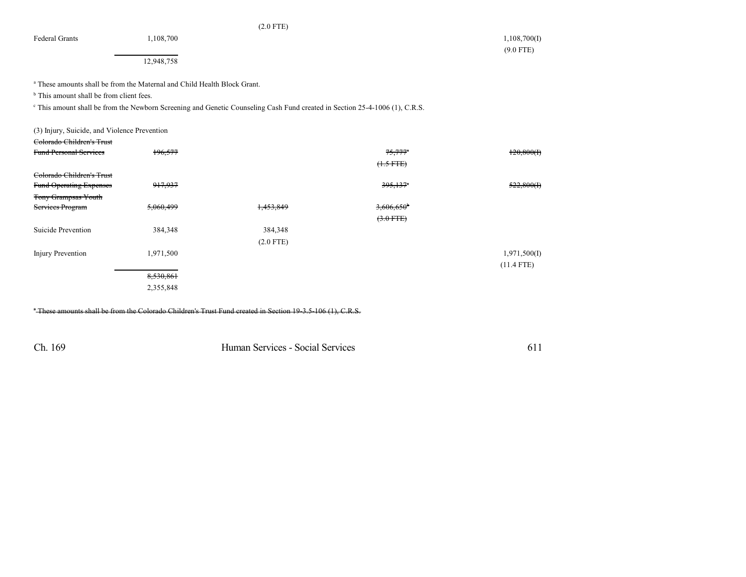Federal Grants 1,108,700 1,108,700 1,108,700 1,108,700 1,108,700 1,108,700 1,108,700 1,108,700 1,108,700 1,108

(2.0 FTE)

12,948,758

<sup>a</sup> These amounts shall be from the Maternal and Child Health Block Grant.

 $<sup>b</sup>$  This amount shall be from client fees.</sup>

<sup>c</sup> This amount shall be from the Newborn Screening and Genetic Counseling Cash Fund created in Section 25-4-1006 (1), C.R.S.

| (3) Injury, Suicide, and Violence Prevention<br>Colorado Children's Trust |           |             |                          |              |
|---------------------------------------------------------------------------|-----------|-------------|--------------------------|--------------|
| <b>Fund Personal Services</b>                                             | 196,577   |             | $75.777$ <sup>*</sup>    | 120,800(f)   |
|                                                                           |           |             | $(1.5 FTE)$              |              |
|                                                                           |           |             |                          |              |
| Colorado Children's Trust                                                 |           |             |                          |              |
| <b>Fund Operating Expenses</b>                                            | 917,937   |             | $395,137$ <sup>*</sup>   | 522,800(f)   |
| <b>Tony Grampsas Youth</b>                                                |           |             |                          |              |
| Services Program                                                          | 5,060,499 | 1,453,849   | $3,606,650$ <sup>b</sup> |              |
|                                                                           |           |             | $(3.0$ FTE)              |              |
| Suicide Prevention                                                        | 384,348   | 384,348     |                          |              |
|                                                                           |           | $(2.0$ FTE) |                          |              |
| <b>Injury Prevention</b>                                                  | 1,971,500 |             |                          | 1,971,500(I) |
|                                                                           |           |             |                          | $(11.4$ FTE) |
|                                                                           | 8,530,861 |             |                          |              |
|                                                                           | 2,355,848 |             |                          |              |
|                                                                           |           |             |                          |              |

These amounts shall be from the Colorado Children's Trust Fund created in Section 19-3.5-106 (1), C.R.S. <sup>a</sup>

Ch. 169 Human Services - Social Services 611

(9.0 FTE)